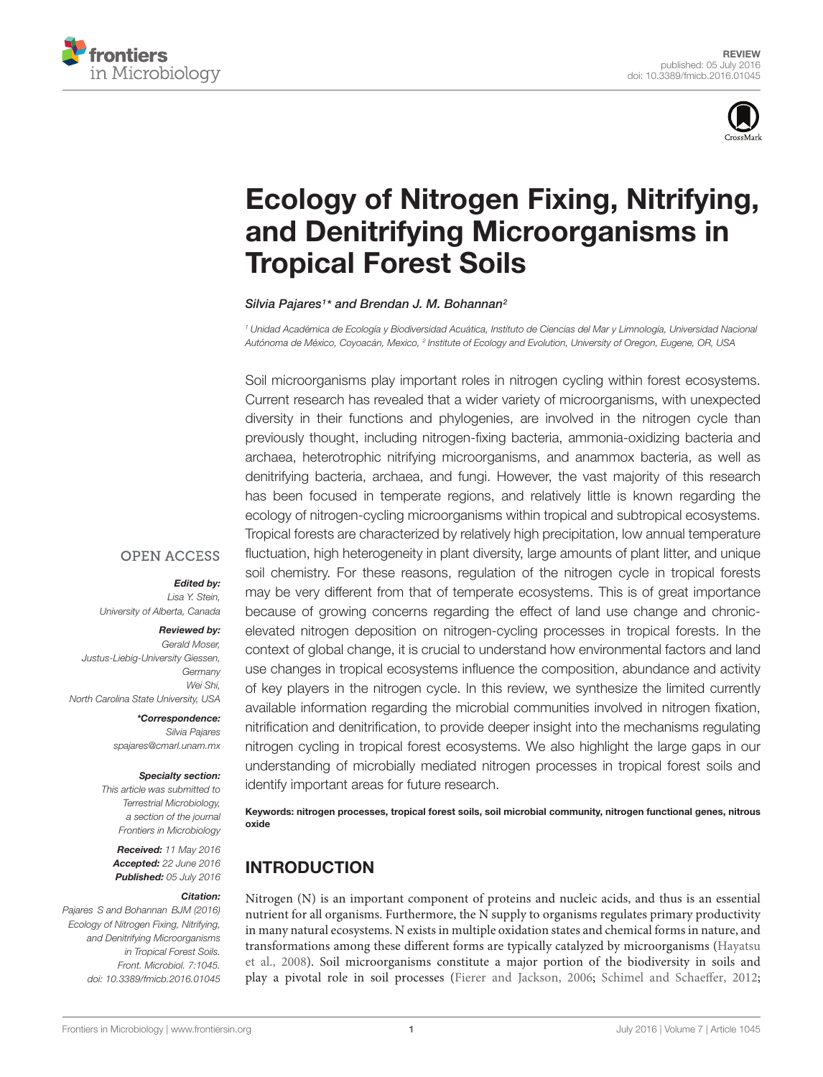



# [Ecology of Nitrogen Fixing, Nitrifying,](http://journal.frontiersin.org/article/10.3389/fmicb.2016.01045/abstract) and Denitrifying Microorganisms in Tropical Forest Soils

## [Silvia Pajares](http://loop.frontiersin.org/people/183777/overview)<sup>1\*</sup> and [Brendan J. M. Bohannan](http://loop.frontiersin.org/people/186420/overview)<sup>2</sup>

<sup>1</sup> Unidad Académica de Ecología y Biodiversidad Acuática, Instituto de Ciencias del Mar y Limnología, Universidad Nacional Autónoma de México, Coyoacán, Mexico, <sup>2</sup> Institute of Ecology and Evolution, University of Oregon, Eugene, OR, USA

Soil microorganisms play important roles in nitrogen cycling within forest ecosystems. Current research has revealed that a wider variety of microorganisms, with unexpected diversity in their functions and phylogenies, are involved in the nitrogen cycle than previously thought, including nitrogen-fixing bacteria, ammonia-oxidizing bacteria and archaea, heterotrophic nitrifying microorganisms, and anammox bacteria, as well as denitrifying bacteria, archaea, and fungi. However, the vast majority of this research has been focused in temperate regions, and relatively little is known regarding the ecology of nitrogen-cycling microorganisms within tropical and subtropical ecosystems. Tropical forests are characterized by relatively high precipitation, low annual temperature fluctuation, high heterogeneity in plant diversity, large amounts of plant litter, and unique soil chemistry. For these reasons, regulation of the nitrogen cycle in tropical forests may be very different from that of temperate ecosystems. This is of great importance because of growing concerns regarding the effect of land use change and chronicelevated nitrogen deposition on nitrogen-cycling processes in tropical forests. In the context of global change, it is crucial to understand how environmental factors and land use changes in tropical ecosystems influence the composition, abundance and activity of key players in the nitrogen cycle. In this review, we synthesize the limited currently available information regarding the microbial communities involved in nitrogen fixation, nitrification and denitrification, to provide deeper insight into the mechanisms regulating nitrogen cycling in tropical forest ecosystems. We also highlight the large gaps in our understanding of microbially mediated nitrogen processes in tropical forest soils and identify important areas for future research.

Keywords: nitrogen processes, tropical forest soils, soil microbial community, nitrogen functional genes, nitrous oxide

# INTRODUCTION

Nitrogen (N) is an important component of proteins and nucleic acids, and thus is an essential nutrient for all organisms. Furthermore, the N supply to organisms regulates primary productivity in many natural ecosystems. N exists in multiple oxidation states and chemical forms in nature, and transformations among these different forms are typically catalyzed by microorganisms [\(Hayatsu](#page-15-0) [et al., 2008\)](#page-15-0). Soil microorganisms constitute a major portion of the biodiversity in soils and play a pivotal role in soil processes [\(Fierer and Jackson, 2006;](#page-14-0) [Schimel and Schaeffer, 2012;](#page-17-0)

## **OPEN ACCESS**

### Edited by:

Lisa Y. Stein, University of Alberta, Canada

#### Reviewed by:

Gerald Moser, Justus-Liebig-University Giessen, **Germany** Wei Shi, North Carolina State University, USA

> \*Correspondence: Silvia Pajares spajares@cmarl.unam.mx

### Specialty section:

This article was submitted to Terrestrial Microbiology, a section of the journal Frontiers in Microbiology

Received: 11 May 2016 Accepted: 22 June 2016 Published: 05 July 2016

#### Citation:

Pajares S and Bohannan BJM (2016) Ecology of Nitrogen Fixing, Nitrifying, and Denitrifying Microorganisms in Tropical Forest Soils. Front. Microbiol. 7:1045. doi: [10.3389/fmicb.2016.01045](http://dx.doi.org/10.3389/fmicb.2016.01045)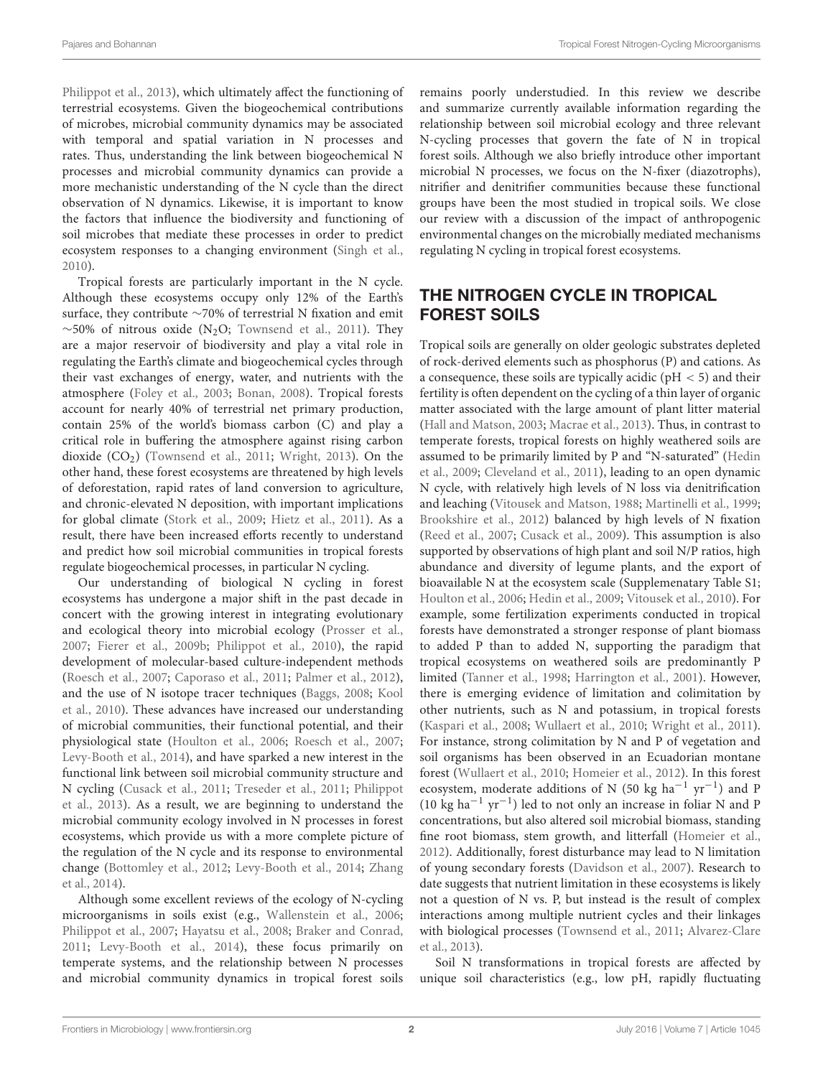[Philippot et al.,](#page-17-1) [2013\)](#page-17-1), which ultimately affect the functioning of terrestrial ecosystems. Given the biogeochemical contributions of microbes, microbial community dynamics may be associated with temporal and spatial variation in N processes and rates. Thus, understanding the link between biogeochemical N processes and microbial community dynamics can provide a more mechanistic understanding of the N cycle than the direct observation of N dynamics. Likewise, it is important to know the factors that influence the biodiversity and functioning of soil microbes that mediate these processes in order to predict ecosystem responses to a changing environment [\(Singh et al.,](#page-17-2) [2010\)](#page-17-2).

Tropical forests are particularly important in the N cycle. Although these ecosystems occupy only 12% of the Earth's surface, they contribute ∼70% of terrestrial N fixation and emit  $~\sim$ 50% of nitrous oxide (N<sub>2</sub>O; [Townsend et al.,](#page-18-0) [2011\)](#page-18-0). They are a major reservoir of biodiversity and play a vital role in regulating the Earth's climate and biogeochemical cycles through their vast exchanges of energy, water, and nutrients with the atmosphere [\(Foley et al.,](#page-15-1) [2003;](#page-15-1) [Bonan,](#page-13-0) [2008\)](#page-13-0). Tropical forests account for nearly 40% of terrestrial net primary production, contain 25% of the world's biomass carbon (C) and play a critical role in buffering the atmosphere against rising carbon dioxide  $(CO<sub>2</sub>)$  [\(Townsend et al.,](#page-18-0) [2011;](#page-18-0) [Wright,](#page-18-1) [2013\)](#page-18-1). On the other hand, these forest ecosystems are threatened by high levels of deforestation, rapid rates of land conversion to agriculture, and chronic-elevated N deposition, with important implications for global climate [\(Stork et al.,](#page-18-2) [2009;](#page-18-2) [Hietz et al.,](#page-15-2) [2011\)](#page-15-2). As a result, there have been increased efforts recently to understand and predict how soil microbial communities in tropical forests regulate biogeochemical processes, in particular N cycling.

Our understanding of biological N cycling in forest ecosystems has undergone a major shift in the past decade in concert with the growing interest in integrating evolutionary and ecological theory into microbial ecology [\(Prosser et al.,](#page-17-3) [2007;](#page-17-3) [Fierer et al.,](#page-14-1) [2009b;](#page-14-1) [Philippot et al.,](#page-17-4) [2010\)](#page-17-4), the rapid development of molecular-based culture-independent methods [\(Roesch et al.,](#page-17-5) [2007;](#page-17-5) [Caporaso et al.,](#page-14-2) [2011;](#page-14-2) [Palmer et al.,](#page-17-6) [2012\)](#page-17-6), and the use of N isotope tracer techniques [\(Baggs,](#page-13-1) [2008;](#page-13-1) [Kool](#page-16-0) [et al.,](#page-16-0) [2010\)](#page-16-0). These advances have increased our understanding of microbial communities, their functional potential, and their physiological state [\(Houlton et al.,](#page-15-3) [2006;](#page-15-3) [Roesch et al.,](#page-17-5) [2007;](#page-17-5) [Levy-Booth et al.,](#page-16-1) [2014\)](#page-16-1), and have sparked a new interest in the functional link between soil microbial community structure and N cycling [\(Cusack et al.,](#page-14-3) [2011;](#page-14-3) [Treseder et al.,](#page-18-3) [2011;](#page-18-3) [Philippot](#page-17-1) [et al.,](#page-17-1) [2013\)](#page-17-1). As a result, we are beginning to understand the microbial community ecology involved in N processes in forest ecosystems, which provide us with a more complete picture of the regulation of the N cycle and its response to environmental change [\(Bottomley et al.,](#page-13-2) [2012;](#page-13-2) [Levy-Booth et al.,](#page-16-1) [2014;](#page-16-1) [Zhang](#page-19-0) [et al.,](#page-19-0) [2014\)](#page-19-0).

Although some excellent reviews of the ecology of N-cycling microorganisms in soils exist (e.g., [Wallenstein et al.,](#page-18-4) [2006;](#page-18-4) [Philippot et al.,](#page-17-7) [2007;](#page-17-7) [Hayatsu et al.,](#page-15-0) [2008;](#page-15-0) [Braker and Conrad,](#page-13-3) [2011;](#page-13-3) [Levy-Booth et al.,](#page-16-1) [2014\)](#page-16-1), these focus primarily on temperate systems, and the relationship between N processes and microbial community dynamics in tropical forest soils

remains poorly understudied. In this review we describe and summarize currently available information regarding the relationship between soil microbial ecology and three relevant N-cycling processes that govern the fate of N in tropical forest soils. Although we also briefly introduce other important microbial N processes, we focus on the N-fixer (diazotrophs), nitrifier and denitrifier communities because these functional groups have been the most studied in tropical soils. We close our review with a discussion of the impact of anthropogenic environmental changes on the microbially mediated mechanisms regulating N cycling in tropical forest ecosystems.

# THE NITROGEN CYCLE IN TROPICAL FOREST SOILS

Tropical soils are generally on older geologic substrates depleted of rock-derived elements such as phosphorus (P) and cations. As a consequence, these soils are typically acidic ( $pH < 5$ ) and their fertility is often dependent on the cycling of a thin layer of organic matter associated with the large amount of plant litter material [\(Hall and Matson,](#page-15-4) [2003;](#page-15-4) [Macrae et al.,](#page-16-2) [2013\)](#page-16-2). Thus, in contrast to temperate forests, tropical forests on highly weathered soils are assumed to be primarily limited by P and "N-saturated" [\(Hedin](#page-15-5) [et al.,](#page-15-5) [2009;](#page-15-5) [Cleveland et al.,](#page-14-4) [2011\)](#page-14-4), leading to an open dynamic N cycle, with relatively high levels of N loss via denitrification and leaching [\(Vitousek and Matson,](#page-18-5) [1988;](#page-18-5) [Martinelli et al.,](#page-16-3) [1999;](#page-16-3) [Brookshire et al.,](#page-13-4) [2012\)](#page-13-4) balanced by high levels of N fixation [\(Reed et al.,](#page-17-8) [2007;](#page-17-8) [Cusack et al.,](#page-14-5) [2009\)](#page-14-5). This assumption is also supported by observations of high plant and soil N/P ratios, high abundance and diversity of legume plants, and the export of bioavailable N at the ecosystem scale (Supplemenatary Table S1; [Houlton et al.,](#page-15-3) [2006;](#page-15-3) [Hedin et al.,](#page-15-5) [2009;](#page-15-5) [Vitousek et al.,](#page-18-6) [2010\)](#page-18-6). For example, some fertilization experiments conducted in tropical forests have demonstrated a stronger response of plant biomass to added P than to added N, supporting the paradigm that tropical ecosystems on weathered soils are predominantly P limited [\(Tanner et al.,](#page-18-7) [1998;](#page-18-7) [Harrington et al.,](#page-15-6) [2001\)](#page-15-6). However, there is emerging evidence of limitation and colimitation by other nutrients, such as N and potassium, in tropical forests [\(Kaspari et al.,](#page-16-4) [2008;](#page-16-4) [Wullaert et al.,](#page-18-8) [2010;](#page-18-8) [Wright et al.,](#page-18-9) [2011\)](#page-18-9). For instance, strong colimitation by N and P of vegetation and soil organisms has been observed in an Ecuadorian montane forest [\(Wullaert et al.,](#page-18-8) [2010;](#page-18-8) [Homeier et al.,](#page-15-7) [2012\)](#page-15-7). In this forest ecosystem, moderate additions of N (50 kg  $ha^{-1}$  yr<sup>-1</sup>) and P (10 kg ha−<sup>1</sup> yr−<sup>1</sup> ) led to not only an increase in foliar N and P concentrations, but also altered soil microbial biomass, standing fine root biomass, stem growth, and litterfall [\(Homeier et al.,](#page-15-7) [2012\)](#page-15-7). Additionally, forest disturbance may lead to N limitation of young secondary forests [\(Davidson et al.,](#page-14-6) [2007\)](#page-14-6). Research to date suggests that nutrient limitation in these ecosystems is likely not a question of N vs. P, but instead is the result of complex interactions among multiple nutrient cycles and their linkages with biological processes [\(Townsend et al.,](#page-18-0) [2011;](#page-18-0) [Alvarez-Clare](#page-13-5) [et al.,](#page-13-5) [2013\)](#page-13-5).

Soil N transformations in tropical forests are affected by unique soil characteristics (e.g., low pH, rapidly fluctuating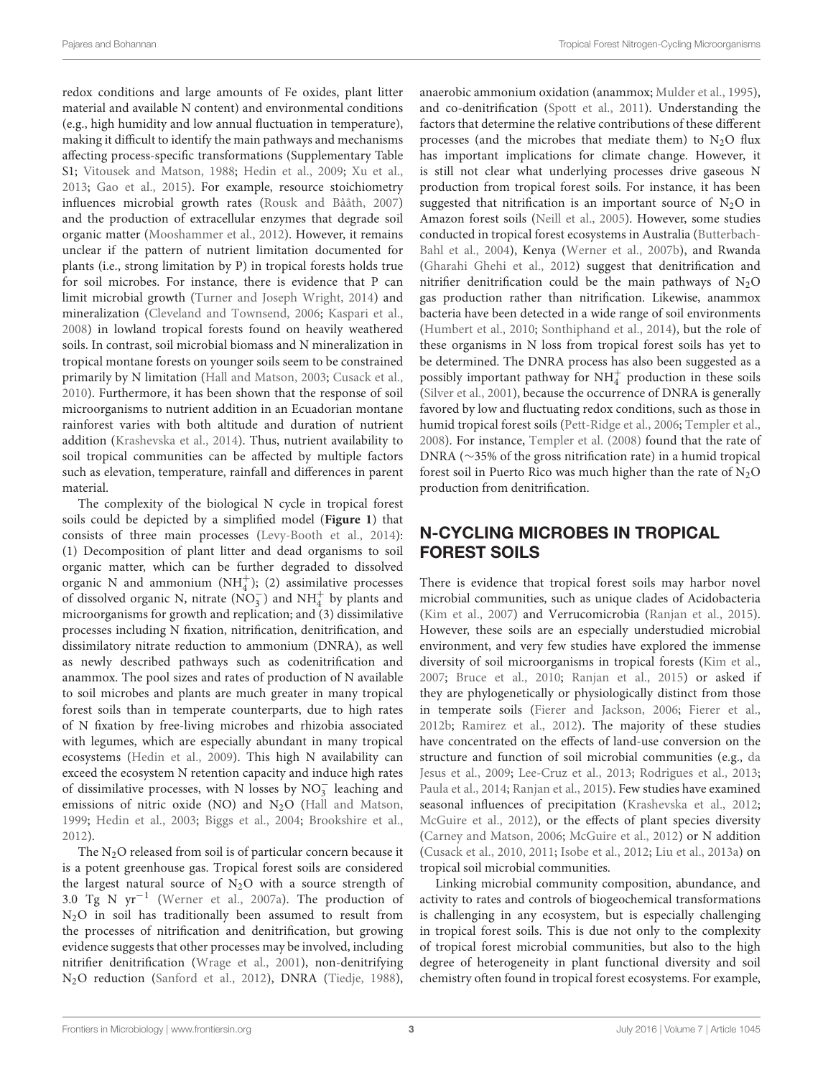redox conditions and large amounts of Fe oxides, plant litter material and available N content) and environmental conditions (e.g., high humidity and low annual fluctuation in temperature), making it difficult to identify the main pathways and mechanisms affecting process-specific transformations (Supplementary Table S1; [Vitousek and Matson,](#page-18-5) [1988;](#page-18-5) [Hedin et al.,](#page-15-5) [2009;](#page-15-5) [Xu et al.,](#page-19-1) [2013;](#page-19-1) [Gao et al.,](#page-15-8) [2015\)](#page-15-8). For example, resource stoichiometry influences microbial growth rates [\(Rousk and Bååth,](#page-17-9) [2007\)](#page-17-9) and the production of extracellular enzymes that degrade soil organic matter [\(Mooshammer et al.,](#page-16-5) [2012\)](#page-16-5). However, it remains unclear if the pattern of nutrient limitation documented for plants (i.e., strong limitation by P) in tropical forests holds true for soil microbes. For instance, there is evidence that P can limit microbial growth [\(Turner and Joseph Wright,](#page-18-10) [2014\)](#page-18-10) and mineralization [\(Cleveland and Townsend,](#page-14-7) [2006;](#page-14-7) [Kaspari et al.,](#page-16-4) [2008\)](#page-16-4) in lowland tropical forests found on heavily weathered soils. In contrast, soil microbial biomass and N mineralization in tropical montane forests on younger soils seem to be constrained primarily by N limitation [\(Hall and Matson,](#page-15-4) [2003;](#page-15-4) [Cusack et al.,](#page-14-8) [2010\)](#page-14-8). Furthermore, it has been shown that the response of soil microorganisms to nutrient addition in an Ecuadorian montane rainforest varies with both altitude and duration of nutrient addition [\(Krashevska et al.,](#page-16-6) [2014\)](#page-16-6). Thus, nutrient availability to soil tropical communities can be affected by multiple factors such as elevation, temperature, rainfall and differences in parent material.

The complexity of the biological N cycle in tropical forest soils could be depicted by a simplified model (**[Figure 1](#page-3-0)**) that consists of three main processes [\(Levy-Booth et al.,](#page-16-1) [2014\)](#page-16-1): (1) Decomposition of plant litter and dead organisms to soil organic matter, which can be further degraded to dissolved organic N and ammonium  $(NH_4^+);$  (2) assimilative processes of dissolved organic N, nitrate  $(NO_3^-)$  and  $NH_4^+$  by plants and microorganisms for growth and replication; and (3) dissimilative processes including N fixation, nitrification, denitrification, and dissimilatory nitrate reduction to ammonium (DNRA), as well as newly described pathways such as codenitrification and anammox. The pool sizes and rates of production of N available to soil microbes and plants are much greater in many tropical forest soils than in temperate counterparts, due to high rates of N fixation by free-living microbes and rhizobia associated with legumes, which are especially abundant in many tropical ecosystems [\(Hedin et al.,](#page-15-5) [2009\)](#page-15-5). This high N availability can exceed the ecosystem N retention capacity and induce high rates of dissimilative processes, with N losses by  $NO<sub>3</sub><sup>-</sup>$  leaching and emissions of nitric oxide (NO) and  $N_2O$  [\(Hall and Matson,](#page-15-9) [1999;](#page-15-9) [Hedin et al.,](#page-15-10) [2003;](#page-15-10) [Biggs et al.,](#page-13-6) [2004;](#page-13-6) [Brookshire et al.,](#page-13-4) [2012\)](#page-13-4).

The  $N_2O$  released from soil is of particular concern because it is a potent greenhouse gas. Tropical forest soils are considered the largest natural source of  $N_2O$  with a source strength of 3.0 Tg N yr−<sup>1</sup> [\(Werner et al.,](#page-18-11) [2007a\)](#page-18-11). The production of N2O in soil has traditionally been assumed to result from the processes of nitrification and denitrification, but growing evidence suggests that other processes may be involved, including nitrifier denitrification [\(Wrage et al.,](#page-18-12) [2001\)](#page-18-12), non-denitrifying N2O reduction [\(Sanford et al.,](#page-17-10) [2012\)](#page-17-10), DNRA [\(Tiedje,](#page-18-13) [1988\)](#page-18-13),

anaerobic ammonium oxidation (anammox; [Mulder et al.,](#page-16-7) [1995\)](#page-16-7), and co-denitrification [\(Spott et al.,](#page-18-14) [2011\)](#page-18-14). Understanding the factors that determine the relative contributions of these different processes (and the microbes that mediate them) to  $N<sub>2</sub>O$  flux has important implications for climate change. However, it is still not clear what underlying processes drive gaseous N production from tropical forest soils. For instance, it has been suggested that nitrification is an important source of  $N_2O$  in Amazon forest soils [\(Neill et al.,](#page-16-8) [2005\)](#page-16-8). However, some studies conducted in tropical forest ecosystems in Australia [\(Butterbach-](#page-13-7)[Bahl et al.,](#page-13-7) [2004\)](#page-13-7), Kenya [\(Werner et al.,](#page-18-15) [2007b\)](#page-18-15), and Rwanda [\(Gharahi Ghehi et al.,](#page-15-11) [2012\)](#page-15-11) suggest that denitrification and nitrifier denitrification could be the main pathways of  $N_2O$ gas production rather than nitrification. Likewise, anammox bacteria have been detected in a wide range of soil environments [\(Humbert et al.,](#page-15-12) [2010;](#page-15-12) [Sonthiphand et al.,](#page-18-16) [2014\)](#page-18-16), but the role of these organisms in N loss from tropical forest soils has yet to be determined. The DNRA process has also been suggested as a possibly important pathway for  $NH<sub>4</sub><sup>+</sup>$  production in these soils [\(Silver et al.,](#page-17-11) [2001\)](#page-17-11), because the occurrence of DNRA is generally favored by low and fluctuating redox conditions, such as those in humid tropical forest soils [\(Pett-Ridge et al.,](#page-17-12) [2006;](#page-17-12) [Templer et al.,](#page-18-17) [2008\)](#page-18-17). For instance, [Templer et al.](#page-18-17) [\(2008\)](#page-18-17) found that the rate of DNRA (∼35% of the gross nitrification rate) in a humid tropical forest soil in Puerto Rico was much higher than the rate of  $N_2O$ production from denitrification.

# N-CYCLING MICROBES IN TROPICAL FOREST SOILS

There is evidence that tropical forest soils may harbor novel microbial communities, such as unique clades of Acidobacteria [\(Kim et al.,](#page-16-9) [2007\)](#page-16-9) and Verrucomicrobia [\(Ranjan et al.,](#page-17-13) [2015\)](#page-17-13). However, these soils are an especially understudied microbial environment, and very few studies have explored the immense diversity of soil microorganisms in tropical forests [\(Kim et al.,](#page-16-9) [2007;](#page-16-9) [Bruce et al.,](#page-13-8) [2010;](#page-13-8) [Ranjan et al.,](#page-17-13) [2015\)](#page-17-13) or asked if they are phylogenetically or physiologically distinct from those in temperate soils [\(Fierer and Jackson,](#page-14-0) [2006;](#page-14-0) [Fierer et al.,](#page-15-13) [2012b;](#page-15-13) [Ramirez et al.,](#page-17-14) [2012\)](#page-17-14). The majority of these studies have concentrated on the effects of land-use conversion on the structure and function of soil microbial communities (e.g., [da](#page-14-9) [Jesus et al.,](#page-14-9) [2009;](#page-14-9) [Lee-Cruz et al.,](#page-16-10) [2013;](#page-16-10) [Rodrigues et al.,](#page-17-15) [2013;](#page-17-15) [Paula et al.,](#page-17-16) [2014;](#page-17-16) [Ranjan et al.,](#page-17-13) [2015\)](#page-17-13). Few studies have examined seasonal influences of precipitation [\(Krashevska et al.,](#page-16-11) [2012;](#page-16-11) [McGuire et al.,](#page-16-12) [2012\)](#page-16-12), or the effects of plant species diversity [\(Carney and Matson,](#page-14-10) [2006;](#page-14-10) [McGuire et al.,](#page-16-12) [2012\)](#page-16-12) or N addition [\(Cusack et al.,](#page-14-8) [2010,](#page-14-8) [2011;](#page-14-3) [Isobe et al.,](#page-15-14) [2012;](#page-15-14) [Liu et al.,](#page-16-13) [2013a\)](#page-16-13) on tropical soil microbial communities.

Linking microbial community composition, abundance, and activity to rates and controls of biogeochemical transformations is challenging in any ecosystem, but is especially challenging in tropical forest soils. This is due not only to the complexity of tropical forest microbial communities, but also to the high degree of heterogeneity in plant functional diversity and soil chemistry often found in tropical forest ecosystems. For example,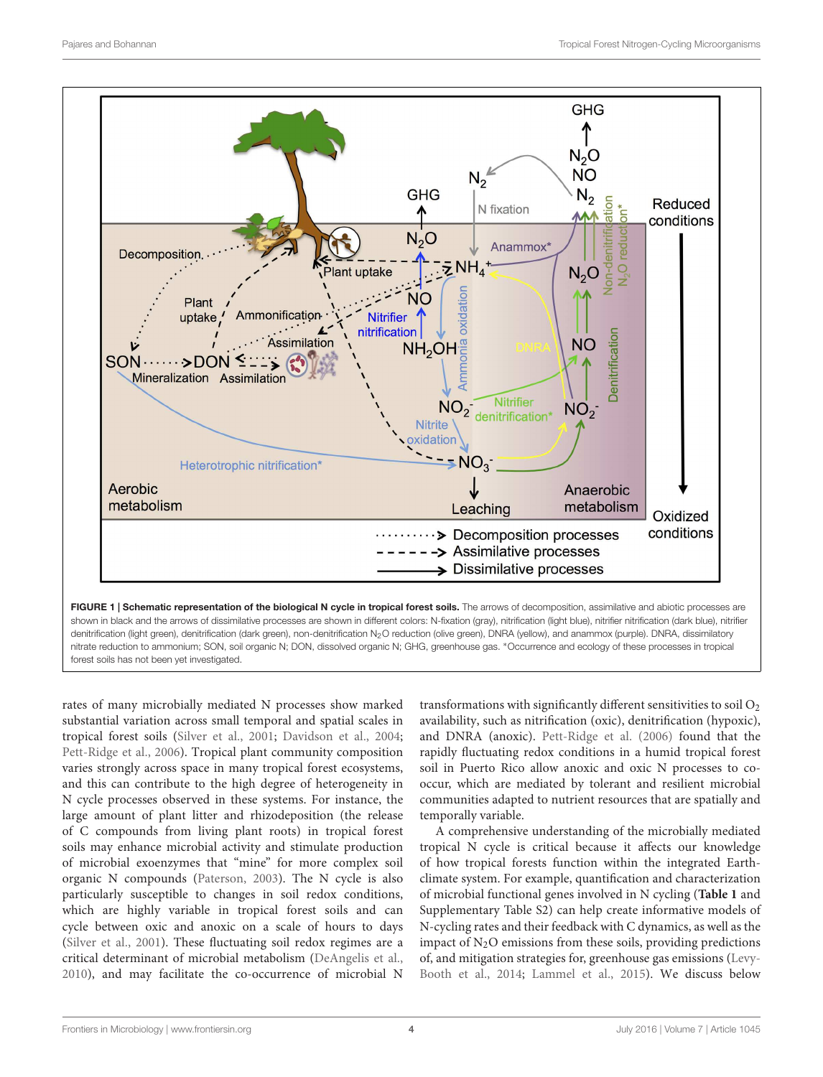

<span id="page-3-0"></span>shown in black and the arrows of dissimilative processes are shown in different colors: N-fixation (gray), nitrification (light blue), nitrifier nitrification (dark blue), nitrifier denitrification (light green), denitrification (dark green), non-denitrification N<sub>2</sub>O reduction (olive green), DNRA (yellow), and anammox (purple). DNRA, dissimilatory nitrate reduction to ammonium; SON, soil organic N; DON, dissolved organic N; GHG, greenhouse gas. \*Occurrence and ecology of these processes in tropical forest soils has not been yet investigated.

rates of many microbially mediated N processes show marked substantial variation across small temporal and spatial scales in tropical forest soils [\(Silver et al.,](#page-17-11) [2001;](#page-17-11) [Davidson et al.,](#page-14-11) [2004;](#page-14-11) [Pett-Ridge et al.,](#page-17-12) [2006\)](#page-17-12). Tropical plant community composition varies strongly across space in many tropical forest ecosystems, and this can contribute to the high degree of heterogeneity in N cycle processes observed in these systems. For instance, the large amount of plant litter and rhizodeposition (the release of C compounds from living plant roots) in tropical forest soils may enhance microbial activity and stimulate production of microbial exoenzymes that "mine" for more complex soil organic N compounds [\(Paterson,](#page-17-17) [2003\)](#page-17-17). The N cycle is also particularly susceptible to changes in soil redox conditions, which are highly variable in tropical forest soils and can cycle between oxic and anoxic on a scale of hours to days [\(Silver et al.,](#page-17-11) [2001\)](#page-17-11). These fluctuating soil redox regimes are a critical determinant of microbial metabolism [\(DeAngelis et al.,](#page-14-12) [2010\)](#page-14-12), and may facilitate the co-occurrence of microbial N

transformations with significantly different sensitivities to soil  $O<sub>2</sub>$ availability, such as nitrification (oxic), denitrification (hypoxic), and DNRA (anoxic). [Pett-Ridge et al.](#page-17-12) [\(2006\)](#page-17-12) found that the rapidly fluctuating redox conditions in a humid tropical forest soil in Puerto Rico allow anoxic and oxic N processes to cooccur, which are mediated by tolerant and resilient microbial communities adapted to nutrient resources that are spatially and temporally variable.

A comprehensive understanding of the microbially mediated tropical N cycle is critical because it affects our knowledge of how tropical forests function within the integrated Earthclimate system. For example, quantification and characterization of microbial functional genes involved in N cycling (**[Table 1](#page-4-0)** and Supplementary Table S2) can help create informative models of N-cycling rates and their feedback with C dynamics, as well as the impact of  $N_2O$  emissions from these soils, providing predictions of, and mitigation strategies for, greenhouse gas emissions [\(Levy-](#page-16-1)[Booth et al.,](#page-16-1) [2014;](#page-16-1) [Lammel et al.,](#page-16-14) [2015\)](#page-16-14). We discuss below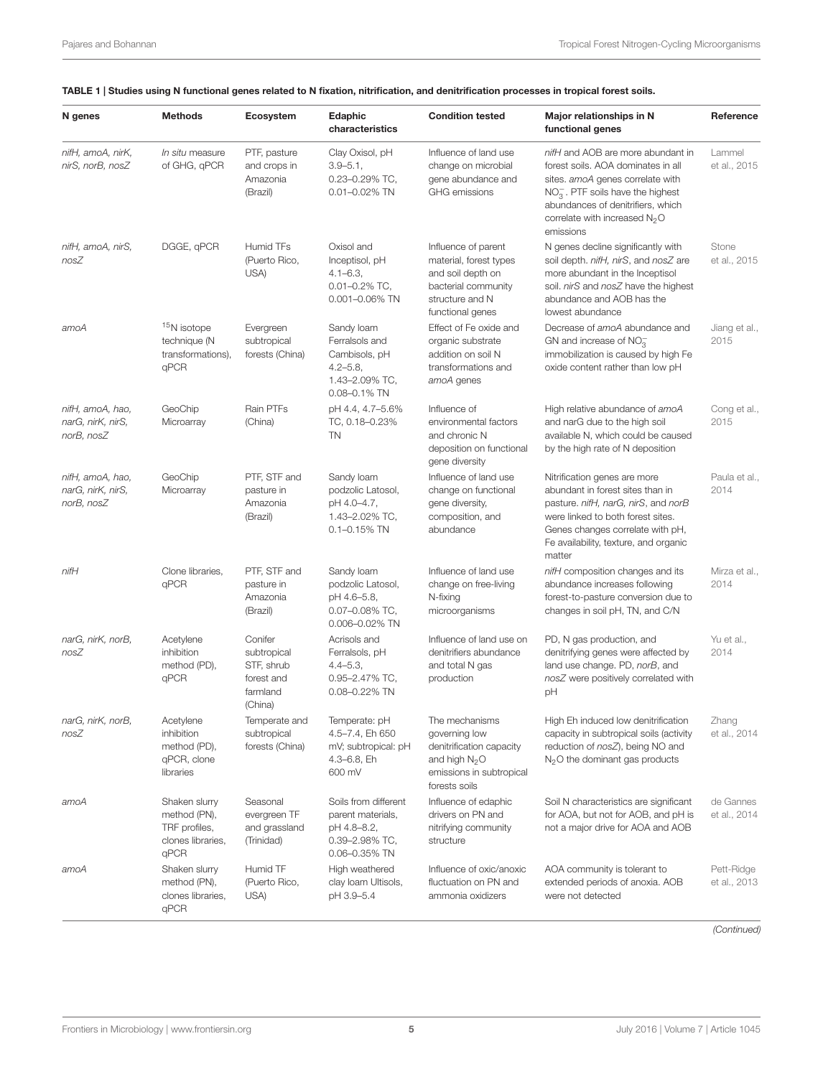| N genes                                             | <b>Methods</b>                                                              | Ecosystem                                                                 | Edaphic<br>characteristics                                                                          | <b>Condition tested</b>                                                                                                          | Major relationships in N<br>functional genes                                                                                                                                                                                                      | Reference                  |
|-----------------------------------------------------|-----------------------------------------------------------------------------|---------------------------------------------------------------------------|-----------------------------------------------------------------------------------------------------|----------------------------------------------------------------------------------------------------------------------------------|---------------------------------------------------------------------------------------------------------------------------------------------------------------------------------------------------------------------------------------------------|----------------------------|
| nifH, amoA, nirK,<br>nirS, norB, nosZ               | In situ measure<br>of GHG, qPCR                                             | PTF, pasture<br>and crops in<br>Amazonia<br>(Brazil)                      | Clay Oxisol, pH<br>$3.9 - 5.1$ ,<br>0.23-0.29% TC,<br>0.01-0.02% TN                                 | Influence of land use<br>change on microbial<br>gene abundance and<br><b>GHG</b> emissions                                       | nifH and AOB are more abundant in<br>forest soils. AOA dominates in all<br>sites. amoA genes correlate with<br>$NO3-$ . PTF soils have the highest<br>abundances of denitrifiers, which<br>correlate with increased N <sub>2</sub> O<br>emissions | Lammel<br>et al., 2015     |
| nifH, amoA, nirS,<br>nosZ                           | DGGE, qPCR                                                                  | Humid TFs<br>(Puerto Rico,<br>USA)                                        | Oxisol and<br>Inceptisol, pH<br>$4.1 - 6.3$<br>$0.01 - 0.2\%$ TC,<br>0.001-0.06% TN                 | Influence of parent<br>material, forest types<br>and soil depth on<br>bacterial community<br>structure and N<br>functional genes | N genes decline significantly with<br>soil depth. nifH, nirS, and nosZ are<br>more abundant in the Inceptisol<br>soil. nirS and nosZ have the highest<br>abundance and AOB has the<br>lowest abundance                                            | Stone<br>et al., 2015      |
| amoA                                                | <sup>15</sup> N isotope<br>technique (N<br>transformations),<br>qPCR        | Evergreen<br>subtropical<br>forests (China)                               | Sandy loam<br>Ferralsols and<br>Cambisols, pH<br>$4.2 - 5.8$<br>1.43-2.09% TC,<br>$0.08 - 0.1\%$ TN | Effect of Fe oxide and<br>organic substrate<br>addition on soil N<br>transformations and<br>amoA genes                           | Decrease of amoA abundance and<br>GN and increase of $NO_3^-$<br>immobilization is caused by high Fe<br>oxide content rather than low pH                                                                                                          | Jiang et al.,<br>2015      |
| nifH, amoA, hao,<br>narG, nirK, nirS,<br>norB, nosZ | GeoChip<br>Microarray                                                       | Rain PTFs<br>(China)                                                      | pH 4.4, 4.7-5.6%<br>TC, 0.18-0.23%<br>TN                                                            | Influence of<br>environmental factors<br>and chronic N<br>deposition on functional<br>gene diversity                             | High relative abundance of amoA<br>and narG due to the high soil<br>available N, which could be caused<br>by the high rate of N deposition                                                                                                        | Cong et al.,<br>2015       |
| nifH, amoA, hao,<br>narG, nirK, nirS,<br>norB, nosZ | GeoChip<br>Microarray                                                       | PTF, STF and<br>pasture in<br>Amazonia<br>(Brazil)                        | Sandy loam<br>podzolic Latosol,<br>pH 4.0-4.7,<br>1.43-2.02% TC,<br>$0.1 - 0.15\%$ TN               | Influence of land use<br>change on functional<br>gene diversity,<br>composition, and<br>abundance                                | Nitrification genes are more<br>abundant in forest sites than in<br>pasture. nifH, narG, nirS, and norB<br>were linked to both forest sites.<br>Genes changes correlate with pH,<br>Fe availability, texture, and organic<br>matter               | Paula et al.,<br>2014      |
| nifH                                                | Clone libraries,<br>qPCR                                                    | PTF, STF and<br>pasture in<br>Amazonia<br>(Brazil)                        | Sandy loam<br>podzolic Latosol,<br>pH 4.6-5.8,<br>0.07-0.08% TC,<br>0.006-0.02% TN                  | Influence of land use<br>change on free-living<br>N-fixing<br>microorganisms                                                     | nifH composition changes and its<br>abundance increases following<br>forest-to-pasture conversion due to<br>changes in soil pH, TN, and C/N                                                                                                       | Mirza et al.,<br>2014      |
| narG, nirK, norB,<br>nosZ                           | Acetylene<br>inhibition<br>method (PD),<br>qPCR                             | Conifer<br>subtropical<br>STF, shrub<br>forest and<br>farmland<br>(China) | Acrisols and<br>Ferralsols, pH<br>$4.4 - 5.3$<br>0.95-2.47% TC,<br>0.08-0.22% TN                    | Influence of land use on<br>denitrifiers abundance<br>and total N gas<br>production                                              | PD, N gas production, and<br>denitrifying genes were affected by<br>land use change. PD, norB, and<br>nosZ were positively correlated with<br>рH                                                                                                  | Yu et al.,<br>2014         |
| narG, nirK, norB,<br>nosZ                           | Acetylene<br>inhibition<br>method (PD),<br>qPCR, clone<br>libraries         | Temperate and<br>subtropical<br>forests (China)                           | Temperate: pH<br>4.5-7.4, Eh 650<br>mV; subtropical: pH<br>4.3-6.8, Eh<br>600 mV                    | The mechanisms<br>governing low<br>denitrification capacity<br>and high $N2O$<br>emissions in subtropical<br>forests soils       | High Eh induced low denitrification<br>capacity in subtropical soils (activity<br>reduction of nosZ), being NO and<br>N <sub>2</sub> O the dominant gas products                                                                                  | Zhang<br>et al., 2014      |
| amoA                                                | Shaken slurry<br>method (PN),<br>TRF profiles,<br>clones libraries,<br>qPCR | Seasonal<br>evergreen TF<br>and grassland<br>(Trinidad)                   | Soils from different<br>parent materials,<br>pH 4.8-8.2,<br>0.39-2.98% TC,<br>0.06-0.35% TN         | Influence of edaphic<br>drivers on PN and<br>nitrifying community<br>structure                                                   | Soil N characteristics are significant<br>for AOA, but not for AOB, and pH is<br>not a major drive for AOA and AOB                                                                                                                                | de Gannes<br>et al., 2014  |
| amoA                                                | Shaken slurry<br>method (PN),<br>clones libraries,<br>qPCR                  | Humid TF<br>(Puerto Rico,<br>USA)                                         | High weathered<br>clay Ioam Ultisols,<br>pH 3.9-5.4                                                 | Influence of oxic/anoxic<br>fluctuation on PN and<br>ammonia oxidizers                                                           | AOA community is tolerant to<br>extended periods of anoxia. AOB<br>were not detected                                                                                                                                                              | Pett-Ridge<br>et al., 2013 |

## <span id="page-4-0"></span>TABLE 1 | Studies using N functional genes related to N fixation, nitrification, and denitrification processes in tropical forest soils.

(Continued)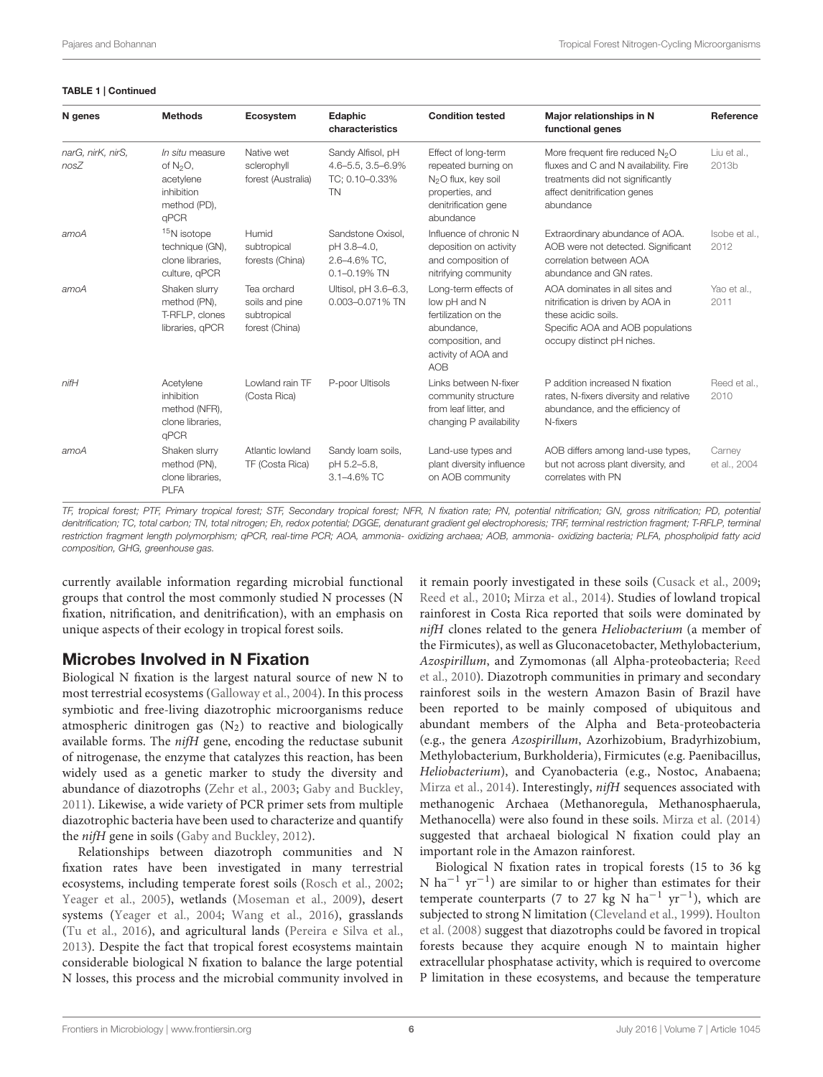#### TABLE 1 | Continued

| N genes                   | <b>Methods</b>                                                                          | Ecosystem                                                      | Edaphic<br>characteristics                                            | <b>Condition tested</b>                                                                                                               | Major relationships in N<br>functional genes                                                                                                                          | Reference              |
|---------------------------|-----------------------------------------------------------------------------------------|----------------------------------------------------------------|-----------------------------------------------------------------------|---------------------------------------------------------------------------------------------------------------------------------------|-----------------------------------------------------------------------------------------------------------------------------------------------------------------------|------------------------|
| narG, nirK, nirS,<br>nosZ | In situ measure<br>of $N2O$ ,<br>acetylene<br>inhibition<br>method (PD),<br><b>aPCR</b> | Native wet<br>sclerophyll<br>forest (Australia)                | Sandy Alfisol, pH<br>4.6-5.5, 3.5-6.9%<br>TC: 0.10-0.33%<br><b>TN</b> | Effect of long-term<br>repeated burning on<br>N <sub>2</sub> O flux, key soil<br>properties, and<br>denitrification gene<br>abundance | More frequent fire reduced N <sub>2</sub> O<br>fluxes and C and N availability. Fire<br>treatments did not significantly<br>affect denitrification genes<br>abundance | Liu et al<br>2013b     |
| amoA                      | <sup>15</sup> N isotope<br>technique (GN),<br>clone libraries,<br>culture, gPCR         | Humid<br>subtropical<br>forests (China)                        | Sandstone Oxisol.<br>pH 3.8-4.0.<br>2.6-4.6% TC,<br>$0.1 - 0.19\%$ TN | Influence of chronic N<br>deposition on activity<br>and composition of<br>nitrifying community                                        | Extraordinary abundance of AOA.<br>AOB were not detected. Significant<br>correlation between AOA<br>abundance and GN rates.                                           | Isobe et al.,<br>2012  |
| amoA                      | Shaken slurry<br>method (PN),<br>T-RFLP, clones<br>libraries, gPCR                      | Tea orchard<br>soils and pine<br>subtropical<br>forest (China) | Ultisol, pH 3.6-6.3,<br>0.003-0.071% TN                               | Long-term effects of<br>low pH and N<br>fertilization on the<br>abundance.<br>composition, and<br>activity of AOA and<br><b>AOB</b>   | AOA dominates in all sites and<br>nitrification is driven by AOA in<br>these acidic soils.<br>Specific AOA and AOB populations<br>occupy distinct pH niches.          | Yao et al.,<br>2011    |
| $n$ if $H$                | Acetylene<br>inhibition<br>method (NFR),<br>clone libraries.<br><b>qPCR</b>             | Lowland rain TF<br>(Costa Rica)                                | P-poor Ultisols                                                       | Links between N-fixer<br>community structure<br>from leaf litter, and<br>changing P availability                                      | P addition increased N fixation<br>rates, N-fixers diversity and relative<br>abundance, and the efficiency of<br>N-fixers                                             | Reed et al<br>2010     |
| amoA                      | Shaken slurry<br>method (PN),<br>clone libraries,<br><b>PLFA</b>                        | Atlantic lowland<br>TF (Costa Rica)                            | Sandy loam soils,<br>pH 5.2-5.8,<br>$3.1 - 4.6\%$ TC                  | Land-use types and<br>plant diversity influence<br>on AOB community                                                                   | AOB differs among land-use types,<br>but not across plant diversity, and<br>correlates with PN                                                                        | Carney<br>et al., 2004 |

TF, tropical forest; PTF, Primary tropical forest; STF, Secondary tropical forest; NFR, N fixation rate; PN, potential nitrification; GN, gross nitrification; PD, potential denitrification; TC, total carbon; TN, total nitrogen; Eh, redox potential; DGGE, denaturant gradient gel electrophoresis; TRF, terminal restriction fragment; T-RFLP, terminal restriction fragment length polymorphism; qPCR, real-time PCR; AOA, ammonia- oxidizing archaea; AOB, ammonia- oxidizing bacteria; PLFA, phospholipid fatty acid composition, GHG, greenhouse gas.

currently available information regarding microbial functional groups that control the most commonly studied N processes (N fixation, nitrification, and denitrification), with an emphasis on unique aspects of their ecology in tropical forest soils.

## Microbes Involved in N Fixation

Biological N fixation is the largest natural source of new N to most terrestrial ecosystems [\(Galloway et al.,](#page-15-16) [2004\)](#page-15-16). In this process symbiotic and free-living diazotrophic microorganisms reduce atmospheric dinitrogen gas  $(N_2)$  to reactive and biologically available forms. The nifH gene, encoding the reductase subunit of nitrogenase, the enzyme that catalyzes this reaction, has been widely used as a genetic marker to study the diversity and abundance of diazotrophs [\(Zehr et al.,](#page-19-4) [2003;](#page-19-4) [Gaby and Buckley,](#page-15-17) [2011\)](#page-15-17). Likewise, a wide variety of PCR primer sets from multiple diazotrophic bacteria have been used to characterize and quantify the nifH gene in soils [\(Gaby and Buckley,](#page-15-18) [2012\)](#page-15-18).

Relationships between diazotroph communities and N fixation rates have been investigated in many terrestrial ecosystems, including temperate forest soils [\(Rosch et al.,](#page-17-20) [2002;](#page-17-20) [Yeager et al.,](#page-19-5) [2005\)](#page-19-5), wetlands [\(Moseman et al.,](#page-16-17) [2009\)](#page-16-17), desert systems [\(Yeager et al.,](#page-19-6) [2004;](#page-19-6) [Wang et al.,](#page-18-19) [2016\)](#page-18-19), grasslands [\(Tu et al.,](#page-18-20) [2016\)](#page-18-20), and agricultural lands [\(Pereira e Silva et al.,](#page-17-21) [2013\)](#page-17-21). Despite the fact that tropical forest ecosystems maintain considerable biological N fixation to balance the large potential N losses, this process and the microbial community involved in

it remain poorly investigated in these soils [\(Cusack et al.,](#page-14-5) [2009;](#page-14-5) [Reed et al.,](#page-17-19) [2010;](#page-17-19) [Mirza et al.,](#page-16-15) [2014\)](#page-16-15). Studies of lowland tropical rainforest in Costa Rica reported that soils were dominated by nifH clones related to the genera Heliobacterium (a member of the Firmicutes), as well as Gluconacetobacter, Methylobacterium, Azospirillum, and Zymomonas (all Alpha-proteobacteria; [Reed](#page-17-19) [et al.,](#page-17-19) [2010\)](#page-17-19). Diazotroph communities in primary and secondary rainforest soils in the western Amazon Basin of Brazil have been reported to be mainly composed of ubiquitous and abundant members of the Alpha and Beta-proteobacteria (e.g., the genera Azospirillum, Azorhizobium, Bradyrhizobium, Methylobacterium, Burkholderia), Firmicutes (e.g. Paenibacillus, Heliobacterium), and Cyanobacteria (e.g., Nostoc, Anabaena; [Mirza et al.,](#page-16-15) [2014\)](#page-16-15). Interestingly, nifH sequences associated with methanogenic Archaea (Methanoregula, Methanosphaerula, Methanocella) were also found in these soils. [Mirza et al.](#page-16-15) [\(2014\)](#page-16-15) suggested that archaeal biological N fixation could play an important role in the Amazon rainforest.

Biological N fixation rates in tropical forests (15 to 36 kg N ha<sup>-1</sup> yr<sup>-1</sup>) are similar to or higher than estimates for their temperate counterparts (7 to 27 kg N ha<sup>-1</sup> yr<sup>-1</sup>), which are subjected to strong N limitation [\(Cleveland et al.,](#page-14-16) [1999\)](#page-14-16). [Houlton](#page-15-19) [et al.](#page-15-19) [\(2008\)](#page-15-19) suggest that diazotrophs could be favored in tropical forests because they acquire enough N to maintain higher extracellular phosphatase activity, which is required to overcome P limitation in these ecosystems, and because the temperature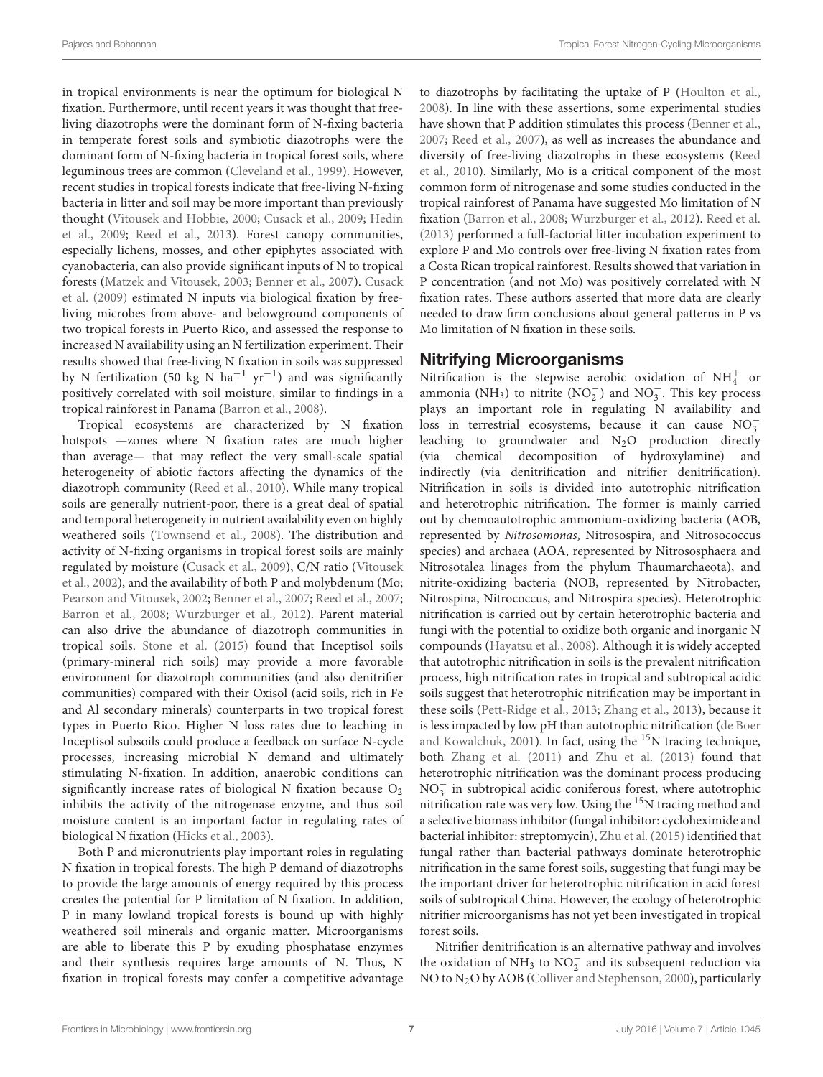in tropical environments is near the optimum for biological N fixation. Furthermore, until recent years it was thought that freeliving diazotrophs were the dominant form of N-fixing bacteria in temperate forest soils and symbiotic diazotrophs were the dominant form of N-fixing bacteria in tropical forest soils, where leguminous trees are common [\(Cleveland et al.,](#page-14-16) [1999\)](#page-14-16). However, recent studies in tropical forests indicate that free-living N-fixing bacteria in litter and soil may be more important than previously thought [\(Vitousek and Hobbie,](#page-18-21) [2000;](#page-18-21) [Cusack et al.,](#page-14-5) [2009;](#page-14-5) [Hedin](#page-15-5) [et al.,](#page-15-5) [2009;](#page-15-5) [Reed et al.,](#page-17-22) [2013\)](#page-17-22). Forest canopy communities, especially lichens, mosses, and other epiphytes associated with cyanobacteria, can also provide significant inputs of N to tropical forests [\(Matzek and Vitousek,](#page-16-18) [2003;](#page-16-18) [Benner et al.,](#page-13-9) [2007\)](#page-13-9). [Cusack](#page-14-5) [et al.](#page-14-5) [\(2009\)](#page-14-5) estimated N inputs via biological fixation by freeliving microbes from above- and belowground components of two tropical forests in Puerto Rico, and assessed the response to increased N availability using an N fertilization experiment. Their results showed that free-living N fixation in soils was suppressed by N fertilization (50 kg N ha−<sup>1</sup> yr−<sup>1</sup> ) and was significantly positively correlated with soil moisture, similar to findings in a tropical rainforest in Panama [\(Barron et al.,](#page-13-10) [2008\)](#page-13-10).

Tropical ecosystems are characterized by N fixation hotspots —zones where N fixation rates are much higher than average— that may reflect the very small-scale spatial heterogeneity of abiotic factors affecting the dynamics of the diazotroph community [\(Reed et al.,](#page-17-19) [2010\)](#page-17-19). While many tropical soils are generally nutrient-poor, there is a great deal of spatial and temporal heterogeneity in nutrient availability even on highly weathered soils [\(Townsend et al.,](#page-18-22) [2008\)](#page-18-22). The distribution and activity of N-fixing organisms in tropical forest soils are mainly regulated by moisture [\(Cusack et al.,](#page-14-5) [2009\)](#page-14-5), C/N ratio [\(Vitousek](#page-18-23) [et al.,](#page-18-23) [2002\)](#page-18-23), and the availability of both P and molybdenum (Mo; [Pearson and Vitousek,](#page-17-23) [2002;](#page-17-23) [Benner et al.,](#page-13-9) [2007;](#page-13-9) [Reed et al.,](#page-17-8) [2007;](#page-17-8) [Barron et al.,](#page-13-10) [2008;](#page-13-10) [Wurzburger et al.,](#page-19-7) [2012\)](#page-19-7). Parent material can also drive the abundance of diazotroph communities in tropical soils. [Stone et al.](#page-18-18) [\(2015\)](#page-18-18) found that Inceptisol soils (primary-mineral rich soils) may provide a more favorable environment for diazotroph communities (and also denitrifier communities) compared with their Oxisol (acid soils, rich in Fe and Al secondary minerals) counterparts in two tropical forest types in Puerto Rico. Higher N loss rates due to leaching in Inceptisol subsoils could produce a feedback on surface N-cycle processes, increasing microbial N demand and ultimately stimulating N-fixation. In addition, anaerobic conditions can significantly increase rates of biological N fixation because  $O_2$ inhibits the activity of the nitrogenase enzyme, and thus soil moisture content is an important factor in regulating rates of biological N fixation [\(Hicks et al.,](#page-15-20) [2003\)](#page-15-20).

Both P and micronutrients play important roles in regulating N fixation in tropical forests. The high P demand of diazotrophs to provide the large amounts of energy required by this process creates the potential for P limitation of N fixation. In addition, P in many lowland tropical forests is bound up with highly weathered soil minerals and organic matter. Microorganisms are able to liberate this P by exuding phosphatase enzymes and their synthesis requires large amounts of N. Thus, N fixation in tropical forests may confer a competitive advantage to diazotrophs by facilitating the uptake of P [\(Houlton et al.,](#page-15-19) [2008\)](#page-15-19). In line with these assertions, some experimental studies have shown that P addition stimulates this process [\(Benner et al.,](#page-13-9) [2007;](#page-13-9) [Reed et al.,](#page-17-8) [2007\)](#page-17-8), as well as increases the abundance and diversity of free-living diazotrophs in these ecosystems [\(Reed](#page-17-19) [et al.,](#page-17-19) [2010\)](#page-17-19). Similarly, Mo is a critical component of the most common form of nitrogenase and some studies conducted in the tropical rainforest of Panama have suggested Mo limitation of N fixation [\(Barron et al.,](#page-13-10) [2008;](#page-13-10) [Wurzburger et al.,](#page-19-7) [2012\)](#page-19-7). [Reed et al.](#page-17-22) [\(2013\)](#page-17-22) performed a full-factorial litter incubation experiment to explore P and Mo controls over free-living N fixation rates from a Costa Rican tropical rainforest. Results showed that variation in P concentration (and not Mo) was positively correlated with N fixation rates. These authors asserted that more data are clearly needed to draw firm conclusions about general patterns in P vs Mo limitation of N fixation in these soils.

## Nitrifying Microorganisms

Nitrification is the stepwise aerobic oxidation of  $NH_4^+$  or ammonia (NH<sub>3</sub>) to nitrite (NO<sub>2</sub><sup>-</sup>) and NO<sub>3</sub><sup>-</sup>. This key process plays an important role in regulating N availability and  $\frac{1}{2}$  in terrestrial ecosystems, because it can cause  $NO_3^$ leaching to groundwater and  $N_2O$  production directly (via chemical decomposition of hydroxylamine) and indirectly (via denitrification and nitrifier denitrification). Nitrification in soils is divided into autotrophic nitrification and heterotrophic nitrification. The former is mainly carried out by chemoautotrophic ammonium-oxidizing bacteria (AOB, represented by Nitrosomonas, Nitrosospira, and Nitrosococcus species) and archaea (AOA, represented by Nitrososphaera and Nitrosotalea linages from the phylum Thaumarchaeota), and nitrite-oxidizing bacteria (NOB, represented by Nitrobacter, Nitrospina, Nitrococcus, and Nitrospira species). Heterotrophic nitrification is carried out by certain heterotrophic bacteria and fungi with the potential to oxidize both organic and inorganic N compounds [\(Hayatsu et al.,](#page-15-0) [2008\)](#page-15-0). Although it is widely accepted that autotrophic nitrification in soils is the prevalent nitrification process, high nitrification rates in tropical and subtropical acidic soils suggest that heterotrophic nitrification may be important in these soils [\(Pett-Ridge et al.,](#page-17-18) [2013;](#page-17-18) [Zhang et al.,](#page-19-8) [2013\)](#page-19-8), because it is less impacted by low pH than autotrophic nitrification [\(de Boer](#page-14-17) [and Kowalchuk,](#page-14-17) [2001\)](#page-14-17). In fact, using the <sup>15</sup>N tracing technique, both [Zhang et al.](#page-19-9) [\(2011\)](#page-19-9) and [Zhu et al.](#page-19-10) [\(2013\)](#page-19-10) found that heterotrophic nitrification was the dominant process producing  $NO<sub>3</sub><sup>-</sup>$  in subtropical acidic coniferous forest, where autotrophic nitrification rate was very low. Using the <sup>15</sup>N tracing method and a selective biomass inhibitor (fungal inhibitor: cycloheximide and bacterial inhibitor: streptomycin), [Zhu et al.](#page-19-11) [\(2015\)](#page-19-11) identified that fungal rather than bacterial pathways dominate heterotrophic nitrification in the same forest soils, suggesting that fungi may be the important driver for heterotrophic nitrification in acid forest soils of subtropical China. However, the ecology of heterotrophic nitrifier microorganisms has not yet been investigated in tropical forest soils.

Nitrifier denitrification is an alternative pathway and involves the oxidation of NH<sub>3</sub> to NO<sub>2</sub><sup> $\overline{)}$ </sup> and its subsequent reduction via NO to N<sub>2</sub>O by AOB [\(Colliver and Stephenson,](#page-14-18) [2000\)](#page-14-18), particularly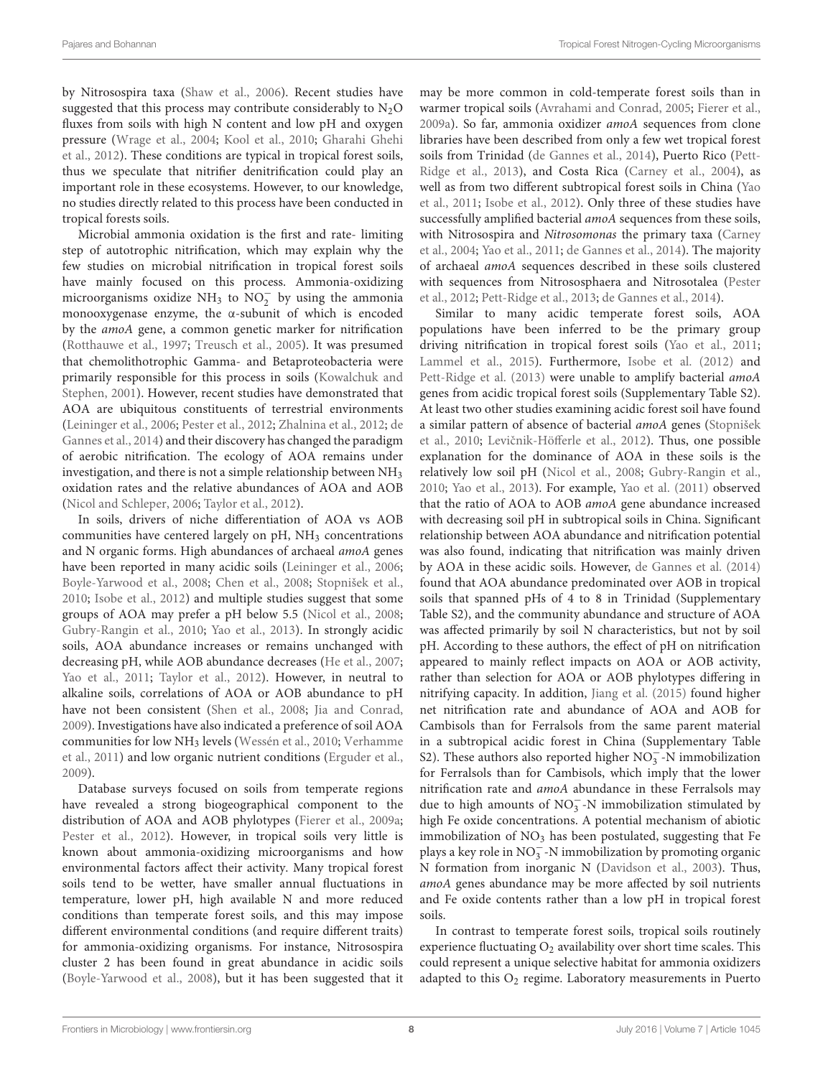by Nitrosospira taxa [\(Shaw et al.,](#page-17-24) [2006\)](#page-17-24). Recent studies have suggested that this process may contribute considerably to  $N_2O$ fluxes from soils with high N content and low pH and oxygen pressure [\(Wrage et al.,](#page-18-24) [2004;](#page-18-24) [Kool et al.,](#page-16-0) [2010;](#page-16-0) [Gharahi Ghehi](#page-15-11) [et al.,](#page-15-11) [2012\)](#page-15-11). These conditions are typical in tropical forest soils, thus we speculate that nitrifier denitrification could play an important role in these ecosystems. However, to our knowledge, no studies directly related to this process have been conducted in tropical forests soils.

Microbial ammonia oxidation is the first and rate- limiting step of autotrophic nitrification, which may explain why the few studies on microbial nitrification in tropical forest soils have mainly focused on this process. Ammonia-oxidizing microorganisms oxidize NH<sub>3</sub> to NO<sub>2</sub> by using the ammonia monooxygenase enzyme, the α-subunit of which is encoded by the amoA gene, a common genetic marker for nitrification [\(Rotthauwe et al.,](#page-17-25) [1997;](#page-17-25) [Treusch et al.,](#page-18-25) [2005\)](#page-18-25). It was presumed that chemolithotrophic Gamma- and Betaproteobacteria were primarily responsible for this process in soils [\(Kowalchuk and](#page-16-19) [Stephen,](#page-16-19) [2001\)](#page-16-19). However, recent studies have demonstrated that AOA are ubiquitous constituents of terrestrial environments [\(Leininger et al.,](#page-16-20) [2006;](#page-16-20) [Pester et al.,](#page-17-26) [2012;](#page-17-26) [Zhalnina et al.,](#page-19-12) [2012;](#page-19-12) [de](#page-14-14) [Gannes et al.,](#page-14-14) [2014\)](#page-14-14) and their discovery has changed the paradigm of aerobic nitrification. The ecology of AOA remains under investigation, and there is not a simple relationship between NH<sup>3</sup> oxidation rates and the relative abundances of AOA and AOB [\(Nicol and Schleper,](#page-17-27) [2006;](#page-17-27) [Taylor et al.,](#page-18-26) [2012\)](#page-18-26).

In soils, drivers of niche differentiation of AOA vs AOB communities have centered largely on pH, NH<sub>3</sub> concentrations and N organic forms. High abundances of archaeal amoA genes have been reported in many acidic soils [\(Leininger et al.,](#page-16-20) [2006;](#page-16-20) [Boyle-Yarwood et al.,](#page-13-11) [2008;](#page-13-11) [Chen et al.,](#page-14-19) [2008;](#page-14-19) [Stopnišek et al.,](#page-18-27) [2010;](#page-18-27) [Isobe et al.,](#page-15-14) [2012\)](#page-15-14) and multiple studies suggest that some groups of AOA may prefer a pH below 5.5 [\(Nicol et al.,](#page-16-21) [2008;](#page-16-21) [Gubry-Rangin et al.,](#page-15-21) [2010;](#page-15-21) [Yao et al.,](#page-19-13) [2013\)](#page-19-13). In strongly acidic soils, AOA abundance increases or remains unchanged with decreasing pH, while AOB abundance decreases [\(He et al.,](#page-15-22) [2007;](#page-15-22) [Yao et al.,](#page-19-3) [2011;](#page-19-3) [Taylor et al.,](#page-18-26) [2012\)](#page-18-26). However, in neutral to alkaline soils, correlations of AOA or AOB abundance to pH have not been consistent [\(Shen et al.,](#page-17-28) [2008;](#page-17-28) [Jia and Conrad,](#page-15-23) [2009\)](#page-15-23). Investigations have also indicated a preference of soil AOA communities for low NH<sup>3</sup> levels [\(Wessén et al.,](#page-18-28) [2010;](#page-18-28) [Verhamme](#page-18-29) [et al.,](#page-18-29) [2011\)](#page-18-29) and low organic nutrient conditions [\(Erguder et al.,](#page-14-20) [2009\)](#page-14-20).

Database surveys focused on soils from temperate regions have revealed a strong biogeographical component to the distribution of AOA and AOB phylotypes [\(Fierer et al.,](#page-14-21) [2009a;](#page-14-21) [Pester et al.,](#page-17-26) [2012\)](#page-17-26). However, in tropical soils very little is known about ammonia-oxidizing microorganisms and how environmental factors affect their activity. Many tropical forest soils tend to be wetter, have smaller annual fluctuations in temperature, lower pH, high available N and more reduced conditions than temperate forest soils, and this may impose different environmental conditions (and require different traits) for ammonia-oxidizing organisms. For instance, Nitrosospira cluster 2 has been found in great abundance in acidic soils [\(Boyle-Yarwood et al.,](#page-13-11) [2008\)](#page-13-11), but it has been suggested that it

may be more common in cold-temperate forest soils than in warmer tropical soils [\(Avrahami and Conrad,](#page-13-12) [2005;](#page-13-12) [Fierer et al.,](#page-14-21) [2009a\)](#page-14-21). So far, ammonia oxidizer amoA sequences from clone libraries have been described from only a few wet tropical forest soils from Trinidad [\(de Gannes et al.,](#page-14-14) [2014\)](#page-14-14), Puerto Rico [\(Pett-](#page-17-18)[Ridge et al.,](#page-17-18) [2013\)](#page-17-18), and Costa Rica [\(Carney et al.,](#page-14-15) [2004\)](#page-14-15), as well as from two different subtropical forest soils in China [\(Yao](#page-19-3) [et al.,](#page-19-3) [2011;](#page-19-3) [Isobe et al.,](#page-15-14) [2012\)](#page-15-14). Only three of these studies have successfully amplified bacterial *amoA* sequences from these soils, with Nitrosospira and Nitrosomonas the primary taxa [\(Carney](#page-14-15) [et al.,](#page-14-15) [2004;](#page-14-15) [Yao et al.,](#page-19-3) [2011;](#page-19-3) [de Gannes et al.,](#page-14-14) [2014\)](#page-14-14). The majority of archaeal amoA sequences described in these soils clustered with sequences from Nitrososphaera and Nitrosotalea [\(Pester](#page-17-26) [et al.,](#page-17-26) [2012;](#page-17-26) [Pett-Ridge et al.,](#page-17-18) [2013;](#page-17-18) [de Gannes et al.,](#page-14-14) [2014\)](#page-14-14).

Similar to many acidic temperate forest soils, AOA populations have been inferred to be the primary group driving nitrification in tropical forest soils [\(Yao et al.,](#page-19-3) [2011;](#page-19-3) [Lammel et al.,](#page-16-14) [2015\)](#page-16-14). Furthermore, [Isobe et al.](#page-15-14) [\(2012\)](#page-15-14) and [Pett-Ridge et al.](#page-17-18) [\(2013\)](#page-17-18) were unable to amplify bacterial amoA genes from acidic tropical forest soils (Supplementary Table S2). At least two other studies examining acidic forest soil have found a similar pattern of absence of bacterial amoA genes [\(Stopnišek](#page-18-27) [et al.,](#page-18-27) [2010;](#page-18-27) Levičnik-Höfferle et al., [2012\)](#page-16-22). Thus, one possible explanation for the dominance of AOA in these soils is the relatively low soil pH [\(Nicol et al.,](#page-16-21) [2008;](#page-16-21) [Gubry-Rangin et al.,](#page-15-21) [2010;](#page-15-21) [Yao et al.,](#page-19-13) [2013\)](#page-19-13). For example, [Yao et al.](#page-19-3) [\(2011\)](#page-19-3) observed that the ratio of AOA to AOB amoA gene abundance increased with decreasing soil pH in subtropical soils in China. Significant relationship between AOA abundance and nitrification potential was also found, indicating that nitrification was mainly driven by AOA in these acidic soils. However, [de Gannes et al.](#page-14-14) [\(2014\)](#page-14-14) found that AOA abundance predominated over AOB in tropical soils that spanned pHs of 4 to 8 in Trinidad (Supplementary Table S2), and the community abundance and structure of AOA was affected primarily by soil N characteristics, but not by soil pH. According to these authors, the effect of pH on nitrification appeared to mainly reflect impacts on AOA or AOB activity, rather than selection for AOA or AOB phylotypes differing in nitrifying capacity. In addition, [Jiang et al.](#page-15-15) [\(2015\)](#page-15-15) found higher net nitrification rate and abundance of AOA and AOB for Cambisols than for Ferralsols from the same parent material in a subtropical acidic forest in China (Supplementary Table S2). These authors also reported higher  $NO_3^-$ -N immobilization for Ferralsols than for Cambisols, which imply that the lower nitrification rate and amoA abundance in these Ferralsols may due to high amounts of NO<sub>3</sub> -N immobilization stimulated by high Fe oxide concentrations. A potential mechanism of abiotic immobilization of  $NO<sub>3</sub>$  has been postulated, suggesting that Fe plays a key role in  $NO_3^-$ -N immobilization by promoting organic N formation from inorganic N [\(Davidson et al.,](#page-14-22) [2003\)](#page-14-22). Thus, amoA genes abundance may be more affected by soil nutrients and Fe oxide contents rather than a low pH in tropical forest soils.

In contrast to temperate forest soils, tropical soils routinely experience fluctuating  $O_2$  availability over short time scales. This could represent a unique selective habitat for ammonia oxidizers adapted to this  $O_2$  regime. Laboratory measurements in Puerto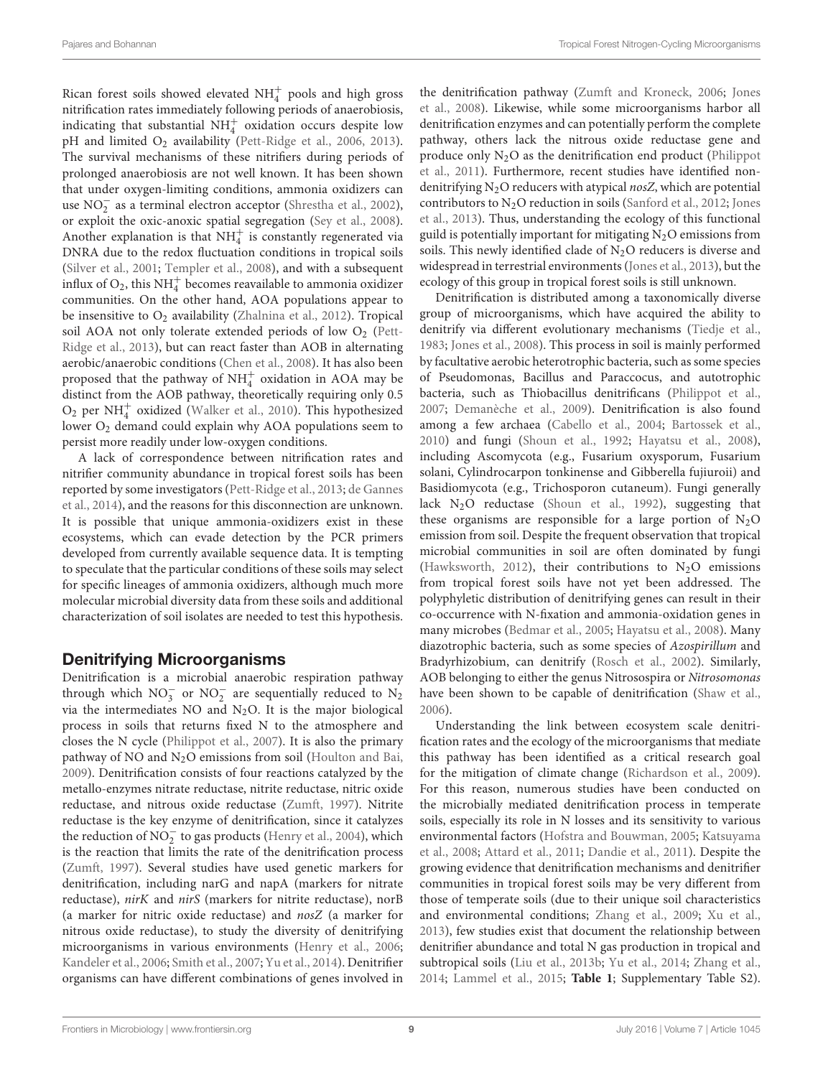Rican forest soils showed elevated  $\mathrm{NH}_4^+$  pools and high gross nitrification rates immediately following periods of anaerobiosis, indicating that substantial  $NH<sub>4</sub><sup>+</sup>$  oxidation occurs despite low pH and limited O<sub>2</sub> availability [\(Pett-Ridge et al.,](#page-17-12) [2006,](#page-17-12) [2013\)](#page-17-18). The survival mechanisms of these nitrifiers during periods of prolonged anaerobiosis are not well known. It has been shown that under oxygen-limiting conditions, ammonia oxidizers can use NO<sup>−</sup> 2 as a terminal electron acceptor [\(Shrestha et al.,](#page-17-29) [2002\)](#page-17-29), or exploit the oxic-anoxic spatial segregation [\(Sey et al.,](#page-17-30) [2008\)](#page-17-30). Another explanation is that  $NH<sub>4</sub><sup>+</sup>$  is constantly regenerated via DNRA due to the redox fluctuation conditions in tropical soils [\(Silver et al.,](#page-17-11) [2001;](#page-17-11) [Templer et al.,](#page-18-17) [2008\)](#page-18-17), and with a subsequent influx of  $O_2$ , this NH $_4^+$  becomes reavailable to ammonia oxidizer communities. On the other hand, AOA populations appear to be insensitive to  $O_2$  availability [\(Zhalnina et al.,](#page-19-12) [2012\)](#page-19-12). Tropical soil AOA not only tolerate extended periods of low  $O_2$  [\(Pett-](#page-17-18)[Ridge et al.,](#page-17-18) [2013\)](#page-17-18), but can react faster than AOB in alternating aerobic/anaerobic conditions [\(Chen et al.,](#page-14-19) [2008\)](#page-14-19). It has also been proposed that the pathway of  $\mathrm{NH}_4^+$  oxidation in AOA may be distinct from the AOB pathway, theoretically requiring only 0.5 <sup>O</sup><sup>2</sup> per NH<sup>+</sup> 4 oxidized [\(Walker et al.,](#page-18-30) [2010\)](#page-18-30). This hypothesized lower O<sub>2</sub> demand could explain why AOA populations seem to persist more readily under low-oxygen conditions.

A lack of correspondence between nitrification rates and nitrifier community abundance in tropical forest soils has been reported by some investigators [\(Pett-Ridge et al.,](#page-17-18) [2013;](#page-17-18) [de Gannes](#page-14-14) [et al.,](#page-14-14) [2014\)](#page-14-14), and the reasons for this disconnection are unknown. It is possible that unique ammonia-oxidizers exist in these ecosystems, which can evade detection by the PCR primers developed from currently available sequence data. It is tempting to speculate that the particular conditions of these soils may select for specific lineages of ammonia oxidizers, although much more molecular microbial diversity data from these soils and additional characterization of soil isolates are needed to test this hypothesis.

## Denitrifying Microorganisms

Denitrification is a microbial anaerobic respiration pathway through which  $NO_3^-$  or  $NO_2^-$  are sequentially reduced to  $N_2$ via the intermediates NO and  $N_2O$ . It is the major biological process in soils that returns fixed N to the atmosphere and closes the N cycle [\(Philippot et al.,](#page-17-7) [2007\)](#page-17-7). It is also the primary pathway of NO and  $N<sub>2</sub>O$  emissions from soil [\(Houlton and Bai,](#page-15-24) [2009\)](#page-15-24). Denitrification consists of four reactions catalyzed by the metallo-enzymes nitrate reductase, nitrite reductase, nitric oxide reductase, and nitrous oxide reductase [\(Zumft,](#page-19-14) [1997\)](#page-19-14). Nitrite reductase is the key enzyme of denitrification, since it catalyzes the reduction of  $\overline{NO_2}^{\text{-}}$  to gas products [\(Henry et al.,](#page-15-25) [2004\)](#page-15-25), which is the reaction that limits the rate of the denitrification process [\(Zumft,](#page-19-14) [1997\)](#page-19-14). Several studies have used genetic markers for denitrification, including narG and napA (markers for nitrate reductase), nirK and nirS (markers for nitrite reductase), norB (a marker for nitric oxide reductase) and nosZ (a marker for nitrous oxide reductase), to study the diversity of denitrifying microorganisms in various environments [\(Henry et al.,](#page-15-26) [2006;](#page-15-26) [Kandeler et al.,](#page-15-27) [2006;](#page-15-27) [Smith et al.,](#page-17-31) [2007;](#page-17-31) [Yu et al.,](#page-19-2) [2014\)](#page-19-2). Denitrifier organisms can have different combinations of genes involved in

the denitrification pathway [\(Zumft and Kroneck,](#page-19-15) [2006;](#page-19-15) [Jones](#page-15-28) [et al.,](#page-15-28) [2008\)](#page-15-28). Likewise, while some microorganisms harbor all denitrification enzymes and can potentially perform the complete pathway, others lack the nitrous oxide reductase gene and produce only  $N_2O$  as the denitrification end product [\(Philippot](#page-17-32) [et al.,](#page-17-32) [2011\)](#page-17-32). Furthermore, recent studies have identified nondenitrifying  $N_2O$  reducers with atypical nosZ, which are potential contributors to  $N_2O$  reduction in soils [\(Sanford et al.,](#page-17-10) [2012;](#page-17-10) [Jones](#page-15-29) [et al.,](#page-15-29) [2013\)](#page-15-29). Thus, understanding the ecology of this functional guild is potentially important for mitigating  $N_2O$  emissions from soils. This newly identified clade of  $N<sub>2</sub>O$  reducers is diverse and widespread in terrestrial environments [\(Jones et al.,](#page-15-29) [2013\)](#page-15-29), but the ecology of this group in tropical forest soils is still unknown.

Denitrification is distributed among a taxonomically diverse group of microorganisms, which have acquired the ability to denitrify via different evolutionary mechanisms [\(Tiedje et al.,](#page-18-31) [1983;](#page-18-31) [Jones et al.,](#page-15-28) [2008\)](#page-15-28). This process in soil is mainly performed by facultative aerobic heterotrophic bacteria, such as some species of Pseudomonas, Bacillus and Paraccocus, and autotrophic bacteria, such as Thiobacillus denitrificans [\(Philippot et al.,](#page-17-7) [2007;](#page-17-7) [Demanèche et al.,](#page-14-23) [2009\)](#page-14-23). Denitrification is also found among a few archaea [\(Cabello et al.,](#page-14-24) [2004;](#page-14-24) [Bartossek et al.,](#page-13-13) [2010\)](#page-13-13) and fungi [\(Shoun et al.,](#page-17-33) [1992;](#page-17-33) [Hayatsu et al.,](#page-15-0) [2008\)](#page-15-0), including Ascomycota (e.g., Fusarium oxysporum, Fusarium solani, Cylindrocarpon tonkinense and Gibberella fujiuroii) and Basidiomycota (e.g., Trichosporon cutaneum). Fungi generally lack N2O reductase [\(Shoun et al.,](#page-17-33) [1992\)](#page-17-33), suggesting that these organisms are responsible for a large portion of  $N<sub>2</sub>O$ emission from soil. Despite the frequent observation that tropical microbial communities in soil are often dominated by fungi [\(Hawksworth,](#page-15-30) [2012\)](#page-15-30), their contributions to  $N_2O$  emissions from tropical forest soils have not yet been addressed. The polyphyletic distribution of denitrifying genes can result in their co-occurrence with N-fixation and ammonia-oxidation genes in many microbes [\(Bedmar et al.,](#page-13-14) [2005;](#page-13-14) [Hayatsu et al.,](#page-15-0) [2008\)](#page-15-0). Many diazotrophic bacteria, such as some species of Azospirillum and Bradyrhizobium, can denitrify [\(Rosch et al.,](#page-17-20) [2002\)](#page-17-20). Similarly, AOB belonging to either the genus Nitrosospira or Nitrosomonas have been shown to be capable of denitrification [\(Shaw et al.,](#page-17-24) [2006\)](#page-17-24).

Understanding the link between ecosystem scale denitrification rates and the ecology of the microorganisms that mediate this pathway has been identified as a critical research goal for the mitigation of climate change [\(Richardson et al.,](#page-17-34) [2009\)](#page-17-34). For this reason, numerous studies have been conducted on the microbially mediated denitrification process in temperate soils, especially its role in N losses and its sensitivity to various environmental factors [\(Hofstra and Bouwman,](#page-15-31) [2005;](#page-15-31) [Katsuyama](#page-16-23) [et al.,](#page-16-23) [2008;](#page-16-23) [Attard et al.,](#page-13-15) [2011;](#page-13-15) [Dandie et al.,](#page-14-25) [2011\)](#page-14-25). Despite the growing evidence that denitrification mechanisms and denitrifier communities in tropical forest soils may be very different from those of temperate soils (due to their unique soil characteristics and environmental conditions; [Zhang et al.,](#page-19-16) [2009;](#page-19-16) [Xu et al.,](#page-19-1) [2013\)](#page-19-1), few studies exist that document the relationship between denitrifier abundance and total N gas production in tropical and subtropical soils [\(Liu et al.,](#page-16-16) [2013b;](#page-16-16) [Yu et al.,](#page-19-2) [2014;](#page-19-2) [Zhang et al.,](#page-19-0) [2014;](#page-19-0) [Lammel et al.,](#page-16-14) [2015;](#page-16-14) **[Table 1](#page-4-0)**; Supplementary Table S2).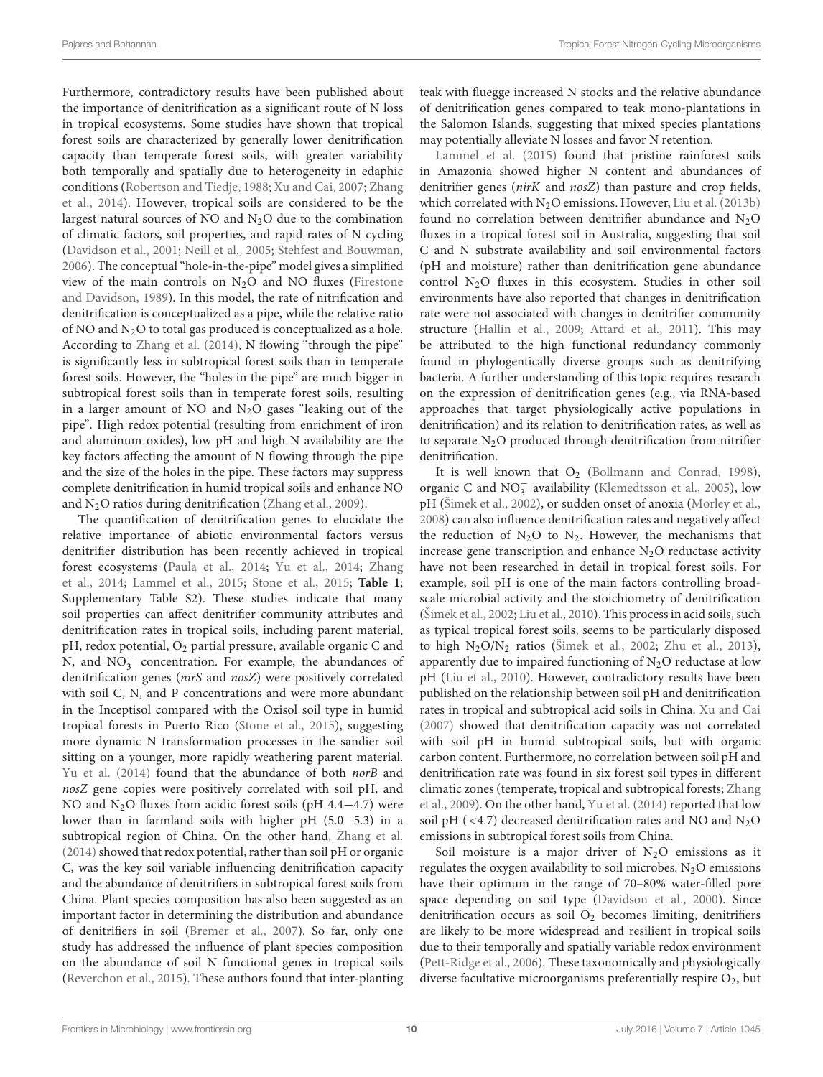Furthermore, contradictory results have been published about the importance of denitrification as a significant route of N loss in tropical ecosystems. Some studies have shown that tropical forest soils are characterized by generally lower denitrification capacity than temperate forest soils, with greater variability both temporally and spatially due to heterogeneity in edaphic conditions [\(Robertson and Tiedje,](#page-17-35) [1988;](#page-17-35) [Xu and Cai,](#page-19-17) [2007;](#page-19-17) [Zhang](#page-19-0) [et al.,](#page-19-0) [2014\)](#page-19-0). However, tropical soils are considered to be the largest natural sources of NO and  $N_2O$  due to the combination of climatic factors, soil properties, and rapid rates of N cycling [\(Davidson et al.,](#page-14-26) [2001;](#page-14-26) [Neill et al.,](#page-16-8) [2005;](#page-16-8) [Stehfest and Bouwman,](#page-18-32) [2006\)](#page-18-32). The conceptual "hole-in-the-pipe" model gives a simplified view of the main controls on  $N_2O$  and NO fluxes [\(Firestone](#page-15-32) [and Davidson,](#page-15-32) [1989\)](#page-15-32). In this model, the rate of nitrification and denitrification is conceptualized as a pipe, while the relative ratio of NO and N2O to total gas produced is conceptualized as a hole. According to [Zhang et al.](#page-19-0) [\(2014\)](#page-19-0), N flowing "through the pipe" is significantly less in subtropical forest soils than in temperate forest soils. However, the "holes in the pipe" are much bigger in subtropical forest soils than in temperate forest soils, resulting in a larger amount of NO and  $N_2O$  gases "leaking out of the pipe". High redox potential (resulting from enrichment of iron and aluminum oxides), low pH and high N availability are the key factors affecting the amount of N flowing through the pipe and the size of the holes in the pipe. These factors may suppress complete denitrification in humid tropical soils and enhance NO and N2O ratios during denitrification [\(Zhang et al.,](#page-19-16) [2009\)](#page-19-16).

The quantification of denitrification genes to elucidate the relative importance of abiotic environmental factors versus denitrifier distribution has been recently achieved in tropical forest ecosystems [\(Paula et al.,](#page-17-16) [2014;](#page-17-16) [Yu et al.,](#page-19-2) [2014;](#page-19-2) [Zhang](#page-19-0) [et al.,](#page-19-0) [2014;](#page-19-0) [Lammel et al.,](#page-16-14) [2015;](#page-16-14) [Stone et al.,](#page-18-18) [2015;](#page-18-18) **[Table 1](#page-4-0)**; Supplementary Table S2). These studies indicate that many soil properties can affect denitrifier community attributes and denitrification rates in tropical soils, including parent material, pH, redox potential, O<sup>2</sup> partial pressure, available organic C and N, and  $NO_3^-$  concentration. For example, the abundances of denitrification genes (nirS and nosZ) were positively correlated with soil C, N, and P concentrations and were more abundant in the Inceptisol compared with the Oxisol soil type in humid tropical forests in Puerto Rico [\(Stone et al.,](#page-18-18) [2015\)](#page-18-18), suggesting more dynamic N transformation processes in the sandier soil sitting on a younger, more rapidly weathering parent material. [Yu et al.](#page-19-2) [\(2014\)](#page-19-2) found that the abundance of both norB and nosZ gene copies were positively correlated with soil pH, and NO and N<sub>2</sub>O fluxes from acidic forest soils (pH 4.4−4.7) were lower than in farmland soils with higher pH (5.0−5.3) in a subtropical region of China. On the other hand, [Zhang et al.](#page-19-0)  $(2014)$  showed that redox potential, rather than soil pH or organic C, was the key soil variable influencing denitrification capacity and the abundance of denitrifiers in subtropical forest soils from China. Plant species composition has also been suggested as an important factor in determining the distribution and abundance of denitrifiers in soil [\(Bremer et al.,](#page-13-16) [2007\)](#page-13-16). So far, only one study has addressed the influence of plant species composition on the abundance of soil N functional genes in tropical soils [\(Reverchon et al.,](#page-17-36) [2015\)](#page-17-36). These authors found that inter-planting teak with fluegge increased N stocks and the relative abundance of denitrification genes compared to teak mono-plantations in the Salomon Islands, suggesting that mixed species plantations may potentially alleviate N losses and favor N retention.

[Lammel et al.](#page-16-14) [\(2015\)](#page-16-14) found that pristine rainforest soils in Amazonia showed higher N content and abundances of denitrifier genes (nirK and nosZ) than pasture and crop fields, which correlated with  $N_2O$  emissions. However, [Liu et al.](#page-16-16) [\(2013b\)](#page-16-16) found no correlation between denitrifier abundance and  $N_2O$ fluxes in a tropical forest soil in Australia, suggesting that soil C and N substrate availability and soil environmental factors (pH and moisture) rather than denitrification gene abundance control  $N_2O$  fluxes in this ecosystem. Studies in other soil environments have also reported that changes in denitrification rate were not associated with changes in denitrifier community structure [\(Hallin et al.,](#page-15-33) [2009;](#page-15-33) [Attard et al.,](#page-13-15) [2011\)](#page-13-15). This may be attributed to the high functional redundancy commonly found in phylogentically diverse groups such as denitrifying bacteria. A further understanding of this topic requires research on the expression of denitrification genes (e.g., via RNA-based approaches that target physiologically active populations in denitrification) and its relation to denitrification rates, as well as to separate  $N_2O$  produced through denitrification from nitrifier denitrification.

It is well known that  $O_2$  [\(Bollmann and Conrad,](#page-13-17) [1998\)](#page-13-17), organic C and NO<sup>−</sup> 3 availability [\(Klemedtsson et al.,](#page-16-24) [2005\)](#page-16-24), low pH [\(Šimek et al.,](#page-17-37) [2002\)](#page-17-37), or sudden onset of anoxia [\(Morley et al.,](#page-16-25) [2008\)](#page-16-25) can also influence denitrification rates and negatively affect the reduction of  $N_2O$  to  $N_2$ . However, the mechanisms that increase gene transcription and enhance  $N_2O$  reductase activity have not been researched in detail in tropical forest soils. For example, soil pH is one of the main factors controlling broadscale microbial activity and the stoichiometry of denitrification [\(Šimek et al.,](#page-17-37) [2002;](#page-17-37) [Liu et al.,](#page-16-26) [2010\)](#page-16-26). This process in acid soils, such as typical tropical forest soils, seems to be particularly disposed to high  $N_2O/N_2$  ratios [\(Šimek et al.,](#page-17-37) [2002;](#page-17-37) [Zhu et al.,](#page-19-10) [2013\)](#page-19-10), apparently due to impaired functioning of  $N_2O$  reductase at low pH [\(Liu et al.,](#page-16-26) [2010\)](#page-16-26). However, contradictory results have been published on the relationship between soil pH and denitrification rates in tropical and subtropical acid soils in China. [Xu and Cai](#page-19-17) [\(2007\)](#page-19-17) showed that denitrification capacity was not correlated with soil pH in humid subtropical soils, but with organic carbon content. Furthermore, no correlation between soil pH and denitrification rate was found in six forest soil types in different climatic zones (temperate, tropical and subtropical forests; [Zhang](#page-19-16) [et al.,](#page-19-16) [2009\)](#page-19-16). On the other hand, [Yu et al.](#page-19-2) [\(2014\)](#page-19-2) reported that low soil pH ( $\langle 4.7 \rangle$ ) decreased denitrification rates and NO and N<sub>2</sub>O emissions in subtropical forest soils from China.

Soil moisture is a major driver of  $N_2O$  emissions as it regulates the oxygen availability to soil microbes.  $N_2O$  emissions have their optimum in the range of 70–80% water-filled pore space depending on soil type [\(Davidson et al.,](#page-14-27) [2000\)](#page-14-27). Since denitrification occurs as soil  $O<sub>2</sub>$  becomes limiting, denitrifiers are likely to be more widespread and resilient in tropical soils due to their temporally and spatially variable redox environment [\(Pett-Ridge et al.,](#page-17-12) [2006\)](#page-17-12). These taxonomically and physiologically diverse facultative microorganisms preferentially respire  $O_2$ , but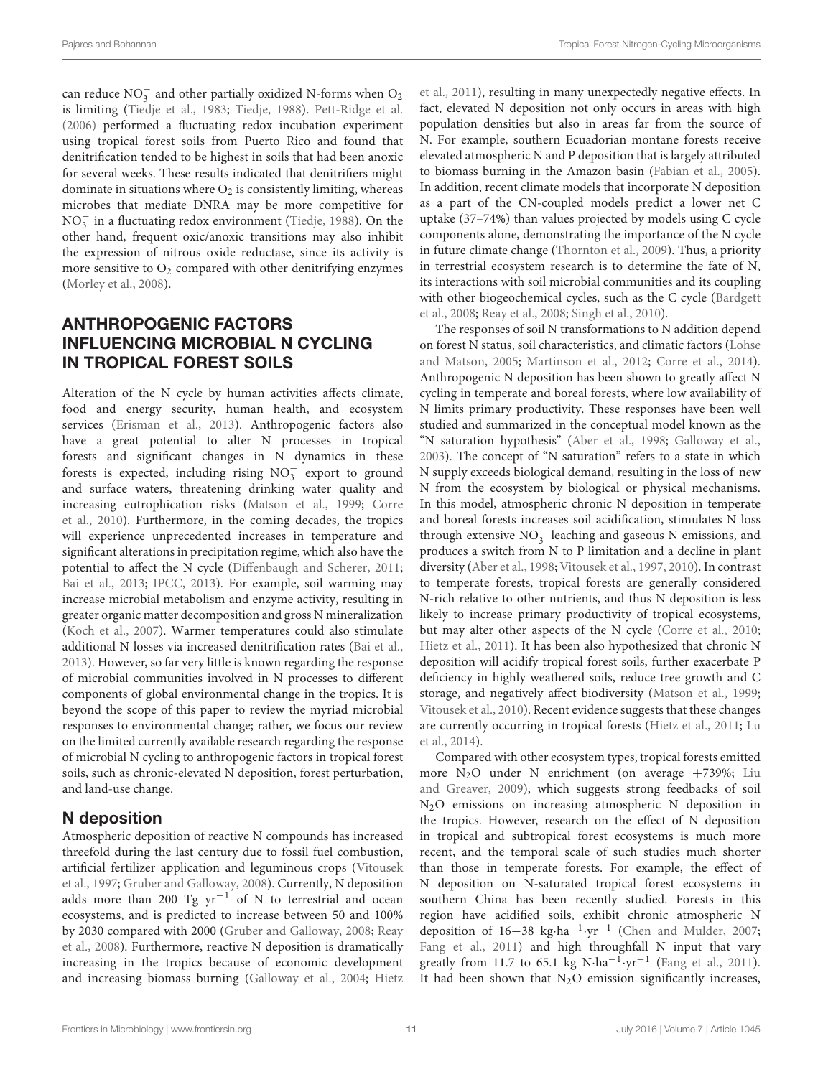can reduce  $NO_3^-$  and other partially oxidized N-forms when  $O_2$ is limiting [\(Tiedje et al.,](#page-18-31) [1983;](#page-18-31) [Tiedje,](#page-18-13) [1988\)](#page-18-13). [Pett-Ridge et al.](#page-17-12) [\(2006\)](#page-17-12) performed a fluctuating redox incubation experiment using tropical forest soils from Puerto Rico and found that denitrification tended to be highest in soils that had been anoxic for several weeks. These results indicated that denitrifiers might dominate in situations where  $O_2$  is consistently limiting, whereas microbes that mediate DNRA may be more competitive for NO<sup>−</sup> 3 in a fluctuating redox environment [\(Tiedje,](#page-18-13) [1988\)](#page-18-13). On the other hand, frequent oxic/anoxic transitions may also inhibit the expression of nitrous oxide reductase, since its activity is more sensitive to  $O_2$  compared with other denitrifying enzymes [\(Morley et al.,](#page-16-25) [2008\)](#page-16-25).

# ANTHROPOGENIC FACTORS INFLUENCING MICROBIAL N CYCLING IN TROPICAL FOREST SOILS

Alteration of the N cycle by human activities affects climate, food and energy security, human health, and ecosystem services [\(Erisman et al.,](#page-14-28) [2013\)](#page-14-28). Anthropogenic factors also have a great potential to alter N processes in tropical forests and significant changes in N dynamics in these forests is expected, including rising  $NO<sub>3</sub><sup>-</sup>$  export to ground and surface waters, threatening drinking water quality and increasing eutrophication risks [\(Matson et al.,](#page-16-27) [1999;](#page-16-27) [Corre](#page-14-29) [et al.,](#page-14-29) [2010\)](#page-14-29). Furthermore, in the coming decades, the tropics will experience unprecedented increases in temperature and significant alterations in precipitation regime, which also have the potential to affect the N cycle [\(Diffenbaugh and Scherer,](#page-14-30) [2011;](#page-14-30) [Bai et al.,](#page-13-18) [2013;](#page-13-18) [IPCC,](#page-15-34) [2013\)](#page-15-34). For example, soil warming may increase microbial metabolism and enzyme activity, resulting in greater organic matter decomposition and gross N mineralization [\(Koch et al.,](#page-16-28) [2007\)](#page-16-28). Warmer temperatures could also stimulate additional N losses via increased denitrification rates [\(Bai et al.,](#page-13-18) [2013\)](#page-13-18). However, so far very little is known regarding the response of microbial communities involved in N processes to different components of global environmental change in the tropics. It is beyond the scope of this paper to review the myriad microbial responses to environmental change; rather, we focus our review on the limited currently available research regarding the response of microbial N cycling to anthropogenic factors in tropical forest soils, such as chronic-elevated N deposition, forest perturbation, and land-use change.

# N deposition

Atmospheric deposition of reactive N compounds has increased threefold during the last century due to fossil fuel combustion, artificial fertilizer application and leguminous crops [\(Vitousek](#page-18-33) [et al.,](#page-18-33) [1997;](#page-18-33) [Gruber and Galloway,](#page-15-35) [2008\)](#page-15-35). Currently, N deposition adds more than 200 Tg  $yr^{-1}$  of N to terrestrial and ocean ecosystems, and is predicted to increase between 50 and 100% by 2030 compared with 2000 [\(Gruber and Galloway,](#page-15-35) [2008;](#page-15-35) [Reay](#page-17-38) [et al.,](#page-17-38) [2008\)](#page-17-38). Furthermore, reactive N deposition is dramatically increasing in the tropics because of economic development and increasing biomass burning [\(Galloway et al.,](#page-15-16) [2004;](#page-15-16) [Hietz](#page-15-2)

[et al.,](#page-15-2) [2011\)](#page-15-2), resulting in many unexpectedly negative effects. In fact, elevated N deposition not only occurs in areas with high population densities but also in areas far from the source of N. For example, southern Ecuadorian montane forests receive elevated atmospheric N and P deposition that is largely attributed to biomass burning in the Amazon basin [\(Fabian et al.,](#page-14-31) [2005\)](#page-14-31). In addition, recent climate models that incorporate N deposition as a part of the CN-coupled models predict a lower net C uptake (37–74%) than values projected by models using C cycle components alone, demonstrating the importance of the N cycle in future climate change [\(Thornton et al.,](#page-18-34) [2009\)](#page-18-34). Thus, a priority in terrestrial ecosystem research is to determine the fate of N, its interactions with soil microbial communities and its coupling with other biogeochemical cycles, such as the C cycle [\(Bardgett](#page-13-19) [et al.,](#page-13-19) [2008;](#page-13-19) [Reay et al.,](#page-17-38) [2008;](#page-17-38) [Singh et al.,](#page-17-2) [2010\)](#page-17-2).

The responses of soil N transformations to N addition depend on forest N status, soil characteristics, and climatic factors [\(Lohse](#page-16-29) [and Matson,](#page-16-29) [2005;](#page-16-29) [Martinson et al.,](#page-16-30) [2012;](#page-16-30) [Corre et al.,](#page-14-32) [2014\)](#page-14-32). Anthropogenic N deposition has been shown to greatly affect N cycling in temperate and boreal forests, where low availability of N limits primary productivity. These responses have been well studied and summarized in the conceptual model known as the "N saturation hypothesis" [\(Aber et al.,](#page-13-20) [1998;](#page-13-20) [Galloway et al.,](#page-15-36) [2003\)](#page-15-36). The concept of "N saturation" refers to a state in which N supply exceeds biological demand, resulting in the loss of new N from the ecosystem by biological or physical mechanisms. In this model, atmospheric chronic N deposition in temperate and boreal forests increases soil acidification, stimulates N loss through extensive  $NO_3^-$  leaching and gaseous N emissions, and produces a switch from N to P limitation and a decline in plant diversity [\(Aber et al.,](#page-13-20) [1998;](#page-13-20) [Vitousek et al.,](#page-18-33) [1997,](#page-18-33) [2010\)](#page-18-6). In contrast to temperate forests, tropical forests are generally considered N-rich relative to other nutrients, and thus N deposition is less likely to increase primary productivity of tropical ecosystems, but may alter other aspects of the N cycle [\(Corre et al.,](#page-14-29) [2010;](#page-14-29) [Hietz et al.,](#page-15-2) [2011\)](#page-15-2). It has been also hypothesized that chronic N deposition will acidify tropical forest soils, further exacerbate P deficiency in highly weathered soils, reduce tree growth and C storage, and negatively affect biodiversity [\(Matson et al.,](#page-16-27) [1999;](#page-16-27) [Vitousek et al.,](#page-18-6) [2010\)](#page-18-6). Recent evidence suggests that these changes are currently occurring in tropical forests [\(Hietz et al.,](#page-15-2) [2011;](#page-15-2) [Lu](#page-16-31) [et al.,](#page-16-31) [2014\)](#page-16-31).

Compared with other ecosystem types, tropical forests emitted more  $N_2O$  under N enrichment (on average  $+739\%$ ; [Liu](#page-16-32) [and Greaver,](#page-16-32) [2009\)](#page-16-32), which suggests strong feedbacks of soil N2O emissions on increasing atmospheric N deposition in the tropics. However, research on the effect of N deposition in tropical and subtropical forest ecosystems is much more recent, and the temporal scale of such studies much shorter than those in temperate forests. For example, the effect of N deposition on N-saturated tropical forest ecosystems in southern China has been recently studied. Forests in this region have acidified soils, exhibit chronic atmospheric N deposition of 16−38 kg·ha−<sup>1</sup> ·yr−<sup>1</sup> [\(Chen and Mulder,](#page-14-33) [2007;](#page-14-33) [Fang et al.,](#page-14-34) [2011\)](#page-14-34) and high throughfall N input that vary greatly from 11.7 to 65.1 kg N·ha<sup>-1</sup>·yr<sup>-1</sup> [\(Fang et al.,](#page-14-34) [2011\)](#page-14-34). It had been shown that  $N_2O$  emission significantly increases,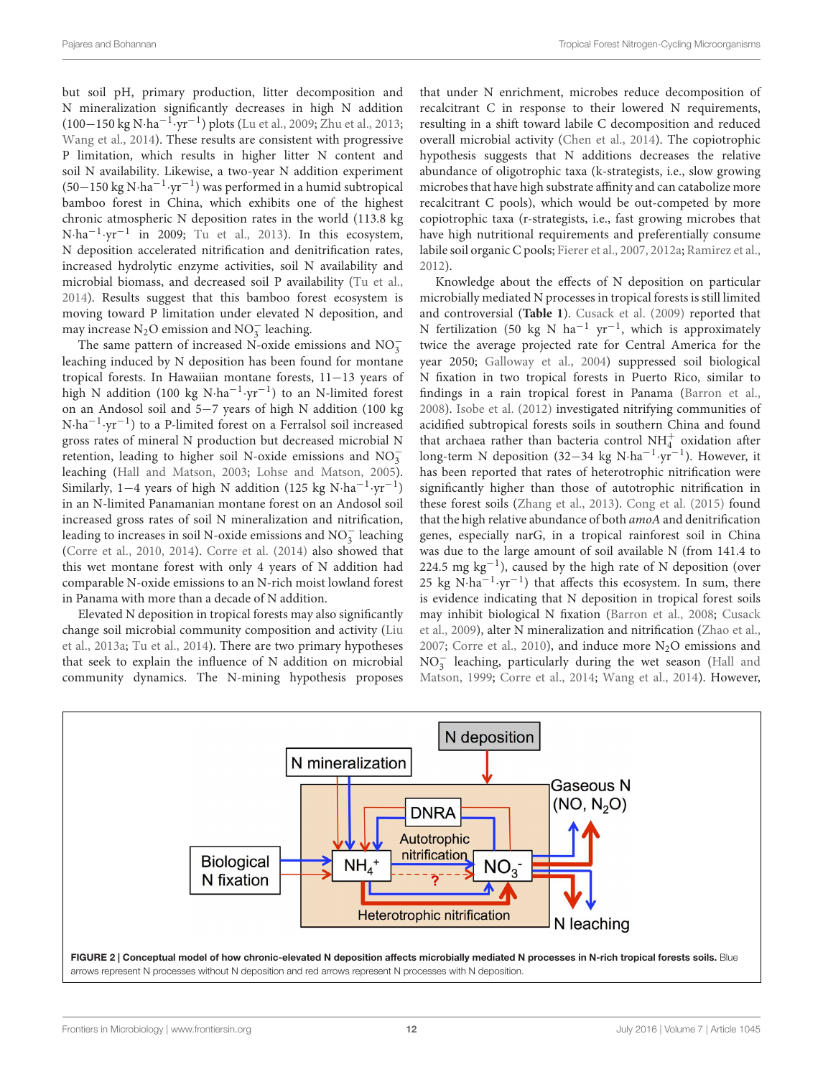but soil pH, primary production, litter decomposition and N mineralization significantly decreases in high N addition (100−150 kg N·ha−<sup>1</sup> ·yr−<sup>1</sup> ) plots [\(Lu et al.,](#page-16-33) [2009;](#page-16-33) [Zhu et al.,](#page-19-10) [2013;](#page-19-10) [Wang et al.,](#page-18-35) [2014\)](#page-18-35). These results are consistent with progressive P limitation, which results in higher litter N content and soil N availability. Likewise, a two-year N addition experiment (50−150 kg N·ha−<sup>1</sup> ·yr−<sup>1</sup> ) was performed in a humid subtropical bamboo forest in China, which exhibits one of the highest chronic atmospheric N deposition rates in the world (113.8 kg N·ha−<sup>1</sup> ·yr−<sup>1</sup> in 2009; [Tu et al.,](#page-18-36) [2013\)](#page-18-36). In this ecosystem, N deposition accelerated nitrification and denitrification rates, increased hydrolytic enzyme activities, soil N availability and microbial biomass, and decreased soil P availability [\(Tu et al.,](#page-18-37) [2014\)](#page-18-37). Results suggest that this bamboo forest ecosystem is moving toward P limitation under elevated N deposition, and may increase N<sub>2</sub>O emission and NO<sub>3</sub> leaching.

The same pattern of increased N-oxide emissions and  $NO_3^$ leaching induced by N deposition has been found for montane tropical forests. In Hawaiian montane forests, 11−13 years of high N addition (100 kg N·ha−<sup>1</sup> ·yr−<sup>1</sup> ) to an N-limited forest on an Andosol soil and 5−7 years of high N addition (100 kg N·ha−<sup>1</sup> ·yr−<sup>1</sup> ) to a P-limited forest on a Ferralsol soil increased gross rates of mineral N production but decreased microbial N retention, leading to higher soil N-oxide emissions and  $NO_3^$ leaching [\(Hall and Matson,](#page-15-4) [2003;](#page-15-4) [Lohse and Matson,](#page-16-29) [2005\)](#page-16-29). Similarly, 1−4 years of high N addition (125 kg N·ha−<sup>1</sup> ·yr−<sup>1</sup> ) in an N-limited Panamanian montane forest on an Andosol soil increased gross rates of soil N mineralization and nitrification, leading to increases in soil N-oxide emissions and  $\text{NO}_3^-$  leaching [\(Corre et al.,](#page-14-29) [2010,](#page-14-29) [2014\)](#page-14-32). [Corre et al.](#page-14-32) [\(2014\)](#page-14-32) also showed that this wet montane forest with only 4 years of N addition had comparable N-oxide emissions to an N-rich moist lowland forest in Panama with more than a decade of N addition.

Elevated N deposition in tropical forests may also significantly change soil microbial community composition and activity [\(Liu](#page-16-13) [et al.,](#page-16-13) [2013a;](#page-16-13) [Tu et al.,](#page-18-37) [2014\)](#page-18-37). There are two primary hypotheses that seek to explain the influence of N addition on microbial community dynamics. The N-mining hypothesis proposes that under N enrichment, microbes reduce decomposition of recalcitrant C in response to their lowered N requirements, resulting in a shift toward labile C decomposition and reduced overall microbial activity [\(Chen et al.,](#page-14-35) [2014\)](#page-14-35). The copiotrophic hypothesis suggests that N additions decreases the relative abundance of oligotrophic taxa (k-strategists, i.e., slow growing microbes that have high substrate affinity and can catabolize more recalcitrant C pools), which would be out-competed by more copiotrophic taxa (r-strategists, i.e., fast growing microbes that have high nutritional requirements and preferentially consume labile soil organic C pools; [Fierer et al.,](#page-14-36) [2007,](#page-14-36) [2012a;](#page-15-37) [Ramirez et al.,](#page-17-14) [2012\)](#page-17-14).

Knowledge about the effects of N deposition on particular microbially mediated N processes in tropical forests is still limited and controversial (**[Table 1](#page-4-0)**). [Cusack et al.](#page-14-5) [\(2009\)](#page-14-5) reported that N fertilization (50 kg N ha<sup>-1</sup> yr<sup>-1</sup>, which is approximately twice the average projected rate for Central America for the year 2050; [Galloway et al.,](#page-15-16) [2004\)](#page-15-16) suppressed soil biological N fixation in two tropical forests in Puerto Rico, similar to findings in a rain tropical forest in Panama [\(Barron et al.,](#page-13-10) [2008\)](#page-13-10). [Isobe et al.](#page-15-14) [\(2012\)](#page-15-14) investigated nitrifying communities of acidified subtropical forests soils in southern China and found that archaea rather than bacteria control  $NH<sub>4</sub><sup>+</sup>$  oxidation after long-term N deposition (32−34 kg N·ha−<sup>1</sup> ·yr−<sup>1</sup> ). However, it has been reported that rates of heterotrophic nitrification were significantly higher than those of autotrophic nitrification in these forest soils [\(Zhang et al.,](#page-19-8) [2013\)](#page-19-8). [Cong et al.](#page-14-13) [\(2015\)](#page-14-13) found that the high relative abundance of both amoA and denitrification genes, especially narG, in a tropical rainforest soil in China was due to the large amount of soil available N (from 141.4 to 224.5 mg kg<sup>-1</sup>), caused by the high rate of N deposition (over 25 kg N·ha−<sup>1</sup> ·yr−<sup>1</sup> ) that affects this ecosystem. In sum, there is evidence indicating that N deposition in tropical forest soils may inhibit biological N fixation [\(Barron et al.,](#page-13-10) [2008;](#page-13-10) [Cusack](#page-14-5) [et al.,](#page-14-5) [2009\)](#page-14-5), alter N mineralization and nitrification [\(Zhao et al.,](#page-19-18) [2007;](#page-19-18) [Corre et al.,](#page-14-29) [2010\)](#page-14-29), and induce more  $N_2O$  emissions and NO<sub>3</sub></sub> leaching, particularly during the wet season [\(Hall and](#page-15-9) [Matson,](#page-15-9) [1999;](#page-15-9) [Corre et al.,](#page-14-32) [2014;](#page-14-32) [Wang et al.,](#page-18-35) [2014\)](#page-18-35). However,

<span id="page-11-0"></span>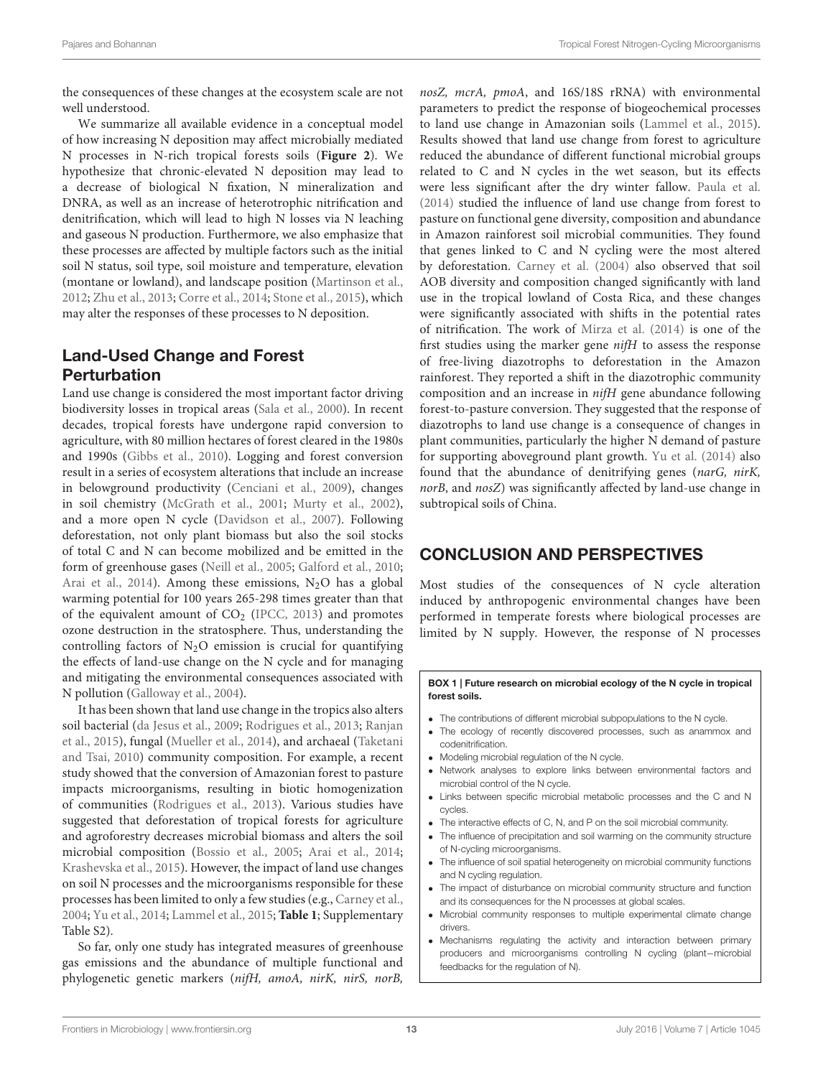the consequences of these changes at the ecosystem scale are not well understood.

We summarize all available evidence in a conceptual model of how increasing N deposition may affect microbially mediated N processes in N-rich tropical forests soils (**[Figure 2](#page-11-0)**). We hypothesize that chronic-elevated N deposition may lead to a decrease of biological N fixation, N mineralization and DNRA, as well as an increase of heterotrophic nitrification and denitrification, which will lead to high N losses via N leaching and gaseous N production. Furthermore, we also emphasize that these processes are affected by multiple factors such as the initial soil N status, soil type, soil moisture and temperature, elevation (montane or lowland), and landscape position [\(Martinson et al.,](#page-16-30) [2012;](#page-16-30) [Zhu et al.,](#page-19-10) [2013;](#page-19-10) [Corre et al.,](#page-14-32) [2014;](#page-14-32) [Stone et al.,](#page-18-18) [2015\)](#page-18-18), which may alter the responses of these processes to N deposition.

# Land-Used Change and Forest **Perturbation**

Land use change is considered the most important factor driving biodiversity losses in tropical areas [\(Sala et al.,](#page-17-39) [2000\)](#page-17-39). In recent decades, tropical forests have undergone rapid conversion to agriculture, with 80 million hectares of forest cleared in the 1980s and 1990s [\(Gibbs et al.,](#page-15-38) [2010\)](#page-15-38). Logging and forest conversion result in a series of ecosystem alterations that include an increase in belowground productivity [\(Cenciani et al.,](#page-14-37) [2009\)](#page-14-37), changes in soil chemistry [\(McGrath et al.,](#page-16-34) [2001;](#page-16-34) [Murty et al.,](#page-16-35) [2002\)](#page-16-35), and a more open N cycle [\(Davidson et al.,](#page-14-6) [2007\)](#page-14-6). Following deforestation, not only plant biomass but also the soil stocks of total C and N can become mobilized and be emitted in the form of greenhouse gases [\(Neill et al.,](#page-16-8) [2005;](#page-16-8) [Galford et al.,](#page-15-39) [2010;](#page-15-39) [Arai et al.,](#page-13-21) [2014\)](#page-13-21). Among these emissions,  $N_2O$  has a global warming potential for 100 years 265-298 times greater than that of the equivalent amount of CO<sub>2</sub> [\(IPCC,](#page-15-34) [2013\)](#page-15-34) and promotes ozone destruction in the stratosphere. Thus, understanding the controlling factors of  $N_2O$  emission is crucial for quantifying the effects of land-use change on the N cycle and for managing and mitigating the environmental consequences associated with N pollution [\(Galloway et al.,](#page-15-16) [2004\)](#page-15-16).

It has been shown that land use change in the tropics also alters soil bacterial [\(da Jesus et al.,](#page-14-9) [2009;](#page-14-9) [Rodrigues et al.,](#page-17-15) [2013;](#page-17-15) [Ranjan](#page-17-13) [et al.,](#page-17-13) [2015\)](#page-17-13), fungal [\(Mueller et al.,](#page-16-36) [2014\)](#page-16-36), and archaeal [\(Taketani](#page-18-38) [and Tsai,](#page-18-38) [2010\)](#page-18-38) community composition. For example, a recent study showed that the conversion of Amazonian forest to pasture impacts microorganisms, resulting in biotic homogenization of communities [\(Rodrigues et al.,](#page-17-15) [2013\)](#page-17-15). Various studies have suggested that deforestation of tropical forests for agriculture and agroforestry decreases microbial biomass and alters the soil microbial composition [\(Bossio et al.,](#page-13-22) [2005;](#page-13-22) [Arai et al.,](#page-13-21) [2014;](#page-13-21) [Krashevska et al.,](#page-16-37) [2015\)](#page-16-37). However, the impact of land use changes on soil N processes and the microorganisms responsible for these processes has been limited to only a few studies (e.g., [Carney et al.,](#page-14-15) [2004;](#page-14-15) [Yu et al.,](#page-19-2) [2014;](#page-19-2) [Lammel et al.,](#page-16-14) [2015;](#page-16-14) **[Table 1](#page-4-0)**; Supplementary Table S2).

So far, only one study has integrated measures of greenhouse gas emissions and the abundance of multiple functional and phylogenetic genetic markers (nifH, amoA, nirK, nirS, norB, nosZ, mcrA, pmoA, and 16S/18S rRNA) with environmental parameters to predict the response of biogeochemical processes to land use change in Amazonian soils [\(Lammel et al.,](#page-16-14) [2015\)](#page-16-14). Results showed that land use change from forest to agriculture reduced the abundance of different functional microbial groups related to C and N cycles in the wet season, but its effects were less significant after the dry winter fallow. [Paula et al.](#page-17-16) [\(2014\)](#page-17-16) studied the influence of land use change from forest to pasture on functional gene diversity, composition and abundance in Amazon rainforest soil microbial communities. They found that genes linked to C and N cycling were the most altered by deforestation. [Carney et al.](#page-14-15) [\(2004\)](#page-14-15) also observed that soil AOB diversity and composition changed significantly with land use in the tropical lowland of Costa Rica, and these changes were significantly associated with shifts in the potential rates of nitrification. The work of [Mirza et al.](#page-16-15) [\(2014\)](#page-16-15) is one of the first studies using the marker gene nifH to assess the response of free-living diazotrophs to deforestation in the Amazon rainforest. They reported a shift in the diazotrophic community composition and an increase in nifH gene abundance following forest-to-pasture conversion. They suggested that the response of diazotrophs to land use change is a consequence of changes in plant communities, particularly the higher N demand of pasture for supporting aboveground plant growth. [Yu et al.](#page-19-2) [\(2014\)](#page-19-2) also found that the abundance of denitrifying genes (narG, nirK, norB, and nosZ) was significantly affected by land-use change in subtropical soils of China.

# CONCLUSION AND PERSPECTIVES

Most studies of the consequences of N cycle alteration induced by anthropogenic environmental changes have been performed in temperate forests where biological processes are limited by N supply. However, the response of N processes

#### BOX 1 | Future research on microbial ecology of the N cycle in tropical forest soils.

- The contributions of different microbial subpopulations to the N cycle.
- The ecology of recently discovered processes, such as anammox and codenitrification.
- Modeling microbial regulation of the N cycle.
- Network analyses to explore links between environmental factors and microbial control of the N cycle.
- Links between specific microbial metabolic processes and the C and N cycles.
- The interactive effects of C, N, and P on the soil microbial community.
- The influence of precipitation and soil warming on the community structure of N-cycling microorganisms.
- The influence of soil spatial heterogeneity on microbial community functions and N cycling regulation.
- The impact of disturbance on microbial community structure and function and its consequences for the N processes at global scales.
- Microbial community responses to multiple experimental climate change drivers.
- <span id="page-12-0"></span>• Mechanisms regulating the activity and interaction between primary producers and microorganisms controlling N cycling (plant−microbial feedbacks for the regulation of N).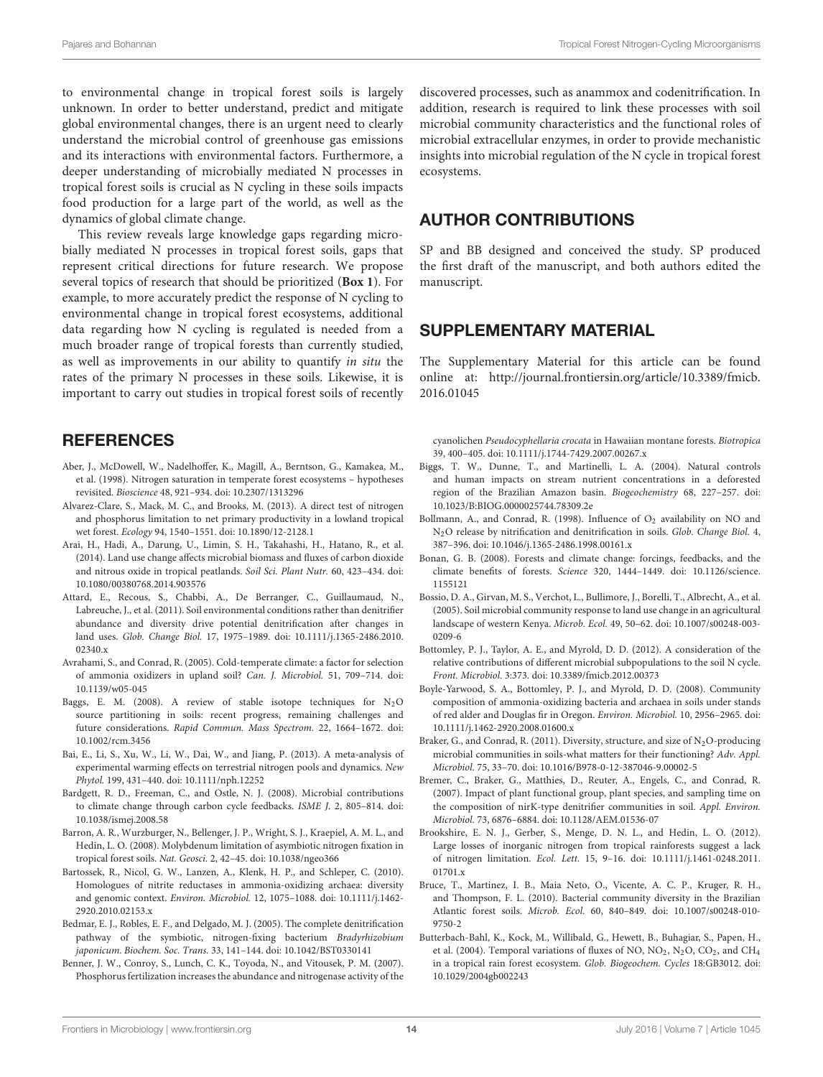to environmental change in tropical forest soils is largely unknown. In order to better understand, predict and mitigate global environmental changes, there is an urgent need to clearly understand the microbial control of greenhouse gas emissions and its interactions with environmental factors. Furthermore, a deeper understanding of microbially mediated N processes in tropical forest soils is crucial as N cycling in these soils impacts food production for a large part of the world, as well as the dynamics of global climate change.

This review reveals large knowledge gaps regarding microbially mediated N processes in tropical forest soils, gaps that represent critical directions for future research. We propose several topics of research that should be prioritized (**[Box 1](#page-12-0)**). For example, to more accurately predict the response of N cycling to environmental change in tropical forest ecosystems, additional data regarding how N cycling is regulated is needed from a much broader range of tropical forests than currently studied, as well as improvements in our ability to quantify in situ the rates of the primary N processes in these soils. Likewise, it is important to carry out studies in tropical forest soils of recently

## **REFERENCES**

- <span id="page-13-20"></span>Aber, J., McDowell, W., Nadelhoffer, K., Magill, A., Berntson, G., Kamakea, M., et al. (1998). Nitrogen saturation in temperate forest ecosystems – hypotheses revisited. Bioscience 48, 921–934. doi: 10.2307/1313296
- <span id="page-13-5"></span>Alvarez-Clare, S., Mack, M. C., and Brooks, M. (2013). A direct test of nitrogen and phosphorus limitation to net primary productivity in a lowland tropical wet forest. Ecology 94, 1540–1551. doi: 10.1890/12-2128.1
- <span id="page-13-21"></span>Arai, H., Hadi, A., Darung, U., Limin, S. H., Takahashi, H., Hatano, R., et al. (2014). Land use change affects microbial biomass and fluxes of carbon dioxide and nitrous oxide in tropical peatlands. Soil Sci. Plant Nutr. 60, 423–434. doi: 10.1080/00380768.2014.903576
- <span id="page-13-15"></span>Attard, E., Recous, S., Chabbi, A., De Berranger, C., Guillaumaud, N., Labreuche, J., et al. (2011). Soil environmental conditions rather than denitrifier abundance and diversity drive potential denitrification after changes in land uses. Glob. Change Biol. 17, 1975–1989. doi: 10.1111/j.1365-2486.2010. 02340 x
- <span id="page-13-12"></span>Avrahami, S., and Conrad, R. (2005). Cold-temperate climate: a factor for selection of ammonia oxidizers in upland soil? Can. J. Microbiol. 51, 709–714. doi: 10.1139/w05-045
- <span id="page-13-1"></span>Baggs, E. M. (2008). A review of stable isotope techniques for  $N_2O$ source partitioning in soils: recent progress, remaining challenges and future considerations. Rapid Commun. Mass Spectrom. 22, 1664–1672. doi: 10.1002/rcm.3456
- <span id="page-13-18"></span>Bai, E., Li, S., Xu, W., Li, W., Dai, W., and Jiang, P. (2013). A meta-analysis of experimental warming effects on terrestrial nitrogen pools and dynamics. New Phytol. 199, 431–440. doi: 10.1111/nph.12252
- <span id="page-13-19"></span>Bardgett, R. D., Freeman, C., and Ostle, N. J. (2008). Microbial contributions to climate change through carbon cycle feedbacks. ISME J. 2, 805–814. doi: 10.1038/ismej.2008.58
- <span id="page-13-10"></span>Barron, A. R., Wurzburger, N., Bellenger, J. P., Wright, S. J., Kraepiel, A. M. L., and Hedin, L. O. (2008). Molybdenum limitation of asymbiotic nitrogen fixation in tropical forest soils. Nat. Geosci. 2, 42–45. doi: 10.1038/ngeo366
- <span id="page-13-13"></span>Bartossek, R., Nicol, G. W., Lanzen, A., Klenk, H. P., and Schleper, C. (2010). Homologues of nitrite reductases in ammonia-oxidizing archaea: diversity and genomic context. Environ. Microbiol. 12, 1075–1088. doi: 10.1111/j.1462- 2920.2010.02153.x
- <span id="page-13-14"></span>Bedmar, E. J., Robles, E. F., and Delgado, M. J. (2005). The complete denitrification pathway of the symbiotic, nitrogen-fixing bacterium Bradyrhizobium japonicum. Biochem. Soc. Trans. 33, 141–144. doi: 10.1042/BST0330141
- <span id="page-13-9"></span>Benner, J. W., Conroy, S., Lunch, C. K., Toyoda, N., and Vitousek, P. M. (2007). Phosphorus fertilization increases the abundance and nitrogenase activity of the

discovered processes, such as anammox and codenitrification. In addition, research is required to link these processes with soil microbial community characteristics and the functional roles of microbial extracellular enzymes, in order to provide mechanistic insights into microbial regulation of the N cycle in tropical forest ecosystems.

# AUTHOR CONTRIBUTIONS

SP and BB designed and conceived the study. SP produced the first draft of the manuscript, and both authors edited the manuscript.

## SUPPLEMENTARY MATERIAL

The Supplementary Material for this article can be found online at: [http://journal.frontiersin.org/article/10.3389/fmicb.](http://journal.frontiersin.org/article/10.3389/fmicb.2016.01045) [2016.01045](http://journal.frontiersin.org/article/10.3389/fmicb.2016.01045)

cyanolichen Pseudocyphellaria crocata in Hawaiian montane forests. Biotropica 39, 400–405. doi: 10.1111/j.1744-7429.2007.00267.x

- <span id="page-13-6"></span>Biggs, T. W., Dunne, T., and Martinelli, L. A. (2004). Natural controls and human impacts on stream nutrient concentrations in a deforested region of the Brazilian Amazon basin. Biogeochemistry 68, 227–257. doi: 10.1023/B:BIOG.0000025744.78309.2e
- <span id="page-13-17"></span>Bollmann, A., and Conrad, R. (1998). Influence of  $O<sub>2</sub>$  availability on NO and N2O release by nitrification and denitrification in soils. Glob. Change Biol. 4, 387–396. doi: 10.1046/j.1365-2486.1998.00161.x
- <span id="page-13-0"></span>Bonan, G. B. (2008). Forests and climate change: forcings, feedbacks, and the climate benefits of forests. Science 320, 1444–1449. doi: 10.1126/science. 1155121
- <span id="page-13-22"></span>Bossio, D. A., Girvan, M. S., Verchot, L., Bullimore, J., Borelli, T., Albrecht, A., et al. (2005). Soil microbial community response to land use change in an agricultural landscape of western Kenya. Microb. Ecol. 49, 50–62. doi: 10.1007/s00248-003- 0209-6
- <span id="page-13-2"></span>Bottomley, P. J., Taylor, A. E., and Myrold, D. D. (2012). A consideration of the relative contributions of different microbial subpopulations to the soil N cycle. Front. Microbiol. 3:373. doi: 10.3389/fmicb.2012.00373
- <span id="page-13-11"></span>Boyle-Yarwood, S. A., Bottomley, P. J., and Myrold, D. D. (2008). Community composition of ammonia-oxidizing bacteria and archaea in soils under stands of red alder and Douglas fir in Oregon. Environ. Microbiol. 10, 2956–2965. doi: 10.1111/j.1462-2920.2008.01600.x
- <span id="page-13-3"></span>Braker, G., and Conrad, R. (2011). Diversity, structure, and size of  $N_2O$ -producing microbial communities in soils-what matters for their functioning? Adv. Appl. Microbiol. 75, 33–70. doi: 10.1016/B978-0-12-387046-9.00002-5
- <span id="page-13-16"></span>Bremer, C., Braker, G., Matthies, D., Reuter, A., Engels, C., and Conrad, R. (2007). Impact of plant functional group, plant species, and sampling time on the composition of nirK-type denitrifier communities in soil. Appl. Environ. Microbiol. 73, 6876–6884. doi: 10.1128/AEM.01536-07
- <span id="page-13-4"></span>Brookshire, E. N. J., Gerber, S., Menge, D. N. L., and Hedin, L. O. (2012). Large losses of inorganic nitrogen from tropical rainforests suggest a lack of nitrogen limitation. Ecol. Lett. 15, 9–16. doi: 10.1111/j.1461-0248.2011. 01701.x
- <span id="page-13-8"></span>Bruce, T., Martinez, I. B., Maia Neto, O., Vicente, A. C. P., Kruger, R. H., and Thompson, F. L. (2010). Bacterial community diversity in the Brazilian Atlantic forest soils. Microb. Ecol. 60, 840–849. doi: 10.1007/s00248-010- 9750-2
- <span id="page-13-7"></span>Butterbach-Bahl, K., Kock, M., Willibald, G., Hewett, B., Buhagiar, S., Papen, H., et al. (2004). Temporal variations of fluxes of NO,  $NO_2$ ,  $N_2O$ ,  $CO_2$ , and  $CH_4$ in a tropical rain forest ecosystem. Glob. Biogeochem. Cycles 18:GB3012. doi: 10.1029/2004gb002243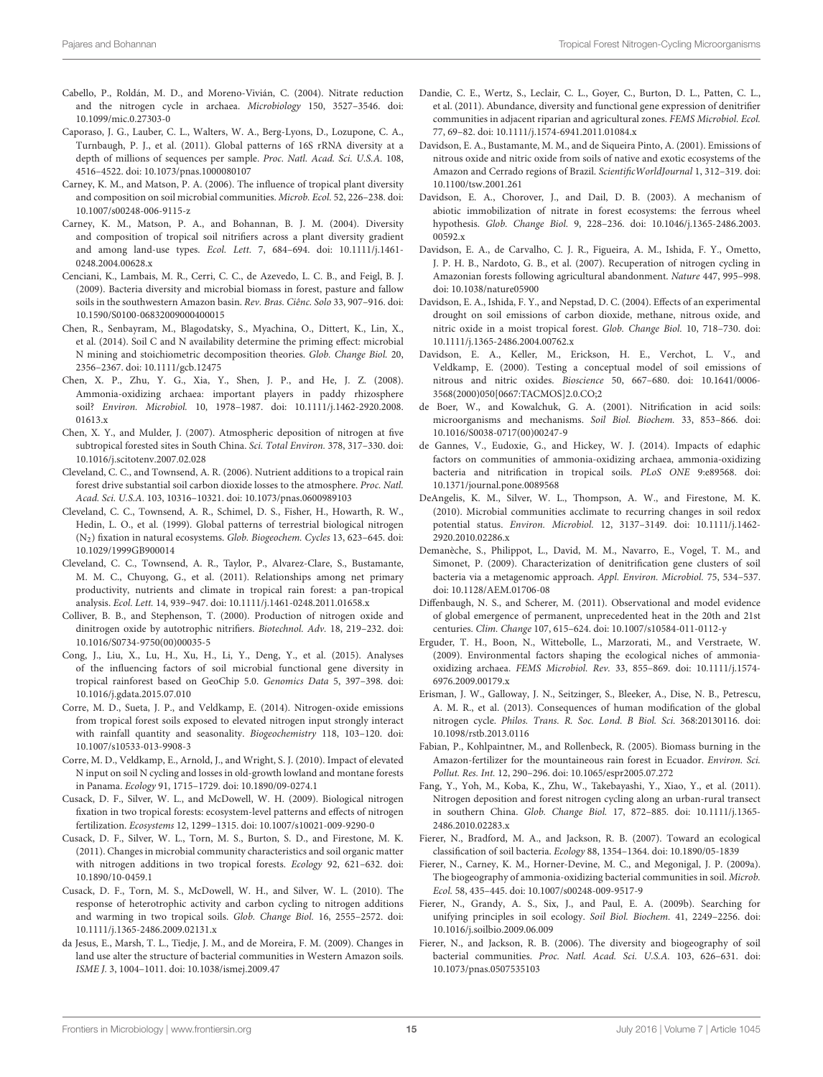- <span id="page-14-24"></span>Cabello, P., Roldán, M. D., and Moreno-Vivián, C. (2004). Nitrate reduction and the nitrogen cycle in archaea. Microbiology 150, 3527–3546. doi: 10.1099/mic.0.27303-0
- <span id="page-14-2"></span>Caporaso, J. G., Lauber, C. L., Walters, W. A., Berg-Lyons, D., Lozupone, C. A., Turnbaugh, P. J., et al. (2011). Global patterns of 16S rRNA diversity at a depth of millions of sequences per sample. Proc. Natl. Acad. Sci. U.S.A. 108, 4516–4522. doi: 10.1073/pnas.1000080107
- <span id="page-14-10"></span>Carney, K. M., and Matson, P. A. (2006). The influence of tropical plant diversity and composition on soil microbial communities. Microb. Ecol. 52, 226–238. doi: 10.1007/s00248-006-9115-z
- <span id="page-14-15"></span>Carney, K. M., Matson, P. A., and Bohannan, B. J. M. (2004). Diversity and composition of tropical soil nitrifiers across a plant diversity gradient and among land-use types. Ecol. Lett. 7, 684–694. doi: 10.1111/j.1461- 0248.2004.00628.x
- <span id="page-14-37"></span>Cenciani, K., Lambais, M. R., Cerri, C. C., de Azevedo, L. C. B., and Feigl, B. J. (2009). Bacteria diversity and microbial biomass in forest, pasture and fallow soils in the southwestern Amazon basin. Rev. Bras. Ciênc. Solo 33, 907–916. doi: 10.1590/S0100-06832009000400015
- <span id="page-14-35"></span>Chen, R., Senbayram, M., Blagodatsky, S., Myachina, O., Dittert, K., Lin, X., et al. (2014). Soil C and N availability determine the priming effect: microbial N mining and stoichiometric decomposition theories. Glob. Change Biol. 20, 2356–2367. doi: 10.1111/gcb.12475
- <span id="page-14-19"></span>Chen, X. P., Zhu, Y. G., Xia, Y., Shen, J. P., and He, J. Z. (2008). Ammonia-oxidizing archaea: important players in paddy rhizosphere soil? Environ. Microbiol. 10, 1978–1987. doi: 10.1111/j.1462-2920.2008. 01613.x
- <span id="page-14-33"></span>Chen, X. Y., and Mulder, J. (2007). Atmospheric deposition of nitrogen at five subtropical forested sites in South China. Sci. Total Environ. 378, 317–330. doi: 10.1016/j.scitotenv.2007.02.028
- <span id="page-14-7"></span>Cleveland, C. C., and Townsend, A. R. (2006). Nutrient additions to a tropical rain forest drive substantial soil carbon dioxide losses to the atmosphere. Proc. Natl. Acad. Sci. U.S.A. 103, 10316–10321. doi: 10.1073/pnas.0600989103
- <span id="page-14-16"></span>Cleveland, C. C., Townsend, A. R., Schimel, D. S., Fisher, H., Howarth, R. W., Hedin, L. O., et al. (1999). Global patterns of terrestrial biological nitrogen (N2) fixation in natural ecosystems. Glob. Biogeochem. Cycles 13, 623–645. doi: 10.1029/1999GB900014
- <span id="page-14-4"></span>Cleveland, C. C., Townsend, A. R., Taylor, P., Alvarez-Clare, S., Bustamante, M. M. C., Chuyong, G., et al. (2011). Relationships among net primary productivity, nutrients and climate in tropical rain forest: a pan-tropical analysis. Ecol. Lett. 14, 939–947. doi: 10.1111/j.1461-0248.2011.01658.x
- <span id="page-14-18"></span>Colliver, B. B., and Stephenson, T. (2000). Production of nitrogen oxide and dinitrogen oxide by autotrophic nitrifiers. Biotechnol. Adv. 18, 219–232. doi: 10.1016/S0734-9750(00)00035-5
- <span id="page-14-13"></span>Cong, J., Liu, X., Lu, H., Xu, H., Li, Y., Deng, Y., et al. (2015). Analyses of the influencing factors of soil microbial functional gene diversity in tropical rainforest based on GeoChip 5.0. Genomics Data 5, 397–398. doi: 10.1016/j.gdata.2015.07.010
- <span id="page-14-32"></span>Corre, M. D., Sueta, J. P., and Veldkamp, E. (2014). Nitrogen-oxide emissions from tropical forest soils exposed to elevated nitrogen input strongly interact with rainfall quantity and seasonality. Biogeochemistry 118, 103–120. doi: 10.1007/s10533-013-9908-3
- <span id="page-14-29"></span>Corre, M. D., Veldkamp, E., Arnold, J., and Wright, S. J. (2010). Impact of elevated N input on soil N cycling and losses in old-growth lowland and montane forests in Panama. Ecology 91, 1715–1729. doi: 10.1890/09-0274.1
- <span id="page-14-5"></span>Cusack, D. F., Silver, W. L., and McDowell, W. H. (2009). Biological nitrogen fixation in two tropical forests: ecosystem-level patterns and effects of nitrogen fertilization. Ecosystems 12, 1299–1315. doi: 10.1007/s10021-009-9290-0
- <span id="page-14-3"></span>Cusack, D. F., Silver, W. L., Torn, M. S., Burton, S. D., and Firestone, M. K. (2011). Changes in microbial community characteristics and soil organic matter with nitrogen additions in two tropical forests. Ecology 92, 621–632. doi: 10.1890/10-0459.1
- <span id="page-14-8"></span>Cusack, D. F., Torn, M. S., McDowell, W. H., and Silver, W. L. (2010). The response of heterotrophic activity and carbon cycling to nitrogen additions and warming in two tropical soils. Glob. Change Biol. 16, 2555–2572. doi: 10.1111/j.1365-2486.2009.02131.x
- <span id="page-14-9"></span>da Jesus, E., Marsh, T. L., Tiedje, J. M., and de Moreira, F. M. (2009). Changes in land use alter the structure of bacterial communities in Western Amazon soils. ISME J. 3, 1004–1011. doi: 10.1038/ismej.2009.47
- <span id="page-14-25"></span>Dandie, C. E., Wertz, S., Leclair, C. L., Goyer, C., Burton, D. L., Patten, C. L., et al. (2011). Abundance, diversity and functional gene expression of denitrifier communities in adjacent riparian and agricultural zones. FEMS Microbiol. Ecol. 77, 69–82. doi: 10.1111/j.1574-6941.2011.01084.x
- <span id="page-14-26"></span>Davidson, E. A., Bustamante, M. M., and de Siqueira Pinto, A. (2001). Emissions of nitrous oxide and nitric oxide from soils of native and exotic ecosystems of the Amazon and Cerrado regions of Brazil. ScientificWorldJournal 1, 312–319. doi: 10.1100/tsw.2001.261
- <span id="page-14-22"></span>Davidson, E. A., Chorover, J., and Dail, D. B. (2003). A mechanism of abiotic immobilization of nitrate in forest ecosystems: the ferrous wheel hypothesis. Glob. Change Biol. 9, 228–236. doi: 10.1046/j.1365-2486.2003. 00592.x
- <span id="page-14-6"></span>Davidson, E. A., de Carvalho, C. J. R., Figueira, A. M., Ishida, F. Y., Ometto, J. P. H. B., Nardoto, G. B., et al. (2007). Recuperation of nitrogen cycling in Amazonian forests following agricultural abandonment. Nature 447, 995–998. doi: 10.1038/nature05900
- <span id="page-14-11"></span>Davidson, E. A., Ishida, F. Y., and Nepstad, D. C. (2004). Effects of an experimental drought on soil emissions of carbon dioxide, methane, nitrous oxide, and nitric oxide in a moist tropical forest. Glob. Change Biol. 10, 718–730. doi: 10.1111/j.1365-2486.2004.00762.x
- <span id="page-14-27"></span>Davidson, E. A., Keller, M., Erickson, H. E., Verchot, L. V., and Veldkamp, E. (2000). Testing a conceptual model of soil emissions of nitrous and nitric oxides. Bioscience 50, 667–680. doi: 10.1641/0006- 3568(2000)050[0667:TACMOS]2.0.CO;2
- <span id="page-14-17"></span>de Boer, W., and Kowalchuk, G. A. (2001). Nitrification in acid soils: microorganisms and mechanisms. Soil Biol. Biochem. 33, 853–866. doi: 10.1016/S0038-0717(00)00247-9
- <span id="page-14-14"></span>de Gannes, V., Eudoxie, G., and Hickey, W. J. (2014). Impacts of edaphic factors on communities of ammonia-oxidizing archaea, ammonia-oxidizing bacteria and nitrification in tropical soils. PLoS ONE 9:e89568. doi: 10.1371/journal.pone.0089568
- <span id="page-14-12"></span>DeAngelis, K. M., Silver, W. L., Thompson, A. W., and Firestone, M. K. (2010). Microbial communities acclimate to recurring changes in soil redox potential status. Environ. Microbiol. 12, 3137–3149. doi: 10.1111/j.1462- 2920.2010.02286.x
- <span id="page-14-23"></span>Demanèche, S., Philippot, L., David, M. M., Navarro, E., Vogel, T. M., and Simonet, P. (2009). Characterization of denitrification gene clusters of soil bacteria via a metagenomic approach. Appl. Environ. Microbiol. 75, 534–537. doi: 10.1128/AEM.01706-08
- <span id="page-14-30"></span>Diffenbaugh, N. S., and Scherer, M. (2011). Observational and model evidence of global emergence of permanent, unprecedented heat in the 20th and 21st centuries. Clim. Change 107, 615–624. doi: 10.1007/s10584-011-0112-y
- <span id="page-14-20"></span>Erguder, T. H., Boon, N., Wittebolle, L., Marzorati, M., and Verstraete, W. (2009). Environmental factors shaping the ecological niches of ammoniaoxidizing archaea. FEMS Microbiol. Rev. 33, 855–869. doi: 10.1111/j.1574- 6976.2009.00179.x
- <span id="page-14-28"></span>Erisman, J. W., Galloway, J. N., Seitzinger, S., Bleeker, A., Dise, N. B., Petrescu, A. M. R., et al. (2013). Consequences of human modification of the global nitrogen cycle. Philos. Trans. R. Soc. Lond. B Biol. Sci. 368:20130116. doi: 10.1098/rstb.2013.0116
- <span id="page-14-31"></span>Fabian, P., Kohlpaintner, M., and Rollenbeck, R. (2005). Biomass burning in the Amazon-fertilizer for the mountaineous rain forest in Ecuador. Environ. Sci. Pollut. Res. Int. 12, 290–296. doi: 10.1065/espr2005.07.272
- <span id="page-14-34"></span>Fang, Y., Yoh, M., Koba, K., Zhu, W., Takebayashi, Y., Xiao, Y., et al. (2011). Nitrogen deposition and forest nitrogen cycling along an urban-rural transect in southern China. Glob. Change Biol. 17, 872–885. doi: 10.1111/j.1365- 2486.2010.02283.x
- <span id="page-14-36"></span>Fierer, N., Bradford, M. A., and Jackson, R. B. (2007). Toward an ecological classification of soil bacteria. Ecology 88, 1354–1364. doi: 10.1890/05-1839
- <span id="page-14-21"></span>Fierer, N., Carney, K. M., Horner-Devine, M. C., and Megonigal, J. P. (2009a). The biogeography of ammonia-oxidizing bacterial communities in soil. Microb. Ecol. 58, 435–445. doi: 10.1007/s00248-009-9517-9
- <span id="page-14-1"></span>Fierer, N., Grandy, A. S., Six, J., and Paul, E. A. (2009b). Searching for unifying principles in soil ecology. Soil Biol. Biochem. 41, 2249–2256. doi: 10.1016/j.soilbio.2009.06.009
- <span id="page-14-0"></span>Fierer, N., and Jackson, R. B. (2006). The diversity and biogeography of soil bacterial communities. Proc. Natl. Acad. Sci. U.S.A. 103, 626–631. doi: 10.1073/pnas.0507535103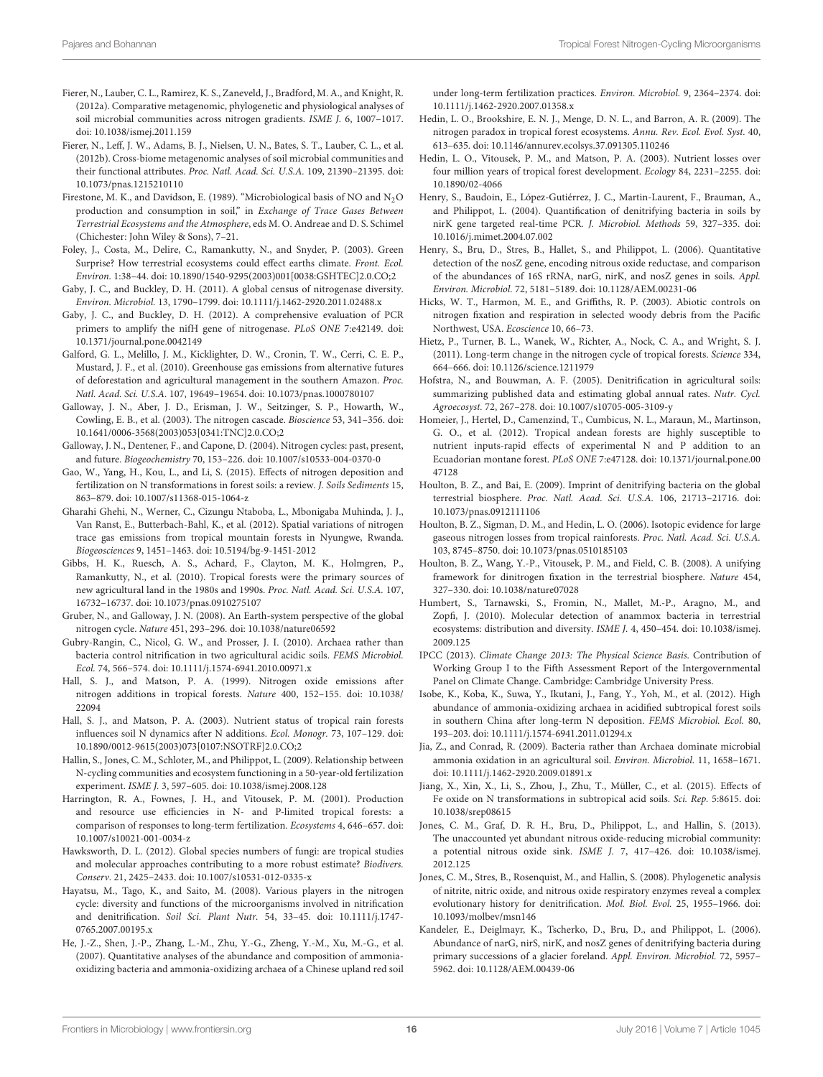- <span id="page-15-37"></span>Fierer, N., Lauber, C. L., Ramirez, K. S., Zaneveld, J., Bradford, M. A., and Knight, R. (2012a). Comparative metagenomic, phylogenetic and physiological analyses of soil microbial communities across nitrogen gradients. ISME J. 6, 1007–1017. doi: 10.1038/ismej.2011.159
- <span id="page-15-13"></span>Fierer, N., Leff, J. W., Adams, B. J., Nielsen, U. N., Bates, S. T., Lauber, C. L., et al. (2012b). Cross-biome metagenomic analyses of soil microbial communities and their functional attributes. Proc. Natl. Acad. Sci. U.S.A. 109, 21390–21395. doi: 10.1073/pnas.1215210110
- <span id="page-15-32"></span>Firestone, M. K., and Davidson, E. (1989). "Microbiological basis of NO and  $N_2O$ production and consumption in soil," in Exchange of Trace Gases Between Terrestrial Ecosystems and the Atmosphere, eds M. O. Andreae and D. S. Schimel (Chichester: John Wiley & Sons), 7–21.
- <span id="page-15-1"></span>Foley, J., Costa, M., Delire, C., Ramankutty, N., and Snyder, P. (2003). Green Surprise? How terrestrial ecosystems could effect earths climate. Front. Ecol. Environ. 1:38–44. doi: 10.1890/1540-9295(2003)001[0038:GSHTEC]2.0.CO;2
- <span id="page-15-17"></span>Gaby, J. C., and Buckley, D. H. (2011). A global census of nitrogenase diversity. Environ. Microbiol. 13, 1790–1799. doi: 10.1111/j.1462-2920.2011.02488.x
- <span id="page-15-18"></span>Gaby, J. C., and Buckley, D. H. (2012). A comprehensive evaluation of PCR primers to amplify the nifH gene of nitrogenase. PLoS ONE 7:e42149. doi: 10.1371/journal.pone.0042149
- <span id="page-15-39"></span>Galford, G. L., Melillo, J. M., Kicklighter, D. W., Cronin, T. W., Cerri, C. E. P., Mustard, J. F., et al. (2010). Greenhouse gas emissions from alternative futures of deforestation and agricultural management in the southern Amazon. Proc. Natl. Acad. Sci. U.S.A. 107, 19649–19654. doi: 10.1073/pnas.1000780107
- <span id="page-15-36"></span>Galloway, J. N., Aber, J. D., Erisman, J. W., Seitzinger, S. P., Howarth, W., Cowling, E. B., et al. (2003). The nitrogen cascade. Bioscience 53, 341–356. doi: 10.1641/0006-3568(2003)053[0341:TNC]2.0.CO;2
- <span id="page-15-16"></span>Galloway, J. N., Dentener, F., and Capone, D. (2004). Nitrogen cycles: past, present, and future. Biogeochemistry 70, 153–226. doi: 10.1007/s10533-004-0370-0
- <span id="page-15-8"></span>Gao, W., Yang, H., Kou, L., and Li, S. (2015). Effects of nitrogen deposition and fertilization on N transformations in forest soils: a review. J. Soils Sediments 15, 863–879. doi: 10.1007/s11368-015-1064-z
- <span id="page-15-11"></span>Gharahi Ghehi, N., Werner, C., Cizungu Ntaboba, L., Mbonigaba Muhinda, J. J., Van Ranst, E., Butterbach-Bahl, K., et al. (2012). Spatial variations of nitrogen trace gas emissions from tropical mountain forests in Nyungwe, Rwanda. Biogeosciences 9, 1451–1463. doi: 10.5194/bg-9-1451-2012
- <span id="page-15-38"></span>Gibbs, H. K., Ruesch, A. S., Achard, F., Clayton, M. K., Holmgren, P., Ramankutty, N., et al. (2010). Tropical forests were the primary sources of new agricultural land in the 1980s and 1990s. Proc. Natl. Acad. Sci. U.S.A. 107, 16732–16737. doi: 10.1073/pnas.0910275107
- <span id="page-15-35"></span>Gruber, N., and Galloway, J. N. (2008). An Earth-system perspective of the global nitrogen cycle. Nature 451, 293–296. doi: 10.1038/nature06592
- <span id="page-15-21"></span>Gubry-Rangin, C., Nicol, G. W., and Prosser, J. I. (2010). Archaea rather than bacteria control nitrification in two agricultural acidic soils. FEMS Microbiol. Ecol. 74, 566–574. doi: 10.1111/j.1574-6941.2010.00971.x
- <span id="page-15-9"></span>Hall, S. J., and Matson, P. A. (1999). Nitrogen oxide emissions after nitrogen additions in tropical forests. Nature 400, 152–155. doi: 10.1038/ 22094
- <span id="page-15-4"></span>Hall, S. J., and Matson, P. A. (2003). Nutrient status of tropical rain forests influences soil N dynamics after N additions. Ecol. Monogr. 73, 107–129. doi: 10.1890/0012-9615(2003)073[0107:NSOTRF]2.0.CO;2
- <span id="page-15-33"></span>Hallin, S., Jones, C. M., Schloter, M., and Philippot, L. (2009). Relationship between N-cycling communities and ecosystem functioning in a 50-year-old fertilization experiment. ISME J. 3, 597–605. doi: 10.1038/ismej.2008.128
- <span id="page-15-6"></span>Harrington, R. A., Fownes, J. H., and Vitousek, P. M. (2001). Production and resource use efficiencies in N- and P-limited tropical forests: a comparison of responses to long-term fertilization. Ecosystems 4, 646–657. doi: 10.1007/s10021-001-0034-z
- <span id="page-15-30"></span>Hawksworth, D. L. (2012). Global species numbers of fungi: are tropical studies and molecular approaches contributing to a more robust estimate? Biodivers. Conserv. 21, 2425–2433. doi: 10.1007/s10531-012-0335-x
- <span id="page-15-0"></span>Hayatsu, M., Tago, K., and Saito, M. (2008). Various players in the nitrogen cycle: diversity and functions of the microorganisms involved in nitrification and denitrification. Soil Sci. Plant Nutr. 54, 33–45. doi: 10.1111/j.1747- 0765.2007.00195.x
- <span id="page-15-22"></span>He, J.-Z., Shen, J.-P., Zhang, L.-M., Zhu, Y.-G., Zheng, Y.-M., Xu, M.-G., et al. (2007). Quantitative analyses of the abundance and composition of ammoniaoxidizing bacteria and ammonia-oxidizing archaea of a Chinese upland red soil

under long-term fertilization practices. Environ. Microbiol. 9, 2364–2374. doi: 10.1111/j.1462-2920.2007.01358.x

- <span id="page-15-5"></span>Hedin, L. O., Brookshire, E. N. J., Menge, D. N. L., and Barron, A. R. (2009). The nitrogen paradox in tropical forest ecosystems. Annu. Rev. Ecol. Evol. Syst. 40, 613–635. doi: 10.1146/annurev.ecolsys.37.091305.110246
- <span id="page-15-10"></span>Hedin, L. O., Vitousek, P. M., and Matson, P. A. (2003). Nutrient losses over four million years of tropical forest development. Ecology 84, 2231–2255. doi: 10.1890/02-4066
- <span id="page-15-25"></span>Henry, S., Baudoin, E., López-Gutiérrez, J. C., Martin-Laurent, F., Brauman, A., and Philippot, L. (2004). Quantification of denitrifying bacteria in soils by nirK gene targeted real-time PCR. J. Microbiol. Methods 59, 327–335. doi: 10.1016/j.mimet.2004.07.002
- <span id="page-15-26"></span>Henry, S., Bru, D., Stres, B., Hallet, S., and Philippot, L. (2006). Quantitative detection of the nosZ gene, encoding nitrous oxide reductase, and comparison of the abundances of 16S rRNA, narG, nirK, and nosZ genes in soils. Appl. Environ. Microbiol. 72, 5181–5189. doi: 10.1128/AEM.00231-06
- <span id="page-15-20"></span>Hicks, W. T., Harmon, M. E., and Griffiths, R. P. (2003). Abiotic controls on nitrogen fixation and respiration in selected woody debris from the Pacific Northwest, USA. Ecoscience 10, 66–73.
- <span id="page-15-2"></span>Hietz, P., Turner, B. L., Wanek, W., Richter, A., Nock, C. A., and Wright, S. J. (2011). Long-term change in the nitrogen cycle of tropical forests. Science 334, 664–666. doi: 10.1126/science.1211979
- <span id="page-15-31"></span>Hofstra, N., and Bouwman, A. F. (2005). Denitrification in agricultural soils: summarizing published data and estimating global annual rates. Nutr. Cycl. Agroecosyst. 72, 267–278. doi: 10.1007/s10705-005-3109-y
- <span id="page-15-7"></span>Homeier, J., Hertel, D., Camenzind, T., Cumbicus, N. L., Maraun, M., Martinson, G. O., et al. (2012). Tropical andean forests are highly susceptible to nutrient inputs-rapid effects of experimental N and P addition to an Ecuadorian montane forest. PLoS ONE 7:e47128. doi: 10.1371/journal.pone.00 47128
- <span id="page-15-24"></span>Houlton, B. Z., and Bai, E. (2009). Imprint of denitrifying bacteria on the global terrestrial biosphere. Proc. Natl. Acad. Sci. U.S.A. 106, 21713–21716. doi: 10.1073/pnas.0912111106
- <span id="page-15-3"></span>Houlton, B. Z., Sigman, D. M., and Hedin, L. O. (2006). Isotopic evidence for large gaseous nitrogen losses from tropical rainforests. Proc. Natl. Acad. Sci. U.S.A. 103, 8745–8750. doi: 10.1073/pnas.0510185103
- <span id="page-15-19"></span>Houlton, B. Z., Wang, Y.-P., Vitousek, P. M., and Field, C. B. (2008). A unifying framework for dinitrogen fixation in the terrestrial biosphere. Nature 454, 327–330. doi: 10.1038/nature07028
- <span id="page-15-12"></span>Humbert, S., Tarnawski, S., Fromin, N., Mallet, M.-P., Aragno, M., and Zopfi, J. (2010). Molecular detection of anammox bacteria in terrestrial ecosystems: distribution and diversity. ISME J. 4, 450–454. doi: 10.1038/ismej. 2009.125
- <span id="page-15-34"></span>IPCC (2013). Climate Change 2013: The Physical Science Basis. Contribution of Working Group I to the Fifth Assessment Report of the Intergovernmental Panel on Climate Change. Cambridge: Cambridge University Press.
- <span id="page-15-14"></span>Isobe, K., Koba, K., Suwa, Y., Ikutani, J., Fang, Y., Yoh, M., et al. (2012). High abundance of ammonia-oxidizing archaea in acidified subtropical forest soils in southern China after long-term N deposition. FEMS Microbiol. Ecol. 80, 193–203. doi: 10.1111/j.1574-6941.2011.01294.x
- <span id="page-15-23"></span>Jia, Z., and Conrad, R. (2009). Bacteria rather than Archaea dominate microbial ammonia oxidation in an agricultural soil. Environ. Microbiol. 11, 1658–1671. doi: 10.1111/j.1462-2920.2009.01891.x
- <span id="page-15-15"></span>Jiang, X., Xin, X., Li, S., Zhou, J., Zhu, T., Müller, C., et al. (2015). Effects of Fe oxide on N transformations in subtropical acid soils. Sci. Rep. 5:8615. doi: 10.1038/srep08615
- <span id="page-15-29"></span>Jones, C. M., Graf, D. R. H., Bru, D., Philippot, L., and Hallin, S. (2013). The unaccounted yet abundant nitrous oxide-reducing microbial community: a potential nitrous oxide sink. ISME J. 7, 417–426. doi: 10.1038/ismej. 2012.125
- <span id="page-15-28"></span>Jones, C. M., Stres, B., Rosenquist, M., and Hallin, S. (2008). Phylogenetic analysis of nitrite, nitric oxide, and nitrous oxide respiratory enzymes reveal a complex evolutionary history for denitrification. Mol. Biol. Evol. 25, 1955–1966. doi: 10.1093/molbev/msn146
- <span id="page-15-27"></span>Kandeler, E., Deiglmayr, K., Tscherko, D., Bru, D., and Philippot, L. (2006). Abundance of narG, nirS, nirK, and nosZ genes of denitrifying bacteria during primary successions of a glacier foreland. Appl. Environ. Microbiol. 72, 5957– 5962. doi: 10.1128/AEM.00439-06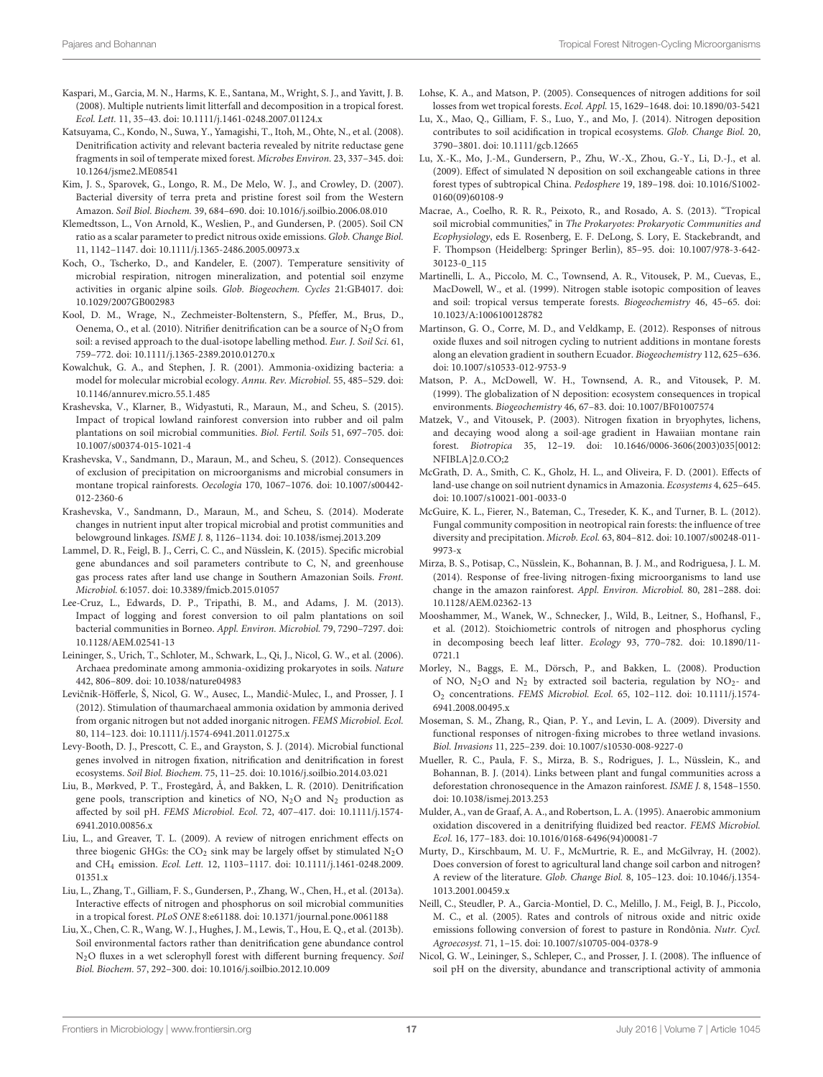- <span id="page-16-4"></span>Kaspari, M., Garcia, M. N., Harms, K. E., Santana, M., Wright, S. J., and Yavitt, J. B. (2008). Multiple nutrients limit litterfall and decomposition in a tropical forest. Ecol. Lett. 11, 35–43. doi: 10.1111/j.1461-0248.2007.01124.x
- <span id="page-16-23"></span>Katsuyama, C., Kondo, N., Suwa, Y., Yamagishi, T., Itoh, M., Ohte, N., et al. (2008). Denitrification activity and relevant bacteria revealed by nitrite reductase gene fragments in soil of temperate mixed forest. Microbes Environ. 23, 337–345. doi: 10.1264/jsme2.ME08541
- <span id="page-16-9"></span>Kim, J. S., Sparovek, G., Longo, R. M., De Melo, W. J., and Crowley, D. (2007). Bacterial diversity of terra preta and pristine forest soil from the Western Amazon. Soil Biol. Biochem. 39, 684–690. doi: 10.1016/j.soilbio.2006.08.010
- <span id="page-16-24"></span>Klemedtsson, L., Von Arnold, K., Weslien, P., and Gundersen, P. (2005). Soil CN ratio as a scalar parameter to predict nitrous oxide emissions. Glob. Change Biol. 11, 1142–1147. doi: 10.1111/j.1365-2486.2005.00973.x
- <span id="page-16-28"></span>Koch, O., Tscherko, D., and Kandeler, E. (2007). Temperature sensitivity of microbial respiration, nitrogen mineralization, and potential soil enzyme activities in organic alpine soils. Glob. Biogeochem. Cycles 21:GB4017. doi: 10.1029/2007GB002983
- <span id="page-16-0"></span>Kool, D. M., Wrage, N., Zechmeister-Boltenstern, S., Pfeffer, M., Brus, D., Oenema, O., et al. (2010). Nitrifier denitrification can be a source of  $N_2O$  from soil: a revised approach to the dual-isotope labelling method. Eur. J. Soil Sci. 61, 759–772. doi: 10.1111/j.1365-2389.2010.01270.x
- <span id="page-16-19"></span>Kowalchuk, G. A., and Stephen, J. R. (2001). Ammonia-oxidizing bacteria: a model for molecular microbial ecology. Annu. Rev. Microbiol. 55, 485–529. doi: 10.1146/annurev.micro.55.1.485
- <span id="page-16-37"></span>Krashevska, V., Klarner, B., Widyastuti, R., Maraun, M., and Scheu, S. (2015). Impact of tropical lowland rainforest conversion into rubber and oil palm plantations on soil microbial communities. Biol. Fertil. Soils 51, 697–705. doi: 10.1007/s00374-015-1021-4
- <span id="page-16-11"></span>Krashevska, V., Sandmann, D., Maraun, M., and Scheu, S. (2012). Consequences of exclusion of precipitation on microorganisms and microbial consumers in montane tropical rainforests. Oecologia 170, 1067–1076. doi: 10.1007/s00442- 012-2360-6
- <span id="page-16-6"></span>Krashevska, V., Sandmann, D., Maraun, M., and Scheu, S. (2014). Moderate changes in nutrient input alter tropical microbial and protist communities and belowground linkages. ISME J. 8, 1126–1134. doi: 10.1038/ismej.2013.209
- <span id="page-16-14"></span>Lammel, D. R., Feigl, B. J., Cerri, C. C., and Nüsslein, K. (2015). Specific microbial gene abundances and soil parameters contribute to C, N, and greenhouse gas process rates after land use change in Southern Amazonian Soils. Front. Microbiol. 6:1057. doi: 10.3389/fmicb.2015.01057
- <span id="page-16-10"></span>Lee-Cruz, L., Edwards, D. P., Tripathi, B. M., and Adams, J. M. (2013). Impact of logging and forest conversion to oil palm plantations on soil bacterial communities in Borneo. Appl. Environ. Microbiol. 79, 7290–7297. doi: 10.1128/AEM.02541-13
- <span id="page-16-20"></span>Leininger, S., Urich, T., Schloter, M., Schwark, L., Qi, J., Nicol, G. W., et al. (2006). Archaea predominate among ammonia-oxidizing prokaryotes in soils. Nature 442, 806–809. doi: 10.1038/nature04983
- <span id="page-16-22"></span>Levičnik-Höfferle, Š, Nicol, G. W., Ausec, L., Mandić-Mulec, I., and Prosser, J. I (2012). Stimulation of thaumarchaeal ammonia oxidation by ammonia derived from organic nitrogen but not added inorganic nitrogen. FEMS Microbiol. Ecol. 80, 114–123. doi: 10.1111/j.1574-6941.2011.01275.x
- <span id="page-16-1"></span>Levy-Booth, D. J., Prescott, C. E., and Grayston, S. J. (2014). Microbial functional genes involved in nitrogen fixation, nitrification and denitrification in forest ecosystems. Soil Biol. Biochem. 75, 11–25. doi: 10.1016/j.soilbio.2014.03.021
- <span id="page-16-26"></span>Liu, B., Mørkved, P. T., Frostegård, Å, and Bakken, L. R. (2010). Denitrification gene pools, transcription and kinetics of NO,  $N_2O$  and  $N_2$  production as affected by soil pH. FEMS Microbiol. Ecol. 72, 407–417. doi: 10.1111/j.1574- 6941.2010.00856.x
- <span id="page-16-32"></span>Liu, L., and Greaver, T. L. (2009). A review of nitrogen enrichment effects on three biogenic GHGs: the  $CO<sub>2</sub>$  sink may be largely offset by stimulated  $N<sub>2</sub>O$ and CH<sup>4</sup> emission. Ecol. Lett. 12, 1103–1117. doi: 10.1111/j.1461-0248.2009. 01351.x
- <span id="page-16-13"></span>Liu, L., Zhang, T., Gilliam, F. S., Gundersen, P., Zhang, W., Chen, H., et al. (2013a). Interactive effects of nitrogen and phosphorus on soil microbial communities in a tropical forest. PLoS ONE 8:e61188. doi: 10.1371/journal.pone.0061188
- <span id="page-16-16"></span>Liu, X., Chen, C. R., Wang, W. J., Hughes, J. M., Lewis, T., Hou, E. Q., et al. (2013b). Soil environmental factors rather than denitrification gene abundance control N2O fluxes in a wet sclerophyll forest with different burning frequency. Soil Biol. Biochem. 57, 292–300. doi: 10.1016/j.soilbio.2012.10.009
- <span id="page-16-29"></span>Lohse, K. A., and Matson, P. (2005). Consequences of nitrogen additions for soil losses from wet tropical forests. Ecol. Appl. 15, 1629–1648. doi: 10.1890/03-5421
- <span id="page-16-31"></span>Lu, X., Mao, Q., Gilliam, F. S., Luo, Y., and Mo, J. (2014). Nitrogen deposition contributes to soil acidification in tropical ecosystems. Glob. Change Biol. 20, 3790–3801. doi: 10.1111/gcb.12665
- <span id="page-16-33"></span>Lu, X.-K., Mo, J.-M., Gundersern, P., Zhu, W.-X., Zhou, G.-Y., Li, D.-J., et al. (2009). Effect of simulated N deposition on soil exchangeable cations in three forest types of subtropical China. Pedosphere 19, 189–198. doi: 10.1016/S1002- 0160(09)60108-9
- <span id="page-16-2"></span>Macrae, A., Coelho, R. R. R., Peixoto, R., and Rosado, A. S. (2013). "Tropical soil microbial communities," in The Prokaryotes: Prokaryotic Communities and Ecophysiology, eds E. Rosenberg, E. F. DeLong, S. Lory, E. Stackebrandt, and F. Thompson (Heidelberg: Springer Berlin), 85–95. doi: 10.1007/978-3-642- 30123-0\_115
- <span id="page-16-3"></span>Martinelli, L. A., Piccolo, M. C., Townsend, A. R., Vitousek, P. M., Cuevas, E., MacDowell, W., et al. (1999). Nitrogen stable isotopic composition of leaves and soil: tropical versus temperate forests. Biogeochemistry 46, 45–65. doi: 10.1023/A:1006100128782
- <span id="page-16-30"></span>Martinson, G. O., Corre, M. D., and Veldkamp, E. (2012). Responses of nitrous oxide fluxes and soil nitrogen cycling to nutrient additions in montane forests along an elevation gradient in southern Ecuador. Biogeochemistry 112, 625–636. doi: 10.1007/s10533-012-9753-9
- <span id="page-16-27"></span>Matson, P. A., McDowell, W. H., Townsend, A. R., and Vitousek, P. M. (1999). The globalization of N deposition: ecosystem consequences in tropical environments. Biogeochemistry 46, 67–83. doi: 10.1007/BF01007574
- <span id="page-16-18"></span>Matzek, V., and Vitousek, P. (2003). Nitrogen fixation in bryophytes, lichens, and decaying wood along a soil-age gradient in Hawaiian montane rain forest. Biotropica 35, 12–19. doi: 10.1646/0006-3606(2003)035[0012: NFIBLA]2.0.CO;2
- <span id="page-16-34"></span>McGrath, D. A., Smith, C. K., Gholz, H. L., and Oliveira, F. D. (2001). Effects of land-use change on soil nutrient dynamics in Amazonia. Ecosystems 4, 625–645. doi: 10.1007/s10021-001-0033-0
- <span id="page-16-12"></span>McGuire, K. L., Fierer, N., Bateman, C., Treseder, K. K., and Turner, B. L. (2012). Fungal community composition in neotropical rain forests: the influence of tree diversity and precipitation. Microb. Ecol. 63, 804–812. doi: 10.1007/s00248-011- 9973-x
- <span id="page-16-15"></span>Mirza, B. S., Potisap, C., Nüsslein, K., Bohannan, B. J. M., and Rodriguesa, J. L. M. (2014). Response of free-living nitrogen-fixing microorganisms to land use change in the amazon rainforest. Appl. Environ. Microbiol. 80, 281–288. doi: 10.1128/AEM.02362-13
- <span id="page-16-5"></span>Mooshammer, M., Wanek, W., Schnecker, J., Wild, B., Leitner, S., Hofhansl, F., et al. (2012). Stoichiometric controls of nitrogen and phosphorus cycling in decomposing beech leaf litter. Ecology 93, 770–782. doi: 10.1890/11- 0721.1
- <span id="page-16-25"></span>Morley, N., Baggs, E. M., Dörsch, P., and Bakken, L. (2008). Production of NO,  $N_2O$  and  $N_2$  by extracted soil bacteria, regulation by  $NO_2$ - and O<sup>2</sup> concentrations. FEMS Microbiol. Ecol. 65, 102–112. doi: 10.1111/j.1574- 6941.2008.00495.x
- <span id="page-16-17"></span>Moseman, S. M., Zhang, R., Qian, P. Y., and Levin, L. A. (2009). Diversity and functional responses of nitrogen-fixing microbes to three wetland invasions. Biol. Invasions 11, 225–239. doi: 10.1007/s10530-008-9227-0
- <span id="page-16-36"></span>Mueller, R. C., Paula, F. S., Mirza, B. S., Rodrigues, J. L., Nüsslein, K., and Bohannan, B. J. (2014). Links between plant and fungal communities across a deforestation chronosequence in the Amazon rainforest. ISME J. 8, 1548–1550. doi: 10.1038/ismej.2013.253
- <span id="page-16-7"></span>Mulder, A., van de Graaf, A. A., and Robertson, L. A. (1995). Anaerobic ammonium oxidation discovered in a denitrifying fluidized bed reactor. FEMS Microbiol. Ecol. 16, 177–183. doi: 10.1016/0168-6496(94)00081-7
- <span id="page-16-35"></span>Murty, D., Kirschbaum, M. U. F., McMurtrie, R. E., and McGilvray, H. (2002). Does conversion of forest to agricultural land change soil carbon and nitrogen? A review of the literature. Glob. Change Biol. 8, 105–123. doi: 10.1046/j.1354- 1013.2001.00459.x
- <span id="page-16-8"></span>Neill, C., Steudler, P. A., Garcia-Montiel, D. C., Melillo, J. M., Feigl, B. J., Piccolo, M. C., et al. (2005). Rates and controls of nitrous oxide and nitric oxide emissions following conversion of forest to pasture in Rondônia. Nutr. Cycl. Agroecosyst. 71, 1–15. doi: 10.1007/s10705-004-0378-9
- <span id="page-16-21"></span>Nicol, G. W., Leininger, S., Schleper, C., and Prosser, J. I. (2008). The influence of soil pH on the diversity, abundance and transcriptional activity of ammonia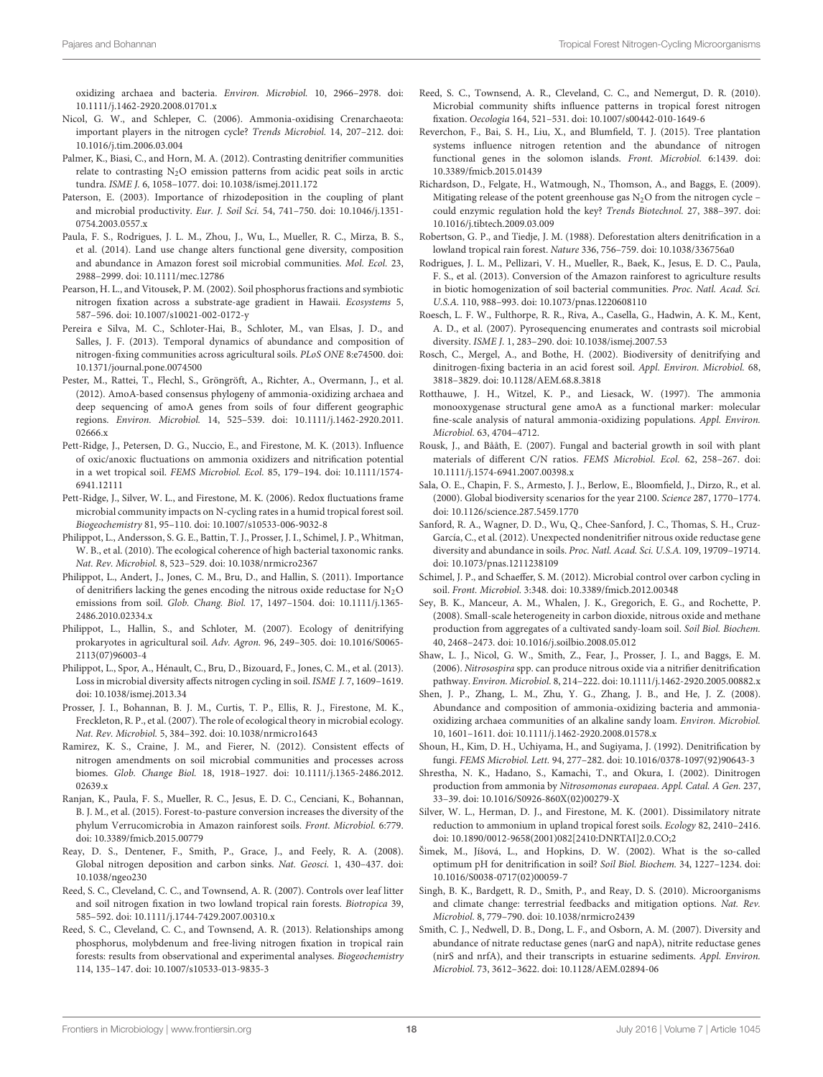oxidizing archaea and bacteria. Environ. Microbiol. 10, 2966–2978. doi: 10.1111/j.1462-2920.2008.01701.x

- <span id="page-17-27"></span>Nicol, G. W., and Schleper, C. (2006). Ammonia-oxidising Crenarchaeota: important players in the nitrogen cycle? Trends Microbiol. 14, 207–212. doi: 10.1016/j.tim.2006.03.004
- <span id="page-17-6"></span>Palmer, K., Biasi, C., and Horn, M. A. (2012). Contrasting denitrifier communities relate to contrasting  $N_2O$  emission patterns from acidic peat soils in arctic tundra. ISME J. 6, 1058–1077. doi: 10.1038/ismej.2011.172
- <span id="page-17-17"></span>Paterson, E. (2003). Importance of rhizodeposition in the coupling of plant and microbial productivity. Eur. J. Soil Sci. 54, 741–750. doi: 10.1046/j.1351- 0754.2003.0557.x
- <span id="page-17-16"></span>Paula, F. S., Rodrigues, J. L. M., Zhou, J., Wu, L., Mueller, R. C., Mirza, B. S., et al. (2014). Land use change alters functional gene diversity, composition and abundance in Amazon forest soil microbial communities. Mol. Ecol. 23, 2988–2999. doi: 10.1111/mec.12786
- <span id="page-17-23"></span>Pearson, H. L., and Vitousek, P. M. (2002). Soil phosphorus fractions and symbiotic nitrogen fixation across a substrate-age gradient in Hawaii. Ecosystems 5, 587–596. doi: 10.1007/s10021-002-0172-y
- <span id="page-17-21"></span>Pereira e Silva, M. C., Schloter-Hai, B., Schloter, M., van Elsas, J. D., and Salles, J. F. (2013). Temporal dynamics of abundance and composition of nitrogen-fixing communities across agricultural soils. PLoS ONE 8:e74500. doi: 10.1371/journal.pone.0074500
- <span id="page-17-26"></span>Pester, M., Rattei, T., Flechl, S., Gröngröft, A., Richter, A., Overmann, J., et al. (2012). AmoA-based consensus phylogeny of ammonia-oxidizing archaea and deep sequencing of amoA genes from soils of four different geographic regions. Environ. Microbiol. 14, 525–539. doi: 10.1111/j.1462-2920.2011. 02666.x
- <span id="page-17-18"></span>Pett-Ridge, J., Petersen, D. G., Nuccio, E., and Firestone, M. K. (2013). Influence of oxic/anoxic fluctuations on ammonia oxidizers and nitrification potential in a wet tropical soil. FEMS Microbiol. Ecol. 85, 179–194. doi: 10.1111/1574- 6941.12111
- <span id="page-17-12"></span>Pett-Ridge, J., Silver, W. L., and Firestone, M. K. (2006). Redox fluctuations frame microbial community impacts on N-cycling rates in a humid tropical forest soil. Biogeochemistry 81, 95–110. doi: 10.1007/s10533-006-9032-8
- <span id="page-17-4"></span>Philippot, L., Andersson, S. G. E., Battin, T. J., Prosser, J. I., Schimel, J. P., Whitman, W. B., et al. (2010). The ecological coherence of high bacterial taxonomic ranks. Nat. Rev. Microbiol. 8, 523–529. doi: 10.1038/nrmicro2367
- <span id="page-17-32"></span>Philippot, L., Andert, J., Jones, C. M., Bru, D., and Hallin, S. (2011). Importance of denitrifiers lacking the genes encoding the nitrous oxide reductase for  $\rm N_2O$ emissions from soil. Glob. Chang. Biol. 17, 1497–1504. doi: 10.1111/j.1365- 2486.2010.02334.x
- <span id="page-17-7"></span>Philippot, L., Hallin, S., and Schloter, M. (2007). Ecology of denitrifying prokaryotes in agricultural soil. Adv. Agron. 96, 249–305. doi: 10.1016/S0065- 2113(07)96003-4
- <span id="page-17-1"></span>Philippot, L., Spor, A., Hénault, C., Bru, D., Bizouard, F., Jones, C. M., et al. (2013). Loss in microbial diversity affects nitrogen cycling in soil. ISME J. 7, 1609–1619. doi: 10.1038/ismej.2013.34
- <span id="page-17-3"></span>Prosser, J. I., Bohannan, B. J. M., Curtis, T. P., Ellis, R. J., Firestone, M. K., Freckleton, R. P., et al. (2007). The role of ecological theory in microbial ecology. Nat. Rev. Microbiol. 5, 384–392. doi: 10.1038/nrmicro1643
- <span id="page-17-14"></span>Ramirez, K. S., Craine, J. M., and Fierer, N. (2012). Consistent effects of nitrogen amendments on soil microbial communities and processes across biomes. Glob. Change Biol. 18, 1918–1927. doi: 10.1111/j.1365-2486.2012. 02639.x
- <span id="page-17-13"></span>Ranjan, K., Paula, F. S., Mueller, R. C., Jesus, E. D. C., Cenciani, K., Bohannan, B. J. M., et al. (2015). Forest-to-pasture conversion increases the diversity of the phylum Verrucomicrobia in Amazon rainforest soils. Front. Microbiol. 6:779. doi: 10.3389/fmicb.2015.00779
- <span id="page-17-38"></span>Reay, D. S., Dentener, F., Smith, P., Grace, J., and Feely, R. A. (2008). Global nitrogen deposition and carbon sinks. Nat. Geosci. 1, 430–437. doi: 10.1038/ngeo230
- <span id="page-17-8"></span>Reed, S. C., Cleveland, C. C., and Townsend, A. R. (2007). Controls over leaf litter and soil nitrogen fixation in two lowland tropical rain forests. Biotropica 39, 585–592. doi: 10.1111/j.1744-7429.2007.00310.x
- <span id="page-17-22"></span>Reed, S. C., Cleveland, C. C., and Townsend, A. R. (2013). Relationships among phosphorus, molybdenum and free-living nitrogen fixation in tropical rain forests: results from observational and experimental analyses. Biogeochemistry 114, 135–147. doi: 10.1007/s10533-013-9835-3
- <span id="page-17-19"></span>Reed, S. C., Townsend, A. R., Cleveland, C. C., and Nemergut, D. R. (2010). Microbial community shifts influence patterns in tropical forest nitrogen fixation. Oecologia 164, 521–531. doi: 10.1007/s00442-010-1649-6
- <span id="page-17-36"></span>Reverchon, F., Bai, S. H., Liu, X., and Blumfield, T. J. (2015). Tree plantation systems influence nitrogen retention and the abundance of nitrogen functional genes in the solomon islands. Front. Microbiol. 6:1439. doi: 10.3389/fmicb.2015.01439
- <span id="page-17-34"></span>Richardson, D., Felgate, H., Watmough, N., Thomson, A., and Baggs, E. (2009). Mitigating release of the potent greenhouse gas  $N<sub>2</sub>O$  from the nitrogen cycle – could enzymic regulation hold the key? Trends Biotechnol. 27, 388–397. doi: 10.1016/j.tibtech.2009.03.009
- <span id="page-17-35"></span>Robertson, G. P., and Tiedje, J. M. (1988). Deforestation alters denitrification in a lowland tropical rain forest. Nature 336, 756–759. doi: 10.1038/336756a0
- <span id="page-17-15"></span>Rodrigues, J. L. M., Pellizari, V. H., Mueller, R., Baek, K., Jesus, E. D. C., Paula, F. S., et al. (2013). Conversion of the Amazon rainforest to agriculture results in biotic homogenization of soil bacterial communities. Proc. Natl. Acad. Sci. U.S.A. 110, 988–993. doi: 10.1073/pnas.1220608110
- <span id="page-17-5"></span>Roesch, L. F. W., Fulthorpe, R. R., Riva, A., Casella, G., Hadwin, A. K. M., Kent, A. D., et al. (2007). Pyrosequencing enumerates and contrasts soil microbial diversity. ISME J. 1, 283–290. doi: 10.1038/ismej.2007.53
- <span id="page-17-20"></span>Rosch, C., Mergel, A., and Bothe, H. (2002). Biodiversity of denitrifying and dinitrogen-fixing bacteria in an acid forest soil. Appl. Environ. Microbiol. 68, 3818–3829. doi: 10.1128/AEM.68.8.3818
- <span id="page-17-25"></span>Rotthauwe, J. H., Witzel, K. P., and Liesack, W. (1997). The ammonia monooxygenase structural gene amoA as a functional marker: molecular fine-scale analysis of natural ammonia-oxidizing populations. Appl. Environ. Microbiol. 63, 4704–4712.
- <span id="page-17-9"></span>Rousk, J., and Bååth, E. (2007). Fungal and bacterial growth in soil with plant materials of different C/N ratios. FEMS Microbiol. Ecol. 62, 258–267. doi: 10.1111/j.1574-6941.2007.00398.x
- <span id="page-17-39"></span>Sala, O. E., Chapin, F. S., Armesto, J. J., Berlow, E., Bloomfield, J., Dirzo, R., et al. (2000). Global biodiversity scenarios for the year 2100. Science 287, 1770–1774. doi: 10.1126/science.287.5459.1770
- <span id="page-17-10"></span>Sanford, R. A., Wagner, D. D., Wu, Q., Chee-Sanford, J. C., Thomas, S. H., Cruz-García, C., et al. (2012). Unexpected nondenitrifier nitrous oxide reductase gene diversity and abundance in soils. Proc. Natl. Acad. Sci. U.S.A. 109, 19709–19714. doi: 10.1073/pnas.1211238109
- <span id="page-17-0"></span>Schimel, J. P., and Schaeffer, S. M. (2012). Microbial control over carbon cycling in soil. Front. Microbiol. 3:348. doi: 10.3389/fmicb.2012.00348
- <span id="page-17-30"></span>Sey, B. K., Manceur, A. M., Whalen, J. K., Gregorich, E. G., and Rochette, P. (2008). Small-scale heterogeneity in carbon dioxide, nitrous oxide and methane production from aggregates of a cultivated sandy-loam soil. Soil Biol. Biochem. 40, 2468–2473. doi: 10.1016/j.soilbio.2008.05.012
- <span id="page-17-24"></span>Shaw, L. J., Nicol, G. W., Smith, Z., Fear, J., Prosser, J. I., and Baggs, E. M. (2006). Nitrosospira spp. can produce nitrous oxide via a nitrifier denitrification pathway. Environ. Microbiol. 8, 214–222. doi: 10.1111/j.1462-2920.2005.00882.x
- <span id="page-17-28"></span>Shen, J. P., Zhang, L. M., Zhu, Y. G., Zhang, J. B., and He, J. Z. (2008). Abundance and composition of ammonia-oxidizing bacteria and ammoniaoxidizing archaea communities of an alkaline sandy loam. Environ. Microbiol. 10, 1601–1611. doi: 10.1111/j.1462-2920.2008.01578.x
- <span id="page-17-33"></span>Shoun, H., Kim, D. H., Uchiyama, H., and Sugiyama, J. (1992). Denitrification by fungi. FEMS Microbiol. Lett. 94, 277–282. doi: 10.1016/0378-1097(92)90643-3
- <span id="page-17-29"></span>Shrestha, N. K., Hadano, S., Kamachi, T., and Okura, I. (2002). Dinitrogen production from ammonia by Nitrosomonas europaea. Appl. Catal. A Gen. 237, 33–39. doi: 10.1016/S0926-860X(02)00279-X
- <span id="page-17-11"></span>Silver, W. L., Herman, D. J., and Firestone, M. K. (2001). Dissimilatory nitrate reduction to ammonium in upland tropical forest soils. Ecology 82, 2410–2416. doi: 10.1890/0012-9658(2001)082[2410:DNRTAI]2.0.CO;2
- <span id="page-17-37"></span>Šimek, M., Jíšová, L., and Hopkins, D. W. (2002). What is the so-called optimum pH for denitrification in soil? Soil Biol. Biochem. 34, 1227–1234. doi: 10.1016/S0038-0717(02)00059-7
- <span id="page-17-2"></span>Singh, B. K., Bardgett, R. D., Smith, P., and Reay, D. S. (2010). Microorganisms and climate change: terrestrial feedbacks and mitigation options. Nat. Rev. Microbiol. 8, 779–790. doi: 10.1038/nrmicro2439
- <span id="page-17-31"></span>Smith, C. J., Nedwell, D. B., Dong, L. F., and Osborn, A. M. (2007). Diversity and abundance of nitrate reductase genes (narG and napA), nitrite reductase genes (nirS and nrfA), and their transcripts in estuarine sediments. Appl. Environ. Microbiol. 73, 3612–3622. doi: 10.1128/AEM.02894-06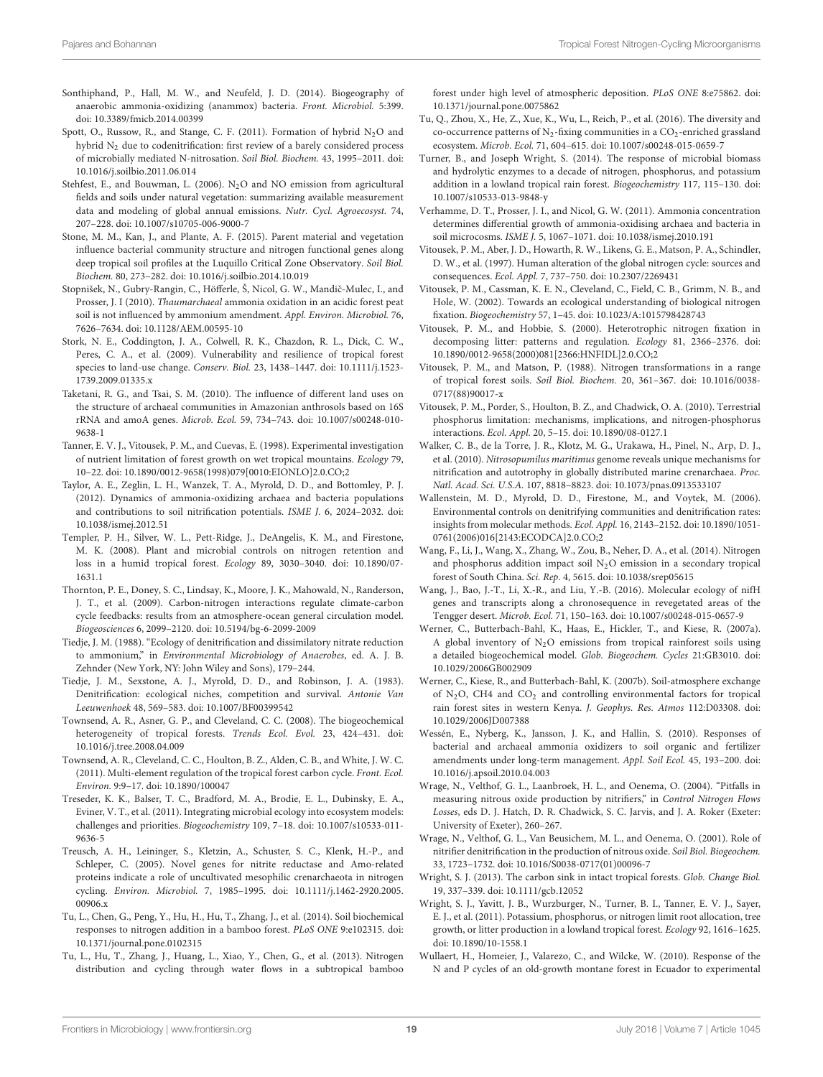- <span id="page-18-16"></span>Sonthiphand, P., Hall, M. W., and Neufeld, J. D. (2014). Biogeography of anaerobic ammonia-oxidizing (anammox) bacteria. Front. Microbiol. 5:399. doi: 10.3389/fmicb.2014.00399
- <span id="page-18-14"></span>Spott, O., Russow, R., and Stange, C. F. (2011). Formation of hybrid  $N_2O$  and hybrid N<sup>2</sup> due to codenitrification: first review of a barely considered process of microbially mediated N-nitrosation. Soil Biol. Biochem. 43, 1995–2011. doi: 10.1016/j.soilbio.2011.06.014
- <span id="page-18-32"></span>Stehfest, E., and Bouwman, L. (2006). N<sub>2</sub>O and NO emission from agricultural fields and soils under natural vegetation: summarizing available measurement data and modeling of global annual emissions. Nutr. Cycl. Agroecosyst. 74, 207–228. doi: 10.1007/s10705-006-9000-7
- <span id="page-18-18"></span>Stone, M. M., Kan, J., and Plante, A. F. (2015). Parent material and vegetation influence bacterial community structure and nitrogen functional genes along deep tropical soil profiles at the Luquillo Critical Zone Observatory. Soil Biol. Biochem. 80, 273–282. doi: 10.1016/j.soilbio.2014.10.019
- <span id="page-18-27"></span>Stopnišek, N., Gubry-Rangin, C., Höfferle, Š, Nicol, G. W., Mandič-Mulec, I., and Prosser, J. I (2010). Thaumarchaeal ammonia oxidation in an acidic forest peat soil is not influenced by ammonium amendment. Appl. Environ. Microbiol. 76, 7626–7634. doi: 10.1128/AEM.00595-10
- <span id="page-18-2"></span>Stork, N. E., Coddington, J. A., Colwell, R. K., Chazdon, R. L., Dick, C. W., Peres, C. A., et al. (2009). Vulnerability and resilience of tropical forest species to land-use change. Conserv. Biol. 23, 1438–1447. doi: 10.1111/j.1523- 1739.2009.01335.x
- <span id="page-18-38"></span>Taketani, R. G., and Tsai, S. M. (2010). The influence of different land uses on the structure of archaeal communities in Amazonian anthrosols based on 16S rRNA and amoA genes. Microb. Ecol. 59, 734–743. doi: 10.1007/s00248-010- 9638-1
- <span id="page-18-7"></span>Tanner, E. V. J., Vitousek, P. M., and Cuevas, E. (1998). Experimental investigation of nutrient limitation of forest growth on wet tropical mountains. Ecology 79, 10–22. doi: 10.1890/0012-9658(1998)079[0010:EIONLO]2.0.CO;2
- <span id="page-18-26"></span>Taylor, A. E., Zeglin, L. H., Wanzek, T. A., Myrold, D. D., and Bottomley, P. J. (2012). Dynamics of ammonia-oxidizing archaea and bacteria populations and contributions to soil nitrification potentials. ISME J. 6, 2024–2032. doi: 10.1038/ismej.2012.51
- <span id="page-18-17"></span>Templer, P. H., Silver, W. L., Pett-Ridge, J., DeAngelis, K. M., and Firestone, M. K. (2008). Plant and microbial controls on nitrogen retention and loss in a humid tropical forest. Ecology 89, 3030–3040. doi: 10.1890/07- 1631.1
- <span id="page-18-34"></span>Thornton, P. E., Doney, S. C., Lindsay, K., Moore, J. K., Mahowald, N., Randerson, J. T., et al. (2009). Carbon-nitrogen interactions regulate climate-carbon cycle feedbacks: results from an atmosphere-ocean general circulation model. Biogeosciences 6, 2099–2120. doi: 10.5194/bg-6-2099-2009
- <span id="page-18-13"></span>Tiedje, J. M. (1988). "Ecology of denitrification and dissimilatory nitrate reduction to ammonium," in Environmental Microbiology of Anaerobes, ed. A. J. B. Zehnder (New York, NY: John Wiley and Sons), 179–244.
- <span id="page-18-31"></span>Tiedje, J. M., Sexstone, A. J., Myrold, D. D., and Robinson, J. A. (1983). Denitrification: ecological niches, competition and survival. Antonie Van Leeuwenhoek 48, 569–583. doi: 10.1007/BF00399542
- <span id="page-18-22"></span>Townsend, A. R., Asner, G. P., and Cleveland, C. C. (2008). The biogeochemical heterogeneity of tropical forests. Trends Ecol. Evol. 23, 424–431. doi: 10.1016/j.tree.2008.04.009
- <span id="page-18-0"></span>Townsend, A. R., Cleveland, C. C., Houlton, B. Z., Alden, C. B., and White, J. W. C. (2011). Multi-element regulation of the tropical forest carbon cycle. Front. Ecol. Environ. 9:9–17. doi: 10.1890/100047
- <span id="page-18-3"></span>Treseder, K. K., Balser, T. C., Bradford, M. A., Brodie, E. L., Dubinsky, E. A., Eviner, V. T., et al. (2011). Integrating microbial ecology into ecosystem models: challenges and priorities. Biogeochemistry 109, 7–18. doi: 10.1007/s10533-011- 9636-5
- <span id="page-18-25"></span>Treusch, A. H., Leininger, S., Kletzin, A., Schuster, S. C., Klenk, H.-P., and Schleper, C. (2005). Novel genes for nitrite reductase and Amo-related proteins indicate a role of uncultivated mesophilic crenarchaeota in nitrogen cycling. Environ. Microbiol. 7, 1985–1995. doi: 10.1111/j.1462-2920.2005. 00906.x
- <span id="page-18-37"></span>Tu, L., Chen, G., Peng, Y., Hu, H., Hu, T., Zhang, J., et al. (2014). Soil biochemical responses to nitrogen addition in a bamboo forest. PLoS ONE 9:e102315. doi: 10.1371/journal.pone.0102315
- <span id="page-18-36"></span>Tu, L., Hu, T., Zhang, J., Huang, L., Xiao, Y., Chen, G., et al. (2013). Nitrogen distribution and cycling through water flows in a subtropical bamboo

forest under high level of atmospheric deposition. PLoS ONE 8:e75862. doi: 10.1371/journal.pone.0075862

- <span id="page-18-20"></span>Tu, Q., Zhou, X., He, Z., Xue, K., Wu, L., Reich, P., et al. (2016). The diversity and co-occurrence patterns of  $N_2$ -fixing communities in a  $CO_2$ -enriched grassland ecosystem. Microb. Ecol. 71, 604–615. doi: 10.1007/s00248-015-0659-7
- <span id="page-18-10"></span>Turner, B., and Joseph Wright, S. (2014). The response of microbial biomass and hydrolytic enzymes to a decade of nitrogen, phosphorus, and potassium addition in a lowland tropical rain forest. Biogeochemistry 117, 115–130. doi: 10.1007/s10533-013-9848-y
- <span id="page-18-29"></span>Verhamme, D. T., Prosser, J. I., and Nicol, G. W. (2011). Ammonia concentration determines differential growth of ammonia-oxidising archaea and bacteria in soil microcosms. ISME J. 5, 1067–1071. doi: 10.1038/ismej.2010.191
- <span id="page-18-33"></span>Vitousek, P. M., Aber, J. D., Howarth, R. W., Likens, G. E., Matson, P. A., Schindler, D. W., et al. (1997). Human alteration of the global nitrogen cycle: sources and consequences. Ecol. Appl. 7, 737–750. doi: 10.2307/2269431
- <span id="page-18-23"></span>Vitousek, P. M., Cassman, K. E. N., Cleveland, C., Field, C. B., Grimm, N. B., and Hole, W. (2002). Towards an ecological understanding of biological nitrogen fixation. Biogeochemistry 57, 1–45. doi: 10.1023/A:1015798428743
- <span id="page-18-21"></span>Vitousek, P. M., and Hobbie, S. (2000). Heterotrophic nitrogen fixation in decomposing litter: patterns and regulation. Ecology 81, 2366–2376. doi: 10.1890/0012-9658(2000)081[2366:HNFIDL]2.0.CO;2
- <span id="page-18-5"></span>Vitousek, P. M., and Matson, P. (1988). Nitrogen transformations in a range of tropical forest soils. Soil Biol. Biochem. 20, 361–367. doi: 10.1016/0038- 0717(88)90017-x
- <span id="page-18-6"></span>Vitousek, P. M., Porder, S., Houlton, B. Z., and Chadwick, O. A. (2010). Terrestrial phosphorus limitation: mechanisms, implications, and nitrogen-phosphorus interactions. Ecol. Appl. 20, 5–15. doi: 10.1890/08-0127.1
- <span id="page-18-30"></span>Walker, C. B., de la Torre, J. R., Klotz, M. G., Urakawa, H., Pinel, N., Arp, D. J., et al. (2010). Nitrosopumilus maritimus genome reveals unique mechanisms for nitrification and autotrophy in globally distributed marine crenarchaea. Proc. Natl. Acad. Sci. U.S.A. 107, 8818–8823. doi: 10.1073/pnas.0913533107
- <span id="page-18-4"></span>Wallenstein, M. D., Myrold, D. D., Firestone, M., and Voytek, M. (2006). Environmental controls on denitrifying communities and denitrification rates: insights from molecular methods. Ecol. Appl. 16, 2143–2152. doi: 10.1890/1051- 0761(2006)016[2143:ECODCA]2.0.CO;2
- <span id="page-18-35"></span>Wang, F., Li, J., Wang, X., Zhang, W., Zou, B., Neher, D. A., et al. (2014). Nitrogen and phosphorus addition impact soil  $N_2O$  emission in a secondary tropical forest of South China. Sci. Rep. 4, 5615. doi: 10.1038/srep05615
- <span id="page-18-19"></span>Wang, J., Bao, J.-T., Li, X.-R., and Liu, Y.-B. (2016). Molecular ecology of nifH genes and transcripts along a chronosequence in revegetated areas of the Tengger desert. Microb. Ecol. 71, 150–163. doi: 10.1007/s00248-015-0657-9
- <span id="page-18-11"></span>Werner, C., Butterbach-Bahl, K., Haas, E., Hickler, T., and Kiese, R. (2007a). A global inventory of  $N_2O$  emissions from tropical rainforest soils using a detailed biogeochemical model. Glob. Biogeochem. Cycles 21:GB3010. doi: 10.1029/2006GB002909
- <span id="page-18-15"></span>Werner, C., Kiese, R., and Butterbach-Bahl, K. (2007b). Soil-atmosphere exchange of  $N_2O$ , CH4 and  $CO_2$  and controlling environmental factors for tropical rain forest sites in western Kenya. J. Geophys. Res. Atmos 112:D03308. doi: 10.1029/2006JD007388
- <span id="page-18-28"></span>Wessén, E., Nyberg, K., Jansson, J. K., and Hallin, S. (2010). Responses of bacterial and archaeal ammonia oxidizers to soil organic and fertilizer amendments under long-term management. Appl. Soil Ecol. 45, 193–200. doi: 10.1016/j.apsoil.2010.04.003
- <span id="page-18-24"></span>Wrage, N., Velthof, G. L., Laanbroek, H. L., and Oenema, O. (2004). "Pitfalls in measuring nitrous oxide production by nitrifiers," in Control Nitrogen Flows Losses, eds D. J. Hatch, D. R. Chadwick, S. C. Jarvis, and J. A. Roker (Exeter: University of Exeter), 260–267.
- <span id="page-18-12"></span>Wrage, N., Velthof, G. L., Van Beusichem, M. L., and Oenema, O. (2001). Role of nitrifier denitrification in the production of nitrous oxide. Soil Biol. Biogeochem. 33, 1723–1732. doi: 10.1016/S0038-0717(01)00096-7
- <span id="page-18-1"></span>Wright, S. J. (2013). The carbon sink in intact tropical forests. Glob. Change Biol. 19, 337–339. doi: 10.1111/gcb.12052
- <span id="page-18-9"></span>Wright, S. J., Yavitt, J. B., Wurzburger, N., Turner, B. I., Tanner, E. V. J., Sayer, E. J., et al. (2011). Potassium, phosphorus, or nitrogen limit root allocation, tree growth, or litter production in a lowland tropical forest. Ecology 92, 1616–1625. doi: 10.1890/10-1558.1
- <span id="page-18-8"></span>Wullaert, H., Homeier, J., Valarezo, C., and Wilcke, W. (2010). Response of the N and P cycles of an old-growth montane forest in Ecuador to experimental